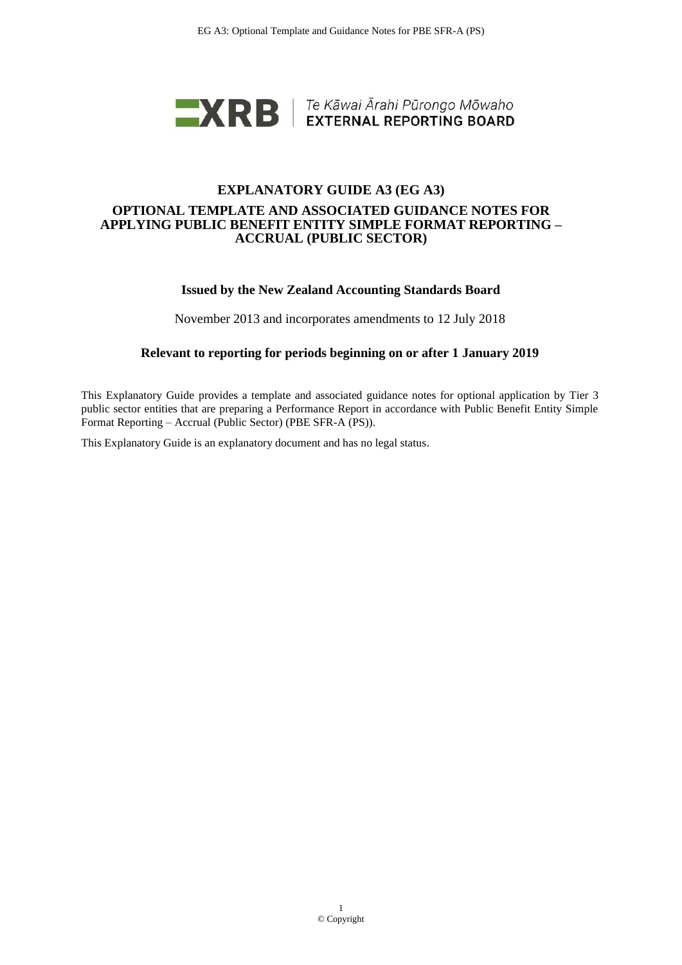

## **EXPLANATORY GUIDE A3 (EG A3) OPTIONAL TEMPLATE AND ASSOCIATED GUIDANCE NOTES FOR APPLYING PUBLIC BENEFIT ENTITY SIMPLE FORMAT REPORTING – ACCRUAL (PUBLIC SECTOR)**

### **Issued by the New Zealand Accounting Standards Board**

November 2013 and incorporates amendments to 12 July 2018

### **Relevant to reporting for periods beginning on or after 1 January 2019**

This Explanatory Guide provides a template and associated guidance notes for optional application by Tier 3 public sector entities that are preparing a Performance Report in accordance with Public Benefit Entity Simple Format Reporting – Accrual (Public Sector) (PBE SFR-A (PS)).

This Explanatory Guide is an explanatory document and has no legal status.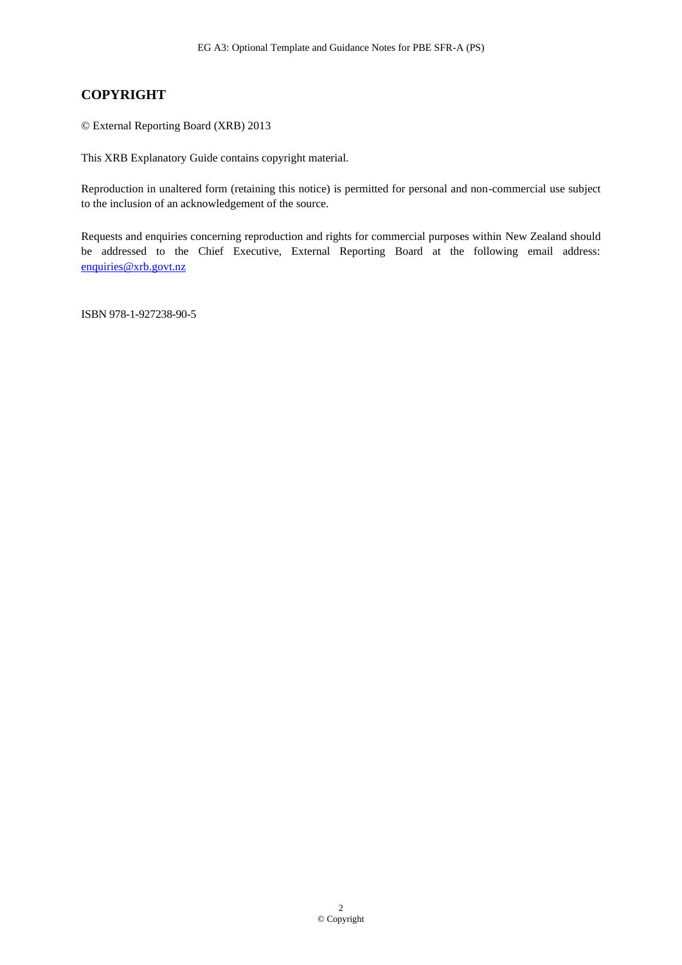# **COPYRIGHT**

© External Reporting Board (XRB) 2013

This XRB Explanatory Guide contains copyright material.

Reproduction in unaltered form (retaining this notice) is permitted for personal and non-commercial use subject to the inclusion of an acknowledgement of the source.

Requests and enquiries concerning reproduction and rights for commercial purposes within New Zealand should be addressed to the Chief Executive, External Reporting Board at the following email address: [enquiries@xrb.govt.nz](mailto:enquiries@xrb.govt.nz)

ISBN 978-1-927238-90-5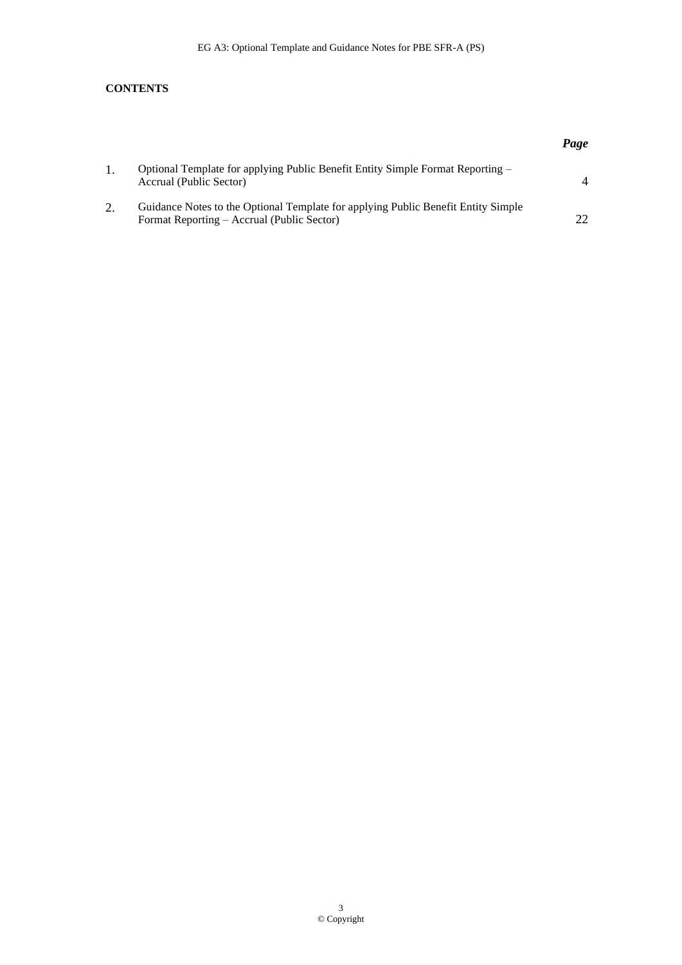### **CONTENTS**

|    |                                                                                                                                 | Page |
|----|---------------------------------------------------------------------------------------------------------------------------------|------|
|    | Optional Template for applying Public Benefit Entity Simple Format Reporting –<br>Accrual (Public Sector)                       |      |
| 2. | Guidance Notes to the Optional Template for applying Public Benefit Entity Simple<br>Format Reporting – Accrual (Public Sector) | າາ   |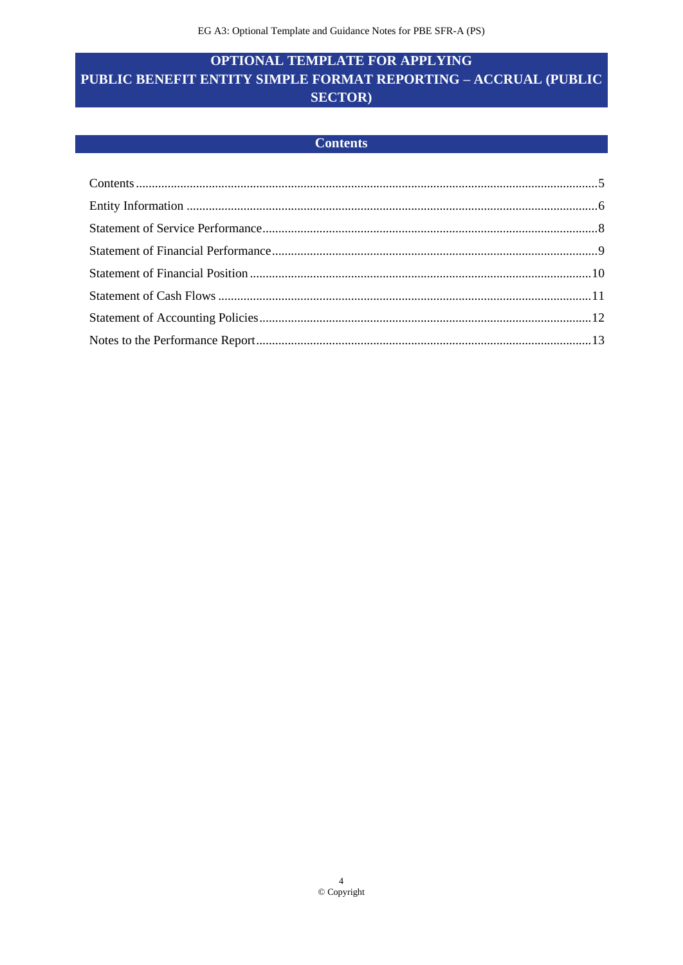# <span id="page-3-1"></span><span id="page-3-0"></span>**OPTIONAL TEMPLATE FOR APPLYING** PUBLIC BENEFIT ENTITY SIMPLE FORMAT REPORTING - ACCRUAL (PUBLIC **SECTOR**)

### **Contents**

<span id="page-3-2"></span>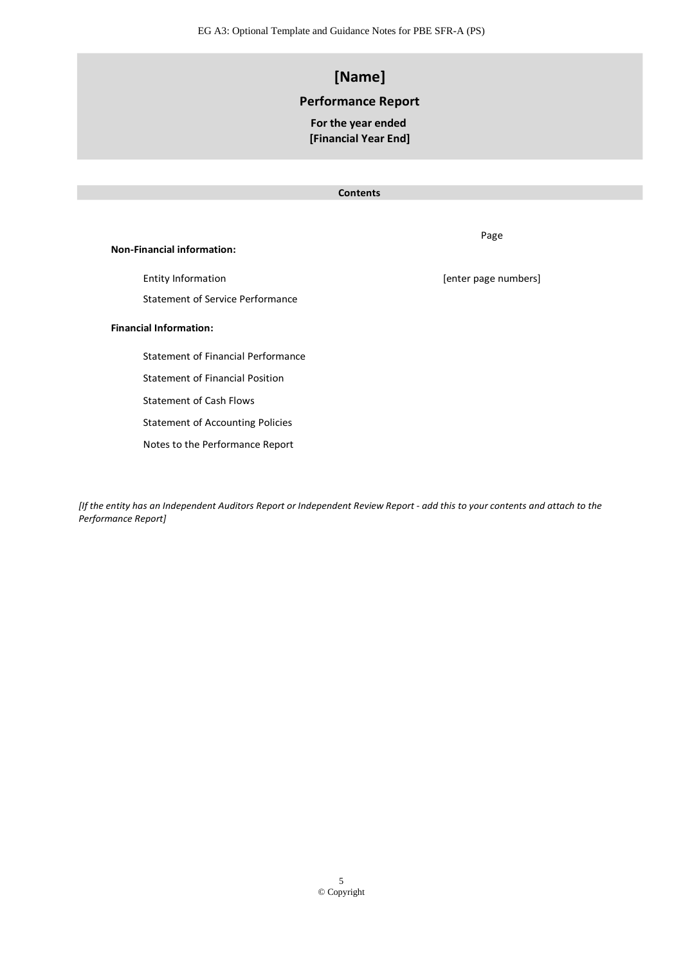# **[Name]**

### **Performance Report**

### **For the year ended [Financial Year End]**

#### **Contents**

**Non-Financial information:**

Entity Information **Entity Information** and the set of the control of the control of the control of the control of the control of the control of the control of the control of the control of the control of the control of th Statement of Service Performance

#### **Financial Information:**

Statement of Financial Performance

Statement of Financial Position

Statement of Cash Flows

Statement of Accounting Policies

Notes to the Performance Report

*[If the entity has an Independent Auditors Report or Independent Review Report - add this to your contents and attach to the Performance Report]*

Page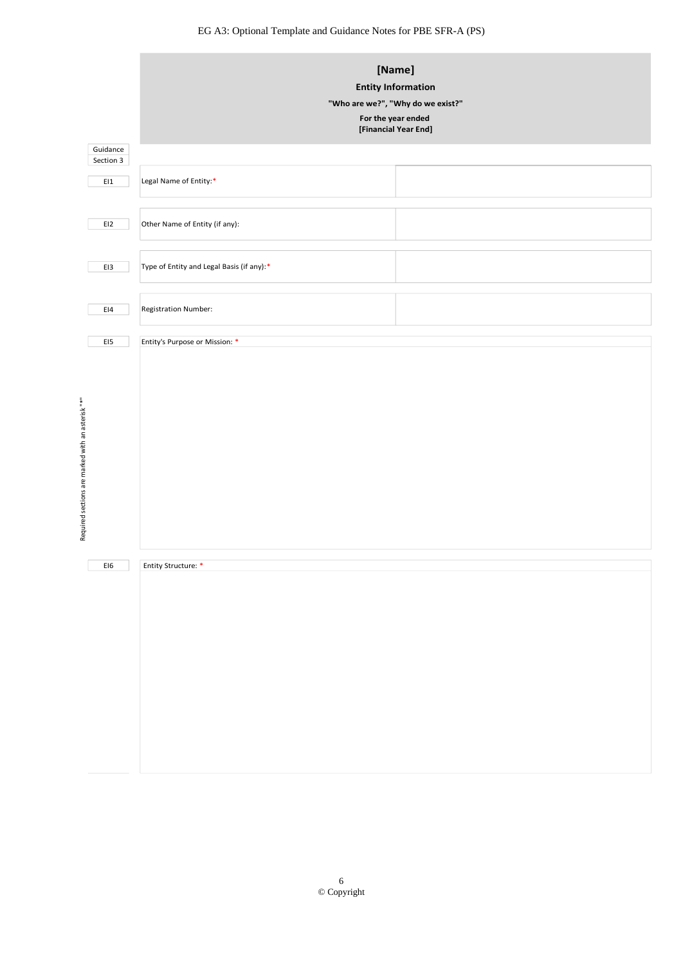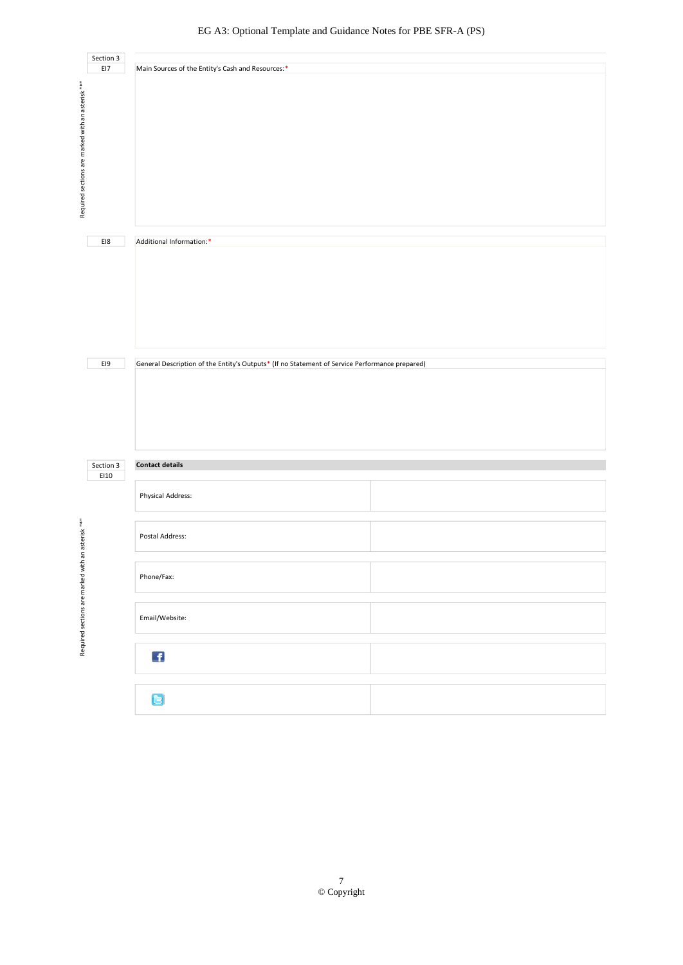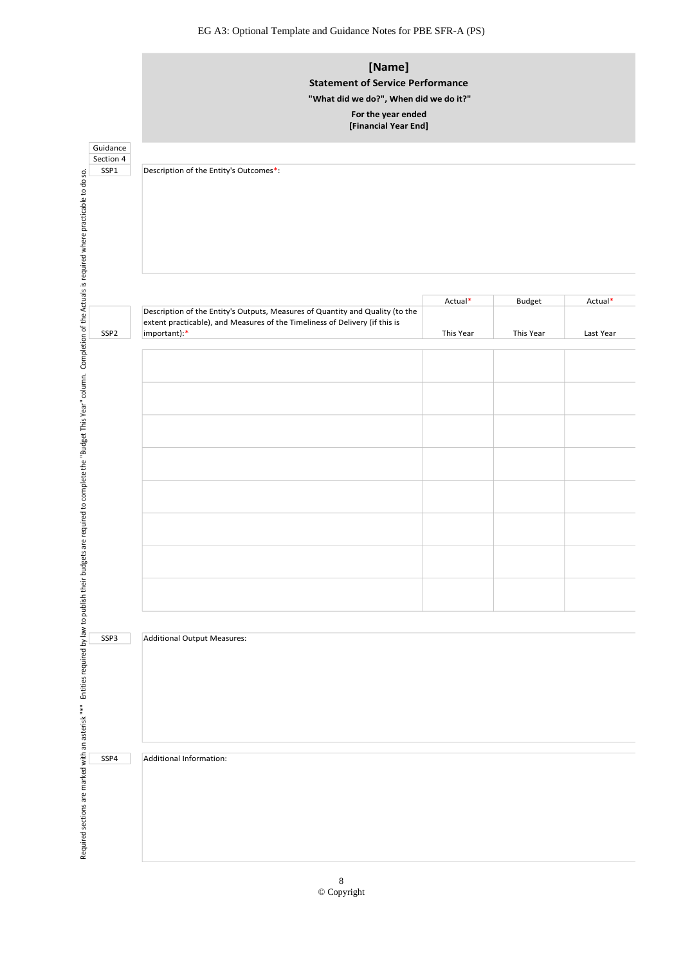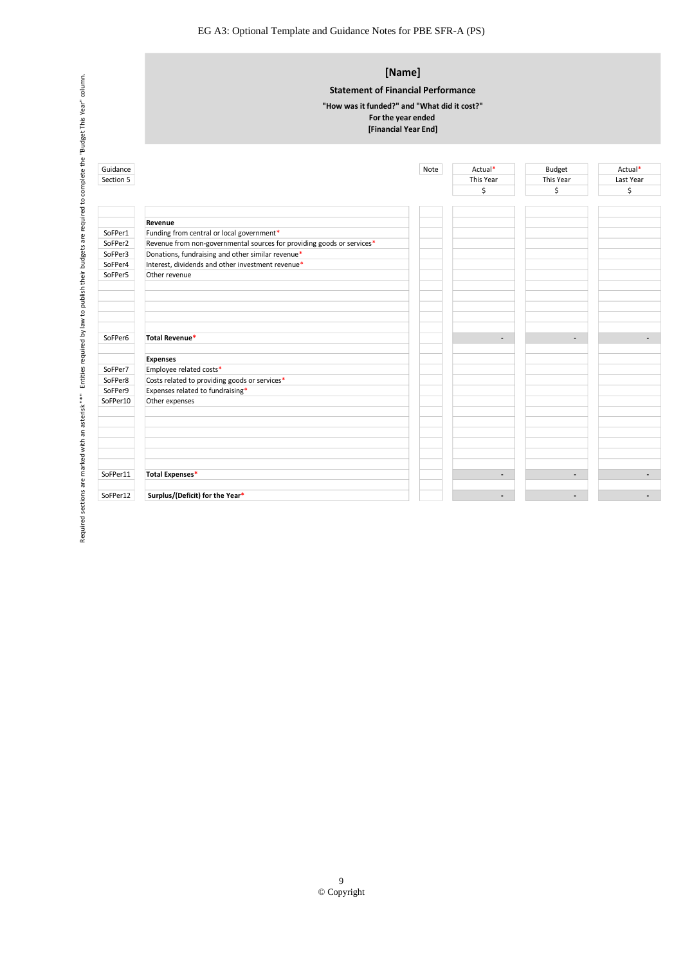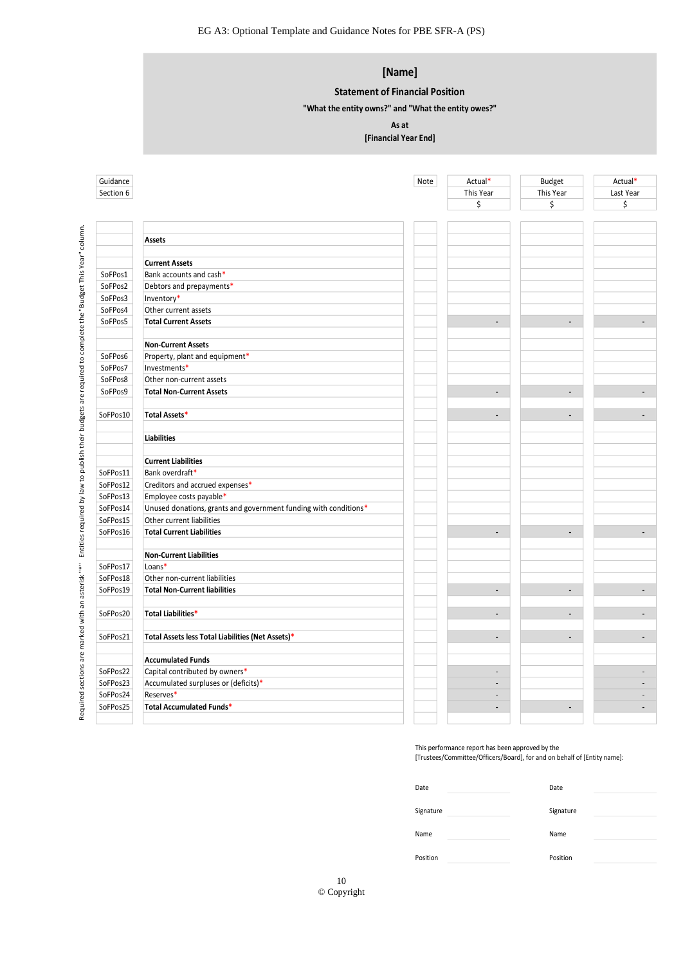## **[Name]**

#### **Statement of Financial Position**

**"What the entity owns?" and "What the entity owes?"**

#### **As at**

**[Financial Year End]**

| Section 6 |                                                                  | Note      | Actual*<br>This Year<br>\$                       | Budget<br>This Year<br>\$                                                | Actual*<br>Last Year<br>\$ |
|-----------|------------------------------------------------------------------|-----------|--------------------------------------------------|--------------------------------------------------------------------------|----------------------------|
|           |                                                                  |           |                                                  |                                                                          |                            |
|           | <b>Assets</b>                                                    |           |                                                  |                                                                          |                            |
|           |                                                                  |           |                                                  |                                                                          |                            |
|           | <b>Current Assets</b>                                            |           |                                                  |                                                                          |                            |
| SoFPos1   | Bank accounts and cash*                                          |           |                                                  |                                                                          |                            |
| SoFPos2   | Debtors and prepayments*                                         |           |                                                  |                                                                          |                            |
| SoFPos3   | Inventory*                                                       |           |                                                  |                                                                          |                            |
| SoFPos4   | Other current assets                                             |           |                                                  |                                                                          |                            |
| SoFPos5   | <b>Total Current Assets</b>                                      |           | $\overline{\phantom{a}}$                         | $\blacksquare$                                                           |                            |
|           |                                                                  |           |                                                  |                                                                          |                            |
|           | <b>Non-Current Assets</b>                                        |           |                                                  |                                                                          |                            |
| SoFPos6   | Property, plant and equipment*                                   |           |                                                  |                                                                          |                            |
| SoFPos7   | Investments*                                                     |           |                                                  |                                                                          |                            |
| SoFPos8   | Other non-current assets                                         |           |                                                  |                                                                          |                            |
| SoFPos9   | <b>Total Non-Current Assets</b>                                  |           | $\blacksquare$                                   | $\overline{\phantom{a}}$                                                 |                            |
|           |                                                                  |           |                                                  |                                                                          |                            |
| SoFPos10  | Total Assets*                                                    |           | $\overline{\phantom{a}}$                         | $\blacksquare$                                                           |                            |
|           | <b>Liabilities</b>                                               |           |                                                  |                                                                          |                            |
|           |                                                                  |           |                                                  |                                                                          |                            |
|           | <b>Current Liabilities</b>                                       |           |                                                  |                                                                          |                            |
| SoFPos11  | Bank overdraft*                                                  |           |                                                  |                                                                          |                            |
| SoFPos12  | Creditors and accrued expenses*                                  |           |                                                  |                                                                          |                            |
| SoFPos13  | Employee costs payable*                                          |           |                                                  |                                                                          |                            |
| SoFPos14  | Unused donations, grants and government funding with conditions* |           |                                                  |                                                                          |                            |
| SoFPos15  | Other current liabilities                                        |           |                                                  |                                                                          |                            |
| SoFPos16  | <b>Total Current Liabilities</b>                                 |           | $\overline{\phantom{a}}$                         | $\blacksquare$                                                           |                            |
|           | <b>Non-Current Liabilities</b>                                   |           |                                                  |                                                                          |                            |
| SoFPos17  | Loans*                                                           |           |                                                  |                                                                          |                            |
| SoFPos18  | Other non-current liabilities                                    |           |                                                  |                                                                          |                            |
| SoFPos19  | <b>Total Non-Current liabilities</b>                             |           | $\blacksquare$                                   | $\blacksquare$                                                           |                            |
|           |                                                                  |           |                                                  |                                                                          |                            |
| SoFPos20  | <b>Total Liabilities*</b>                                        |           | $\blacksquare$                                   |                                                                          |                            |
| SoFPos21  | Total Assets less Total Liabilities (Net Assets)*                |           | $\blacksquare$                                   | $\blacksquare$                                                           |                            |
|           | <b>Accumulated Funds</b>                                         |           |                                                  |                                                                          |                            |
| SoFPos22  | Capital contributed by owners*                                   |           | $\sim$                                           |                                                                          |                            |
| SoFPos23  | Accumulated surpluses or (deficits)*                             |           |                                                  |                                                                          |                            |
| SoFPos24  | Reserves*                                                        |           |                                                  |                                                                          |                            |
| SoFPos25  | Total Accumulated Funds*                                         |           | $\overline{\phantom{a}}$                         | $\blacksquare$                                                           |                            |
|           |                                                                  |           | This performance report has been approved by the |                                                                          |                            |
|           |                                                                  |           |                                                  | [Trustees/Committee/Officers/Board], for and on behalf of [Entity name]: |                            |
|           |                                                                  | Date      |                                                  | Date                                                                     |                            |
|           |                                                                  | Signature |                                                  | Signature                                                                |                            |
|           |                                                                  | Name      |                                                  | Name                                                                     |                            |
|           |                                                                  | Position  |                                                  | Position                                                                 |                            |

| Date      | Date      |  |
|-----------|-----------|--|
|           |           |  |
| Signature | Signature |  |
| Name      | Name      |  |
|           |           |  |
| Position  | Position  |  |
|           |           |  |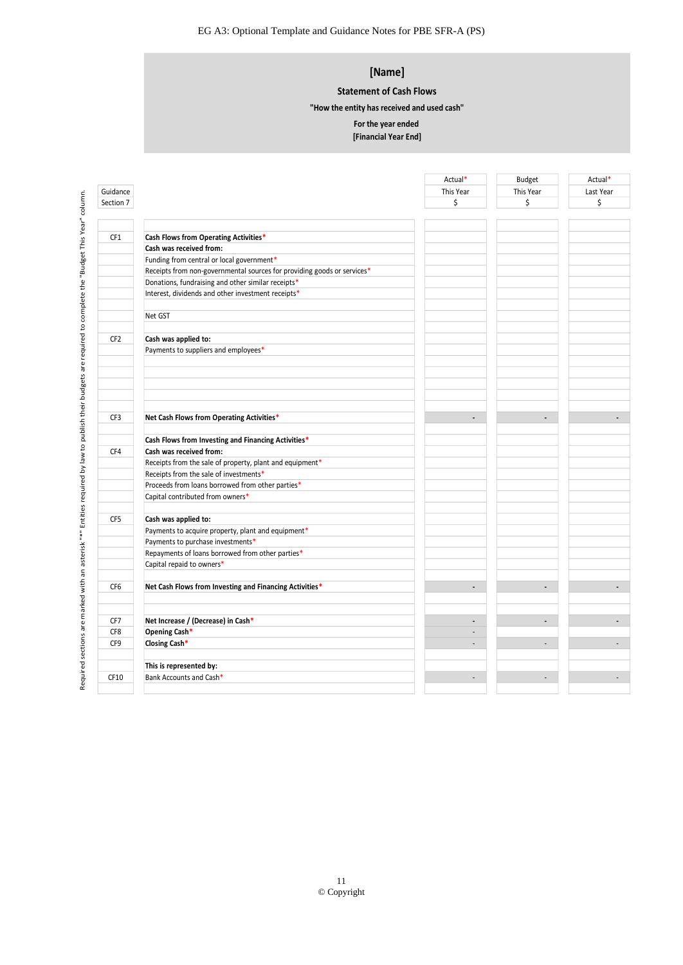### **[Name]**

#### **Statement of Cash Flows**

**"How the entity has received and used cash"**

#### **For the year ended**

|                 |                                                                         | Actual*                  | <b>Budget</b>            | Actual*   |
|-----------------|-------------------------------------------------------------------------|--------------------------|--------------------------|-----------|
| Guidance        |                                                                         | This Year                | This Year                | Last Year |
| Section 7       |                                                                         | \$                       | \$                       | \$        |
|                 |                                                                         |                          |                          |           |
| CF1             | Cash Flows from Operating Activities*                                   |                          |                          |           |
|                 | Cash was received from:                                                 |                          |                          |           |
|                 | Funding from central or local government*                               |                          |                          |           |
|                 | Receipts from non-governmental sources for providing goods or services* |                          |                          |           |
|                 | Donations, fundraising and other similar receipts*                      |                          |                          |           |
|                 | Interest, dividends and other investment receipts*                      |                          |                          |           |
|                 | Net GST                                                                 |                          |                          |           |
| CF <sub>2</sub> | Cash was applied to:                                                    |                          |                          |           |
|                 | Payments to suppliers and employees*                                    |                          |                          |           |
|                 |                                                                         |                          |                          |           |
|                 |                                                                         |                          |                          |           |
|                 |                                                                         |                          |                          |           |
|                 |                                                                         |                          |                          |           |
| CF3             | Net Cash Flows from Operating Activities*                               |                          |                          |           |
|                 | Cash Flows from Investing and Financing Activities*                     |                          |                          |           |
| CF4             | Cash was received from:                                                 |                          |                          |           |
|                 | Receipts from the sale of property, plant and equipment*                |                          |                          |           |
|                 | Receipts from the sale of investments*                                  |                          |                          |           |
|                 | Proceeds from loans borrowed from other parties*                        |                          |                          |           |
|                 | Capital contributed from owners*                                        |                          |                          |           |
| CF5             | Cash was applied to:                                                    |                          |                          |           |
|                 | Payments to acquire property, plant and equipment*                      |                          |                          |           |
|                 | Payments to purchase investments*                                       |                          |                          |           |
|                 | Repayments of loans borrowed from other parties*                        |                          |                          |           |
|                 | Capital repaid to owners*                                               |                          |                          |           |
| CF6             | Net Cash Flows from Investing and Financing Activities*                 |                          |                          |           |
|                 |                                                                         |                          |                          |           |
| CF7             | Net Increase / (Decrease) in Cash*                                      | $\blacksquare$           | $\overline{\phantom{a}}$ |           |
| CF8             | Opening Cash*                                                           | $\overline{\phantom{a}}$ |                          |           |
| CF9             | Closing Cash*                                                           | $\overline{\phantom{a}}$ |                          |           |
|                 | This is represented by:                                                 |                          |                          |           |
| CF10            | Bank Accounts and Cash*                                                 | $\overline{a}$           | $\overline{a}$           |           |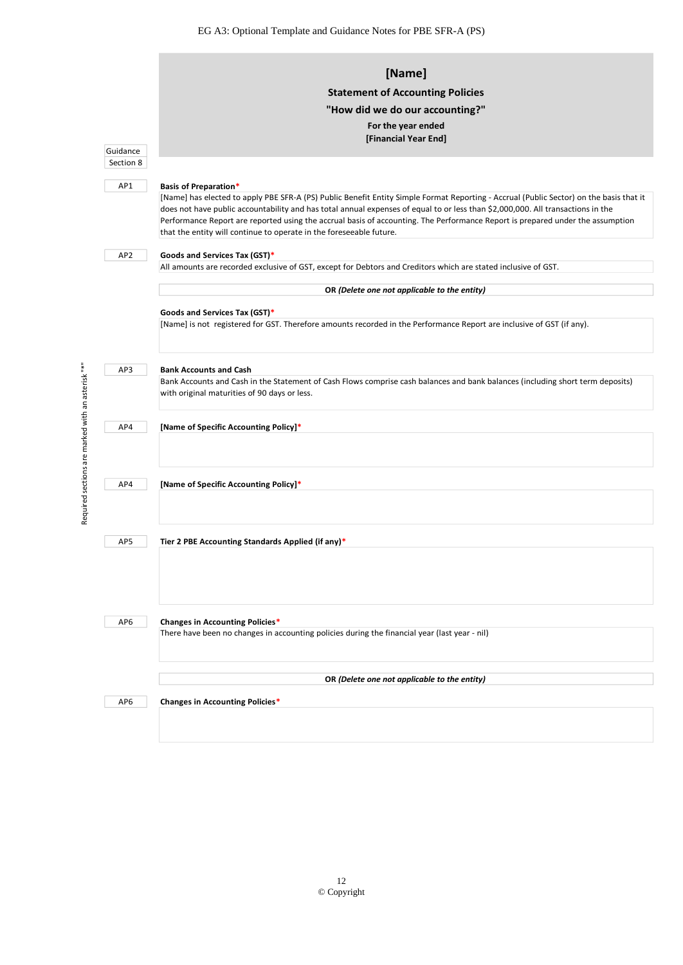|                 | [Name]<br><b>Statement of Accounting Policies</b><br>"How did we do our accounting?"                                                                                                                                                                                                                                                                                                                                                                                                |
|-----------------|-------------------------------------------------------------------------------------------------------------------------------------------------------------------------------------------------------------------------------------------------------------------------------------------------------------------------------------------------------------------------------------------------------------------------------------------------------------------------------------|
|                 | For the year ended                                                                                                                                                                                                                                                                                                                                                                                                                                                                  |
|                 | [Financial Year End]                                                                                                                                                                                                                                                                                                                                                                                                                                                                |
| Guidance        |                                                                                                                                                                                                                                                                                                                                                                                                                                                                                     |
| Section 8       |                                                                                                                                                                                                                                                                                                                                                                                                                                                                                     |
| AP1             | <b>Basis of Preparation*</b>                                                                                                                                                                                                                                                                                                                                                                                                                                                        |
|                 | [Name] has elected to apply PBE SFR-A (PS) Public Benefit Entity Simple Format Reporting - Accrual (Public Sector) on the basis that it<br>does not have public accountability and has total annual expenses of equal to or less than \$2,000,000. All transactions in the<br>Performance Report are reported using the accrual basis of accounting. The Performance Report is prepared under the assumption<br>that the entity will continue to operate in the foreseeable future. |
|                 |                                                                                                                                                                                                                                                                                                                                                                                                                                                                                     |
| AP <sub>2</sub> | Goods and Services Tax (GST)*<br>All amounts are recorded exclusive of GST, except for Debtors and Creditors which are stated inclusive of GST.                                                                                                                                                                                                                                                                                                                                     |
|                 |                                                                                                                                                                                                                                                                                                                                                                                                                                                                                     |
|                 | OR (Delete one not applicable to the entity)                                                                                                                                                                                                                                                                                                                                                                                                                                        |
|                 | Goods and Services Tax (GST)*                                                                                                                                                                                                                                                                                                                                                                                                                                                       |
|                 | [Name] is not registered for GST. Therefore amounts recorded in the Performance Report are inclusive of GST (if any).                                                                                                                                                                                                                                                                                                                                                               |
|                 |                                                                                                                                                                                                                                                                                                                                                                                                                                                                                     |
| AP3             | <b>Bank Accounts and Cash</b>                                                                                                                                                                                                                                                                                                                                                                                                                                                       |
|                 | Bank Accounts and Cash in the Statement of Cash Flows comprise cash balances and bank balances (including short term deposits)<br>with original maturities of 90 days or less.                                                                                                                                                                                                                                                                                                      |
| AP4             | [Name of Specific Accounting Policy]*                                                                                                                                                                                                                                                                                                                                                                                                                                               |
|                 |                                                                                                                                                                                                                                                                                                                                                                                                                                                                                     |
| AP4             | [Name of Specific Accounting Policy]*                                                                                                                                                                                                                                                                                                                                                                                                                                               |
|                 |                                                                                                                                                                                                                                                                                                                                                                                                                                                                                     |
|                 |                                                                                                                                                                                                                                                                                                                                                                                                                                                                                     |
| AP5             | Tier 2 PBE Accounting Standards Applied (if any)*                                                                                                                                                                                                                                                                                                                                                                                                                                   |
|                 |                                                                                                                                                                                                                                                                                                                                                                                                                                                                                     |
| AP6             | <b>Changes in Accounting Policies*</b>                                                                                                                                                                                                                                                                                                                                                                                                                                              |
|                 | There have been no changes in accounting policies during the financial year (last year - nil)                                                                                                                                                                                                                                                                                                                                                                                       |
|                 | OR (Delete one not applicable to the entity)                                                                                                                                                                                                                                                                                                                                                                                                                                        |
| AP6             | Changes in Accounting Policies*                                                                                                                                                                                                                                                                                                                                                                                                                                                     |
|                 |                                                                                                                                                                                                                                                                                                                                                                                                                                                                                     |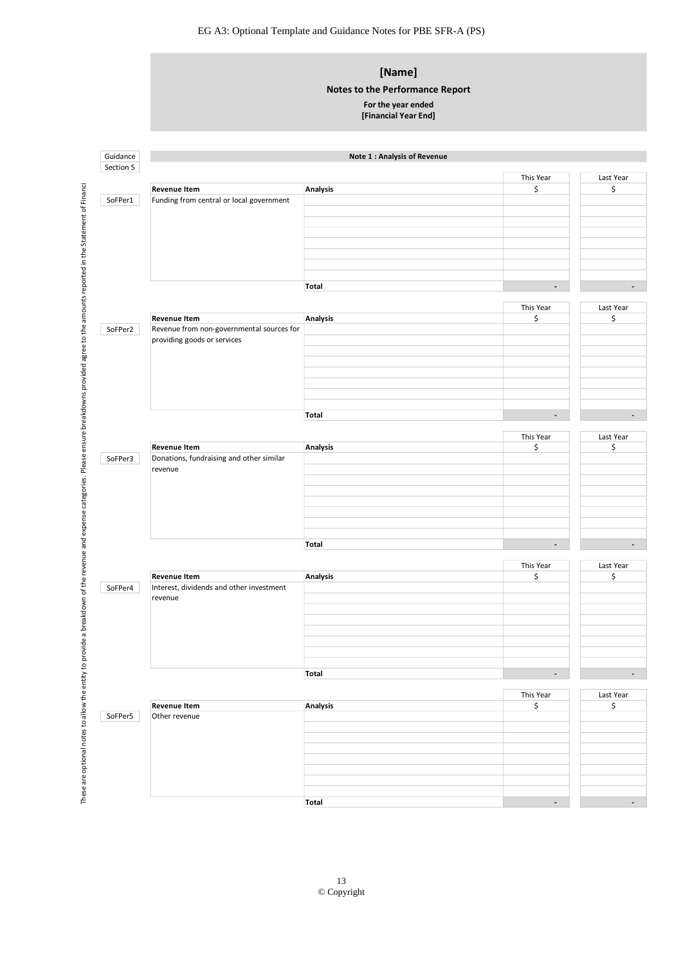### **[Name]**

#### **Notes to the Performance Report**

#### **For the year ended**

| Section 5 |                                                     |                 |                          |                              |
|-----------|-----------------------------------------------------|-----------------|--------------------------|------------------------------|
|           |                                                     |                 | This Year                | Last Year                    |
|           | <b>Revenue Item</b>                                 | Analysis        | \$                       | \$                           |
| SoFPer1   | Funding from central or local government            |                 |                          |                              |
|           |                                                     |                 |                          |                              |
|           |                                                     |                 |                          |                              |
|           |                                                     |                 |                          |                              |
|           |                                                     |                 |                          |                              |
|           |                                                     |                 |                          |                              |
|           |                                                     |                 |                          |                              |
|           |                                                     | <b>Total</b>    | $\overline{\phantom{a}}$ |                              |
|           |                                                     |                 |                          |                              |
|           |                                                     |                 | This Year                | Last Year                    |
|           | <b>Revenue Item</b>                                 | <b>Analysis</b> | \$                       | \$                           |
| SoFPer2   | Revenue from non-governmental sources for           |                 |                          |                              |
|           | providing goods or services                         |                 |                          |                              |
|           |                                                     |                 |                          |                              |
|           |                                                     |                 |                          |                              |
|           |                                                     |                 |                          |                              |
|           |                                                     |                 |                          |                              |
|           |                                                     |                 |                          |                              |
|           |                                                     | Total           | $\overline{\phantom{a}}$ |                              |
|           |                                                     |                 |                          |                              |
|           |                                                     |                 | This Year                | Last Year                    |
|           | <b>Revenue Item</b>                                 | <b>Analysis</b> | \$                       | \$                           |
| SoFPer3   | Donations, fundraising and other similar            |                 |                          |                              |
|           | revenue                                             |                 |                          |                              |
|           |                                                     |                 |                          |                              |
|           |                                                     |                 |                          |                              |
|           |                                                     |                 |                          |                              |
|           |                                                     |                 |                          |                              |
|           |                                                     |                 |                          |                              |
|           |                                                     |                 |                          |                              |
|           |                                                     |                 |                          |                              |
|           |                                                     | Total           | $\overline{\phantom{a}}$ |                              |
|           |                                                     |                 |                          |                              |
|           |                                                     |                 | This Year                |                              |
|           | <b>Revenue Item</b>                                 | <b>Analysis</b> | \$                       | \$                           |
|           | Interest, dividends and other investment<br>revenue |                 |                          |                              |
|           |                                                     |                 |                          |                              |
|           |                                                     |                 |                          |                              |
|           |                                                     |                 |                          |                              |
|           |                                                     |                 |                          |                              |
|           |                                                     |                 |                          |                              |
|           |                                                     |                 |                          |                              |
|           |                                                     | <b>Total</b>    | $\overline{\phantom{a}}$ |                              |
|           |                                                     |                 |                          |                              |
| SoFPer4   |                                                     |                 | This Year                |                              |
|           | <b>Revenue Item</b>                                 | <b>Analysis</b> | \$                       | Last Year<br>Last Year<br>\$ |
|           | Other revenue                                       |                 |                          |                              |
|           |                                                     |                 |                          |                              |
|           |                                                     |                 |                          |                              |
|           |                                                     |                 |                          |                              |
|           |                                                     |                 |                          |                              |
|           |                                                     |                 |                          |                              |
| SoFPer5   |                                                     | <b>Total</b>    | $\overline{\phantom{a}}$ |                              |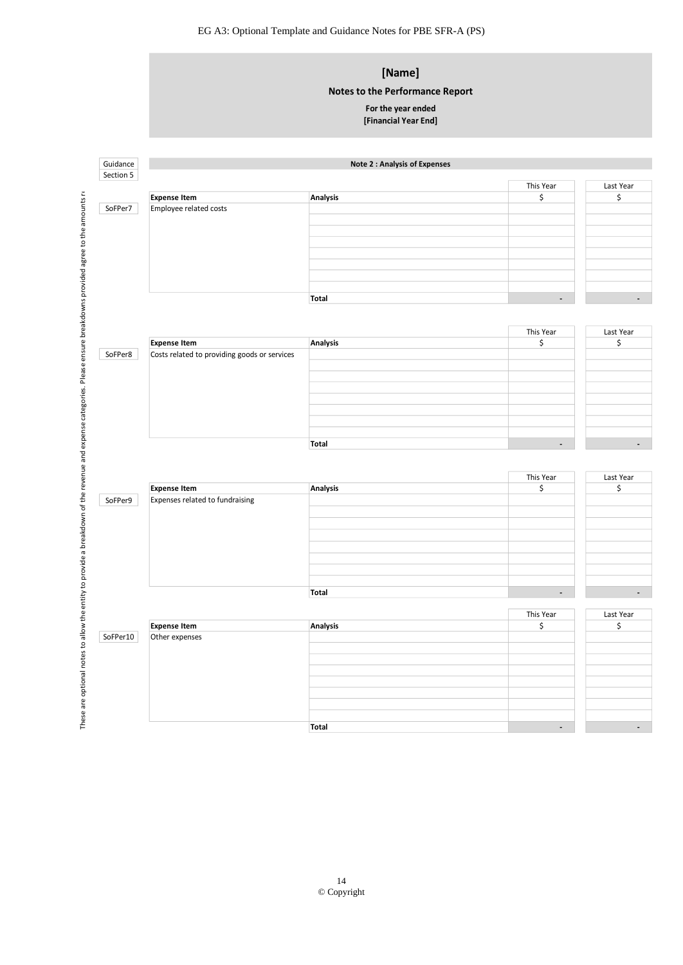# **[Name]**

### **Notes to the Performance Report**

## **For the year ended**

|                                 | <b>Notes to the Performance Report</b>                                                                               |                               |                       |
|---------------------------------|----------------------------------------------------------------------------------------------------------------------|-------------------------------|-----------------------|
|                                 | For the year ended<br>[Financial Year End]                                                                           |                               |                       |
|                                 |                                                                                                                      |                               |                       |
|                                 | <b>Note 2: Analysis of Expenses</b>                                                                                  |                               |                       |
|                                 |                                                                                                                      |                               | Last Year             |
| <b>Expense Item</b>             | Analysis                                                                                                             | \$                            | \$                    |
|                                 |                                                                                                                      |                               |                       |
|                                 |                                                                                                                      |                               |                       |
|                                 |                                                                                                                      |                               |                       |
|                                 |                                                                                                                      |                               |                       |
|                                 |                                                                                                                      |                               |                       |
|                                 |                                                                                                                      | $\overline{\phantom{a}}$      |                       |
|                                 |                                                                                                                      |                               |                       |
|                                 |                                                                                                                      | This Year                     | Last Year             |
|                                 |                                                                                                                      |                               | \$                    |
|                                 |                                                                                                                      |                               |                       |
|                                 |                                                                                                                      |                               |                       |
|                                 |                                                                                                                      |                               |                       |
|                                 |                                                                                                                      |                               |                       |
|                                 |                                                                                                                      |                               |                       |
|                                 | <b>Total</b>                                                                                                         | $\overline{\phantom{a}}$      |                       |
|                                 |                                                                                                                      |                               |                       |
|                                 |                                                                                                                      | This Year                     | Last Year<br>\$       |
| Expenses related to fundraising |                                                                                                                      |                               |                       |
|                                 |                                                                                                                      |                               |                       |
|                                 |                                                                                                                      |                               |                       |
|                                 |                                                                                                                      |                               |                       |
|                                 |                                                                                                                      |                               |                       |
|                                 |                                                                                                                      |                               |                       |
|                                 | <b>Total</b>                                                                                                         | $\overline{\phantom{a}}$      |                       |
| <b>Expense Item</b>             |                                                                                                                      | This Year                     | Last Year             |
|                                 | Analysis                                                                                                             | \$                            | \$                    |
| Other expenses                  |                                                                                                                      |                               |                       |
|                                 |                                                                                                                      |                               |                       |
|                                 |                                                                                                                      |                               |                       |
|                                 |                                                                                                                      |                               |                       |
|                                 |                                                                                                                      |                               |                       |
|                                 |                                                                                                                      |                               |                       |
|                                 | Employee related costs<br><b>Expense Item</b><br>Costs related to providing goods or services<br><b>Expense Item</b> | Total<br>Analysis<br>Analysis | This Year<br>\$<br>\$ |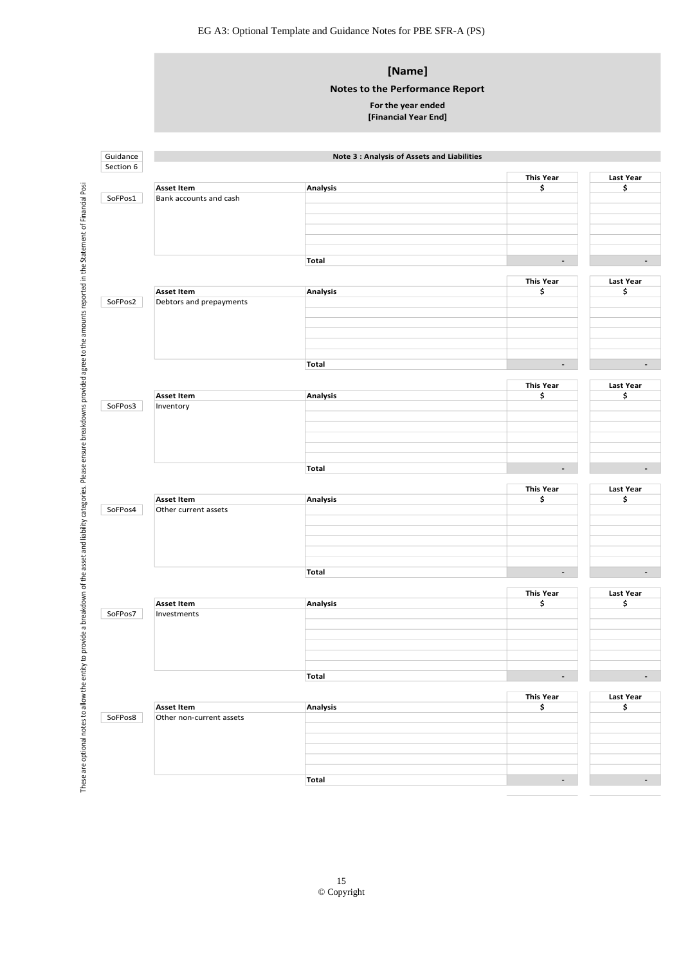### **[Name]**

#### **Notes to the Performance Report**

#### **For the year ended**

| Section 6<br>SoFPos1<br>SoFPos2 | <b>Asset Item</b><br>Bank accounts and cash<br><b>Asset Item</b><br>Debtors and prepayments | Analysis<br>Total<br><b>Analysis</b> | <b>This Year</b><br>\$<br>$\overline{\phantom{a}}$<br><b>This Year</b><br>\$ | <b>Last Year</b><br>\$<br>Last Year |
|---------------------------------|---------------------------------------------------------------------------------------------|--------------------------------------|------------------------------------------------------------------------------|-------------------------------------|
|                                 |                                                                                             |                                      |                                                                              |                                     |
|                                 |                                                                                             |                                      |                                                                              |                                     |
|                                 |                                                                                             |                                      |                                                                              |                                     |
|                                 |                                                                                             |                                      |                                                                              |                                     |
|                                 |                                                                                             |                                      |                                                                              |                                     |
|                                 |                                                                                             |                                      |                                                                              |                                     |
|                                 |                                                                                             |                                      |                                                                              |                                     |
|                                 |                                                                                             |                                      |                                                                              |                                     |
|                                 |                                                                                             |                                      |                                                                              |                                     |
|                                 |                                                                                             |                                      |                                                                              |                                     |
|                                 |                                                                                             |                                      |                                                                              | \$                                  |
|                                 |                                                                                             |                                      |                                                                              |                                     |
|                                 |                                                                                             |                                      |                                                                              |                                     |
|                                 |                                                                                             |                                      |                                                                              |                                     |
|                                 |                                                                                             |                                      |                                                                              |                                     |
|                                 |                                                                                             |                                      |                                                                              |                                     |
|                                 |                                                                                             | Total                                | $\blacksquare$                                                               |                                     |
|                                 |                                                                                             |                                      | <b>This Year</b>                                                             | <b>Last Year</b>                    |
|                                 | <b>Asset Item</b>                                                                           | Analysis                             | \$                                                                           | \$                                  |
| SoFPos3                         | Inventory                                                                                   |                                      |                                                                              |                                     |
|                                 |                                                                                             |                                      |                                                                              |                                     |
|                                 |                                                                                             |                                      |                                                                              |                                     |
|                                 |                                                                                             |                                      |                                                                              |                                     |
|                                 |                                                                                             |                                      |                                                                              |                                     |
|                                 |                                                                                             | <b>Total</b>                         | $\overline{\phantom{a}}$                                                     |                                     |
|                                 |                                                                                             |                                      |                                                                              |                                     |
|                                 |                                                                                             |                                      | <b>This Year</b>                                                             | <b>Last Year</b>                    |
|                                 | <b>Asset Item</b>                                                                           | Analysis                             | \$                                                                           | \$                                  |
| SoFPos4                         | Other current assets                                                                        |                                      |                                                                              |                                     |
|                                 |                                                                                             |                                      |                                                                              |                                     |
|                                 |                                                                                             |                                      |                                                                              |                                     |
|                                 |                                                                                             |                                      |                                                                              |                                     |
|                                 |                                                                                             |                                      |                                                                              |                                     |
|                                 |                                                                                             | Total                                | $\overline{\phantom{a}}$                                                     |                                     |
|                                 |                                                                                             |                                      |                                                                              |                                     |
|                                 |                                                                                             |                                      | <b>This Year</b>                                                             | <b>Last Year</b>                    |
|                                 | <b>Asset Item</b>                                                                           | Analysis                             | \$                                                                           | \$                                  |
| SoFPos7                         | Investments                                                                                 |                                      |                                                                              |                                     |
|                                 |                                                                                             |                                      |                                                                              |                                     |
|                                 |                                                                                             |                                      |                                                                              |                                     |
|                                 |                                                                                             |                                      |                                                                              |                                     |
|                                 |                                                                                             |                                      |                                                                              |                                     |
|                                 |                                                                                             | <b>Total</b>                         | $\overline{\phantom{a}}$                                                     |                                     |
|                                 |                                                                                             |                                      | <b>This Year</b>                                                             | Last Year                           |
|                                 | <b>Asset Item</b>                                                                           | Analysis                             | \$                                                                           | \$                                  |
| SoFPos8                         | Other non-current assets                                                                    |                                      |                                                                              |                                     |
|                                 |                                                                                             |                                      |                                                                              |                                     |
|                                 |                                                                                             |                                      |                                                                              |                                     |
|                                 |                                                                                             |                                      |                                                                              |                                     |
|                                 |                                                                                             |                                      |                                                                              |                                     |
|                                 |                                                                                             | Total                                | $\overline{\phantom{a}}$                                                     |                                     |
|                                 |                                                                                             |                                      |                                                                              |                                     |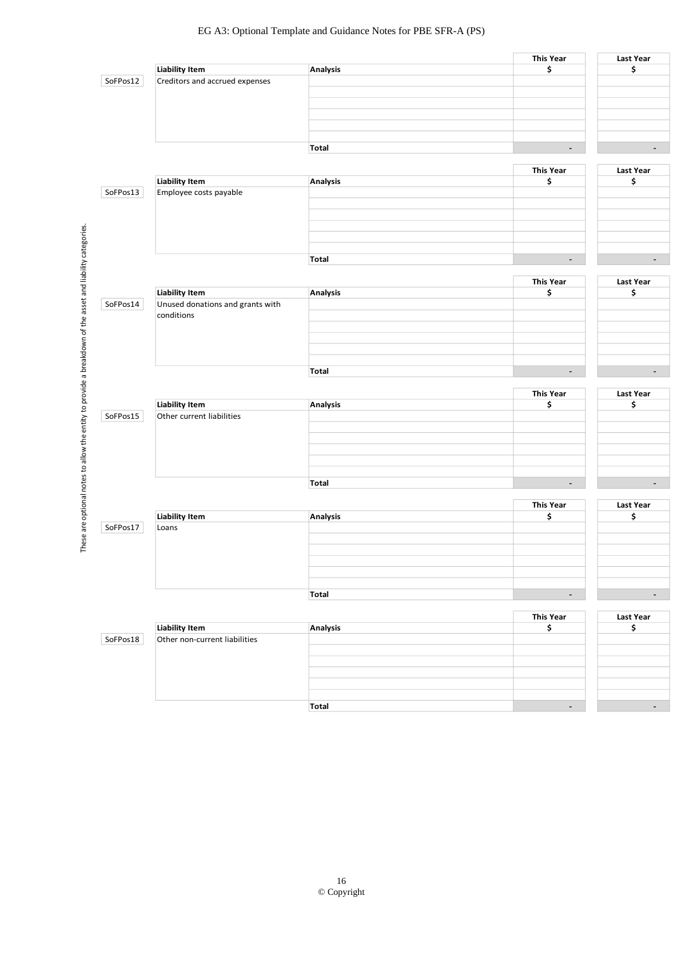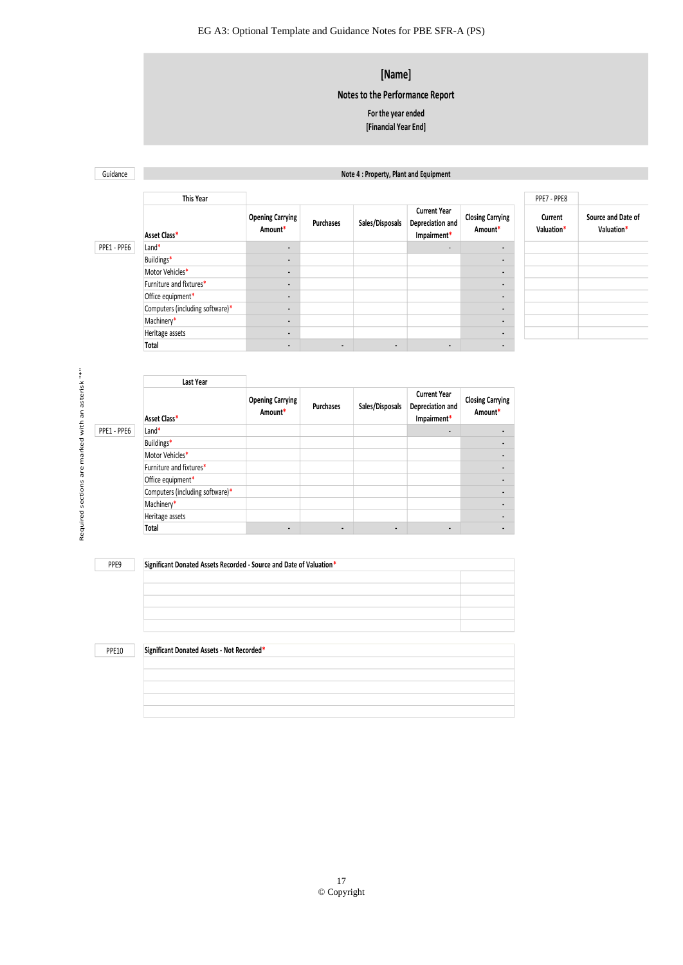### **[Name]**

### **Notes to the Performance Report**

#### **[Financial Year End] For the year ended**

Guidance

#### **Note 4 : Property, Plant and Equipment**

|             | This Year                       |                                    |                  |                 |                                                        |                                    | PPE7 - PPE8           |                                  |
|-------------|---------------------------------|------------------------------------|------------------|-----------------|--------------------------------------------------------|------------------------------------|-----------------------|----------------------------------|
|             | Asset Class*                    | <b>Opening Carrying</b><br>Amount* | <b>Purchases</b> | Sales/Disposals | <b>Current Year</b><br>Depreciation and<br>Impairment* | <b>Closing Carrying</b><br>Amount* | Current<br>Valuation* | Source and Date of<br>Valuation* |
| PPE1 - PPE6 | $L$ and $*$                     | $\blacksquare$                     |                  |                 | ۰.                                                     | $\blacksquare$                     |                       |                                  |
|             | Buildings*                      | $\blacksquare$                     |                  |                 |                                                        | ۰.                                 |                       |                                  |
|             | Motor Vehicles*                 | $\blacksquare$                     |                  |                 |                                                        | ۰.                                 |                       |                                  |
|             | Furniture and fixtures*         | $\blacksquare$                     |                  |                 |                                                        | ۰.                                 |                       |                                  |
|             | Office equipment*               | $\blacksquare$                     |                  |                 |                                                        | $\overline{\phantom{a}}$           |                       |                                  |
|             | Computers (including software)* | $\overline{\phantom{a}}$           |                  |                 |                                                        | $\blacksquare$                     |                       |                                  |
|             | Machinery*                      | $\blacksquare$                     |                  |                 |                                                        | $\blacksquare$                     |                       |                                  |
|             | Heritage assets                 | $\blacksquare$                     |                  |                 |                                                        |                                    |                       |                                  |
|             | Total                           | $\blacksquare$                     | $\blacksquare$   | $\blacksquare$  |                                                        | $\blacksquare$                     |                       |                                  |

|              | <b>Last Year</b>                                                    |                                    |                  |                              |                                                        |                                    |
|--------------|---------------------------------------------------------------------|------------------------------------|------------------|------------------------------|--------------------------------------------------------|------------------------------------|
|              | Asset Class*                                                        | <b>Opening Carrying</b><br>Amount* | <b>Purchases</b> | Sales/Disposals              | <b>Current Year</b><br>Depreciation and<br>Impairment* | <b>Closing Carrying</b><br>Amount* |
| PPE1 - PPE6  | Land*                                                               |                                    |                  |                              |                                                        |                                    |
|              | Buildings*                                                          |                                    |                  |                              |                                                        |                                    |
|              | Motor Vehicles*                                                     |                                    |                  |                              |                                                        |                                    |
|              | Furniture and fixtures*                                             |                                    |                  |                              |                                                        |                                    |
|              | Office equipment*                                                   |                                    |                  |                              |                                                        |                                    |
|              | Computers (including software)*                                     |                                    |                  |                              |                                                        |                                    |
|              | Machinery*                                                          |                                    |                  |                              |                                                        |                                    |
|              | Heritage assets                                                     |                                    |                  |                              |                                                        |                                    |
|              | Total                                                               | $\blacksquare$                     | $\blacksquare$   | $\qquad \qquad \blacksquare$ | $\blacksquare$                                         |                                    |
| PPE9         | Significant Donated Assets Recorded - Source and Date of Valuation* |                                    |                  |                              |                                                        |                                    |
|              |                                                                     |                                    |                  |                              |                                                        |                                    |
|              |                                                                     |                                    |                  |                              |                                                        |                                    |
|              |                                                                     |                                    |                  |                              |                                                        |                                    |
|              |                                                                     |                                    |                  |                              |                                                        |                                    |
|              |                                                                     |                                    |                  |                              |                                                        |                                    |
|              |                                                                     |                                    |                  |                              |                                                        |                                    |
| <b>PPE10</b> | Significant Donated Assets - Not Recorded*                          |                                    |                  |                              |                                                        |                                    |

| Significant Donated Assets Recorded - Source and Date of Valuation* |  |  |  |  |
|---------------------------------------------------------------------|--|--|--|--|
|                                                                     |  |  |  |  |
|                                                                     |  |  |  |  |
|                                                                     |  |  |  |  |
|                                                                     |  |  |  |  |
|                                                                     |  |  |  |  |

**PPE10** 

#### **Significant Donated Assets - Not Recorded\***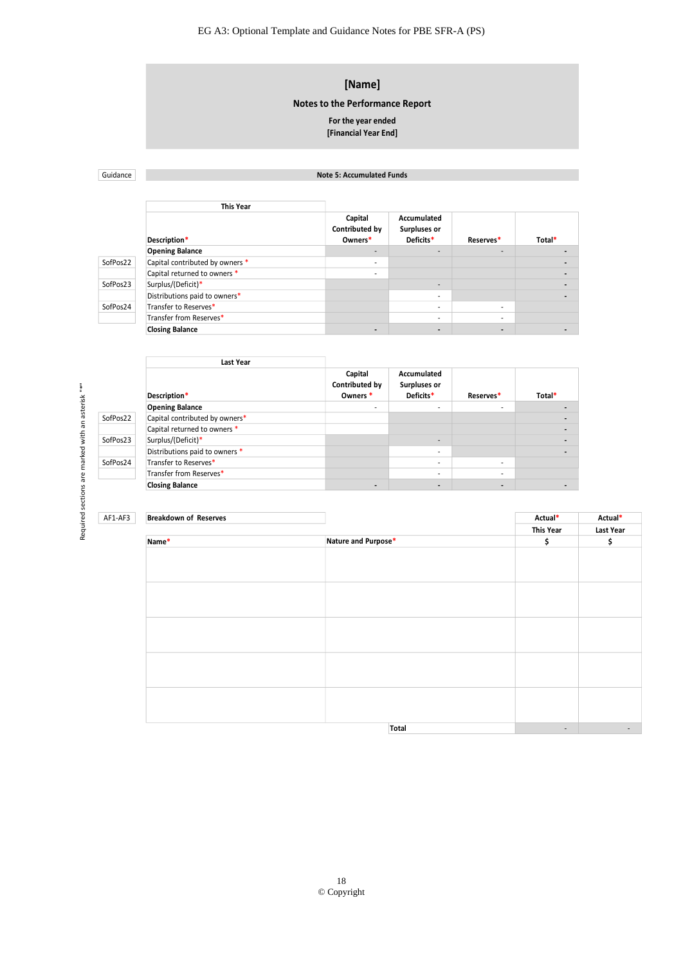### **[Name]**

**Notes to the Performance Report**

#### **For the year ended [Financial Year End]**

Guidance

#### **Note 5: Accumulated Funds**

|          | This Year                       |                                      |                                          |                          |        |
|----------|---------------------------------|--------------------------------------|------------------------------------------|--------------------------|--------|
|          | Description*                    | Capital<br>Contributed by<br>Owners* | Accumulated<br>Surpluses or<br>Deficits* | Reserves*                | Total* |
|          | <b>Opening Balance</b>          |                                      | $\overline{\phantom{a}}$                 | $\overline{\phantom{a}}$ |        |
| SofPos22 | Capital contributed by owners * |                                      |                                          |                          |        |
|          | Capital returned to owners *    |                                      |                                          |                          |        |
| SofPos23 | Surplus/(Deficit)*              |                                      | $\overline{\phantom{a}}$                 |                          |        |
|          | Distributions paid to owners*   |                                      | $\overline{\phantom{a}}$                 |                          |        |
| SofPos24 | Transfer to Reserves*           |                                      | $\overline{\phantom{a}}$                 |                          |        |
|          | Transfer from Reserves*         |                                      | $\overline{\phantom{a}}$                 |                          |        |
|          | <b>Closing Balance</b>          | $\overline{\phantom{0}}$             | $\overline{\phantom{a}}$                 | $\overline{\phantom{a}}$ |        |
|          |                                 |                                      |                                          |                          |        |

| Last Year                      |                                                  |                                          |           |        |
|--------------------------------|--------------------------------------------------|------------------------------------------|-----------|--------|
| Description*                   | Capital<br>Contributed by<br>Owners <sup>*</sup> | Accumulated<br>Surpluses or<br>Deficits* | Reserves* | Total* |
| <b>Opening Balance</b>         | $\sim$                                           | $\sim$                                   | ۰.        |        |
| Capital contributed by owners* |                                                  |                                          |           |        |
| Capital returned to owners *   |                                                  |                                          |           |        |
| Surplus/(Deficit)*             |                                                  | $\sim$                                   |           |        |
| Distributions paid to owners * |                                                  | $\mathbf{r}$                             |           |        |
| Transfer to Reserves*          |                                                  | ۰.                                       | ۰.        |        |
| Transfer from Reserves*        |                                                  | $\mathbf{r}$                             | ۰.        |        |
| <b>Closing Balance</b>         |                                                  |                                          |           |        |
|                                |                                                  |                                          |           |        |

|          | Description*                   | Contributed by<br>Owners* | <b>Surpluses or</b><br>Deficits* | Reserves*                | Total*                   |           |
|----------|--------------------------------|---------------------------|----------------------------------|--------------------------|--------------------------|-----------|
|          | <b>Opening Balance</b>         | $\sim$                    | $\overline{\phantom{a}}$         | $\sim$                   | $\overline{\phantom{a}}$ |           |
| SofPos22 | Capital contributed by owners* |                           |                                  |                          |                          |           |
|          | Capital returned to owners *   |                           |                                  |                          |                          |           |
| SofPos23 | Surplus/(Deficit)*             |                           | $\sim$                           |                          |                          |           |
|          | Distributions paid to owners * |                           | $\overline{\phantom{a}}$         |                          | $\overline{\phantom{a}}$ |           |
| SofPos24 | Transfer to Reserves*          |                           | ٠                                | $\sim$                   |                          |           |
|          | Transfer from Reserves*        |                           | ٠                                | ٠                        |                          |           |
|          | <b>Closing Balance</b>         | $\overline{\phantom{a}}$  | $\overline{\phantom{a}}$         | $\overline{\phantom{a}}$ | $\overline{\phantom{a}}$ |           |
|          |                                |                           |                                  |                          |                          |           |
|          |                                |                           |                                  |                          |                          |           |
| AF1-AF3  | <b>Breakdown of Reserves</b>   |                           |                                  |                          | Actual*                  | Actual*   |
|          |                                |                           |                                  |                          | <b>This Year</b>         | Last Year |
|          | Name*                          | Nature and Purpose*       |                                  |                          | \$                       | \$        |
|          |                                |                           |                                  |                          |                          |           |
|          |                                |                           |                                  |                          |                          |           |
|          |                                |                           |                                  |                          |                          |           |
|          |                                |                           |                                  |                          |                          |           |
|          |                                |                           |                                  |                          |                          |           |
|          |                                |                           |                                  |                          |                          |           |
|          |                                |                           |                                  |                          |                          |           |
|          |                                |                           |                                  |                          |                          |           |
|          |                                |                           |                                  |                          |                          |           |
|          |                                |                           |                                  |                          |                          |           |
|          |                                |                           |                                  |                          |                          |           |
|          |                                |                           |                                  |                          |                          |           |
|          |                                |                           |                                  |                          |                          |           |
|          |                                |                           |                                  |                          |                          |           |
|          |                                |                           |                                  |                          |                          |           |
|          |                                |                           |                                  |                          |                          |           |
|          |                                |                           | Total                            |                          | $\overline{\phantom{a}}$ |           |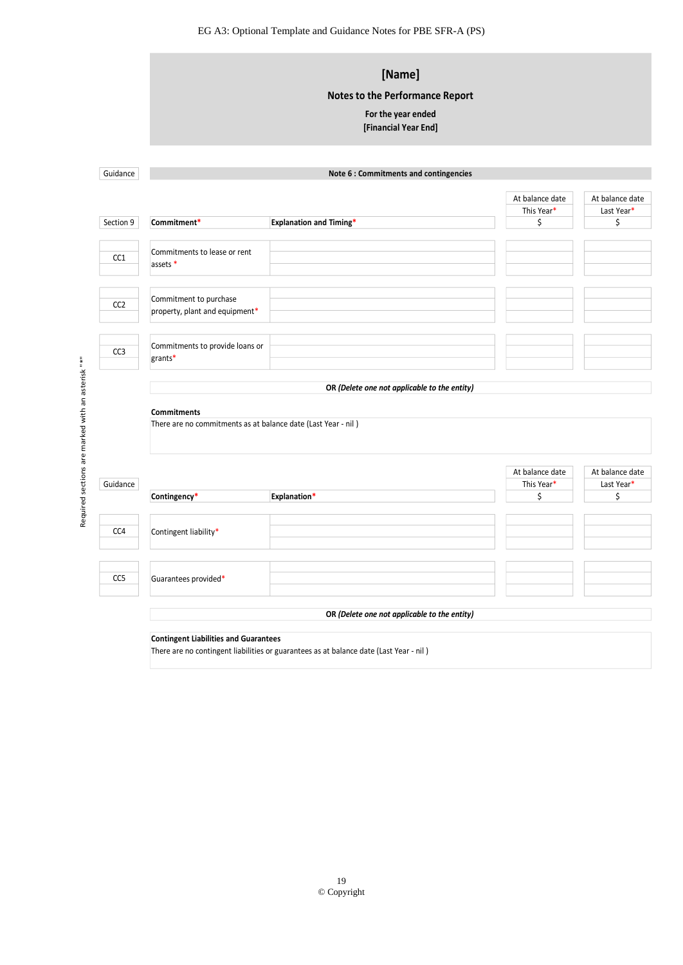|                 |                                                               | [Name]                                       |                 |                  |  |  |  |  |
|-----------------|---------------------------------------------------------------|----------------------------------------------|-----------------|------------------|--|--|--|--|
|                 |                                                               | <b>Notes to the Performance Report</b>       |                 |                  |  |  |  |  |
|                 |                                                               | For the year ended                           |                 |                  |  |  |  |  |
|                 |                                                               | [Financial Year End]                         |                 |                  |  |  |  |  |
|                 |                                                               |                                              |                 |                  |  |  |  |  |
|                 |                                                               |                                              |                 |                  |  |  |  |  |
| Guidance        |                                                               | Note 6 : Commitments and contingencies       |                 |                  |  |  |  |  |
|                 |                                                               |                                              | At balance date | At balance date  |  |  |  |  |
|                 |                                                               |                                              | This Year*      | Last Year*       |  |  |  |  |
| Section 9       | Commitment*                                                   | <b>Explanation and Timing*</b>               | \$              | \$               |  |  |  |  |
|                 | Commitments to lease or rent                                  |                                              |                 |                  |  |  |  |  |
| CC1             | assets *                                                      |                                              |                 |                  |  |  |  |  |
|                 |                                                               |                                              |                 |                  |  |  |  |  |
|                 | Commitment to purchase                                        |                                              |                 |                  |  |  |  |  |
| CC <sub>2</sub> | property, plant and equipment*                                |                                              |                 |                  |  |  |  |  |
|                 |                                                               |                                              |                 |                  |  |  |  |  |
|                 | Commitments to provide loans or                               |                                              |                 |                  |  |  |  |  |
| CC <sub>3</sub> | grants*                                                       |                                              |                 |                  |  |  |  |  |
|                 |                                                               |                                              |                 |                  |  |  |  |  |
|                 |                                                               | OR (Delete one not applicable to the entity) |                 |                  |  |  |  |  |
|                 | <b>Commitments</b>                                            |                                              |                 |                  |  |  |  |  |
|                 | There are no commitments as at balance date (Last Year - nil) |                                              |                 |                  |  |  |  |  |
|                 |                                                               |                                              |                 |                  |  |  |  |  |
|                 |                                                               |                                              |                 |                  |  |  |  |  |
|                 |                                                               |                                              | At balance date | At balance date  |  |  |  |  |
|                 |                                                               |                                              | This Year*      | Last Year*<br>\$ |  |  |  |  |
| Guidance        |                                                               |                                              |                 |                  |  |  |  |  |
|                 | Contingency*                                                  | <b>Explanation*</b>                          | \$              |                  |  |  |  |  |
|                 |                                                               |                                              |                 |                  |  |  |  |  |
| CC4             | Contingent liability*                                         |                                              |                 |                  |  |  |  |  |
|                 |                                                               |                                              |                 |                  |  |  |  |  |
|                 |                                                               |                                              |                 |                  |  |  |  |  |
| CC5             | Guarantees provided*                                          |                                              |                 |                  |  |  |  |  |
|                 |                                                               | OR (Delete one not applicable to the entity) |                 |                  |  |  |  |  |

**Contingent Liabilities and Guarantees**<br>There are no contingent liabilities or guarantees as at balance date (Last Year - nil)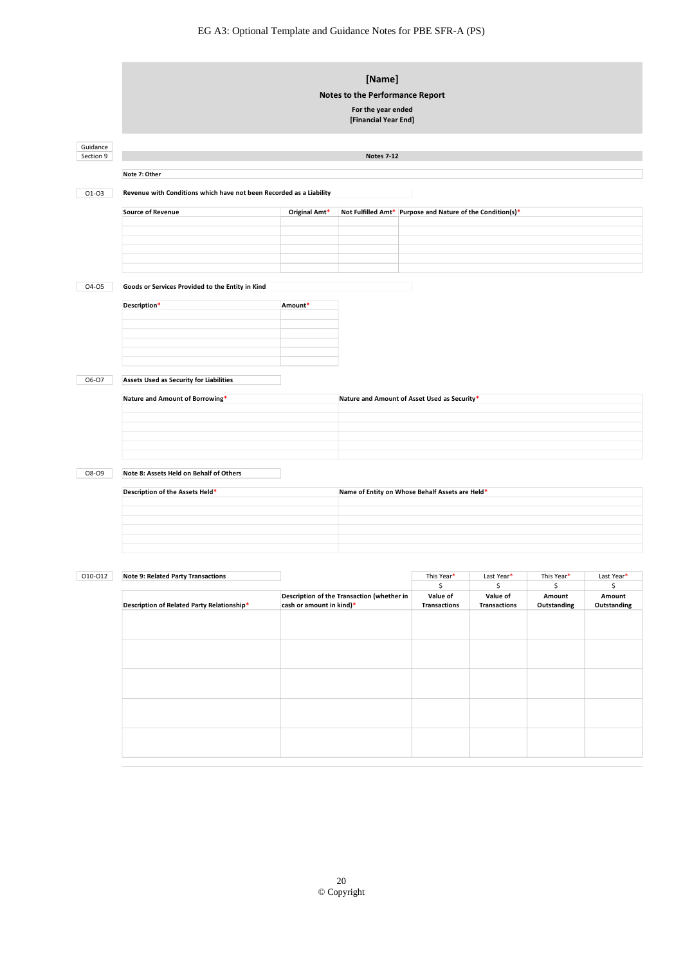|                       | [Name]<br>Notes to the Performance Report<br>For the year ended<br>[Financial Year End] |                          |                                                 |                                                            |                     |              |              |
|-----------------------|-----------------------------------------------------------------------------------------|--------------------------|-------------------------------------------------|------------------------------------------------------------|---------------------|--------------|--------------|
| Guidance<br>Section 9 |                                                                                         |                          | <b>Notes 7-12</b>                               |                                                            |                     |              |              |
|                       | Note 7: Other                                                                           |                          |                                                 |                                                            |                     |              |              |
| 01-03                 | Revenue with Conditions which have not been Recorded as a Liability                     |                          |                                                 |                                                            |                     |              |              |
|                       | <b>Source of Revenue</b>                                                                | Original Amt*            |                                                 | Not Fulfilled Amt* Purpose and Nature of the Condition(s)* |                     |              |              |
|                       |                                                                                         |                          |                                                 |                                                            |                     |              |              |
|                       |                                                                                         |                          |                                                 |                                                            |                     |              |              |
|                       |                                                                                         |                          |                                                 |                                                            |                     |              |              |
| 04-05                 | Goods or Services Provided to the Entity in Kind                                        |                          |                                                 |                                                            |                     |              |              |
|                       | Description*                                                                            | Amount*                  |                                                 |                                                            |                     |              |              |
|                       |                                                                                         |                          |                                                 |                                                            |                     |              |              |
|                       |                                                                                         |                          |                                                 |                                                            |                     |              |              |
| 06-07                 | Assets Used as Security for Liabilities                                                 |                          |                                                 |                                                            |                     |              |              |
|                       | Nature and Amount of Borrowing*                                                         |                          | Nature and Amount of Asset Used as Security*    |                                                            |                     |              |              |
|                       |                                                                                         |                          |                                                 |                                                            |                     |              |              |
|                       |                                                                                         |                          |                                                 |                                                            |                     |              |              |
|                       |                                                                                         |                          |                                                 |                                                            |                     |              |              |
| 08-09                 | Note 8: Assets Held on Behalf of Others                                                 |                          |                                                 |                                                            |                     |              |              |
|                       | Description of the Assets Held*                                                         |                          | Name of Entity on Whose Behalf Assets are Held* |                                                            |                     |              |              |
|                       |                                                                                         |                          |                                                 |                                                            |                     |              |              |
|                       |                                                                                         |                          |                                                 |                                                            |                     |              |              |
|                       |                                                                                         |                          |                                                 |                                                            |                     |              |              |
| 010-012               | <b>Note 9: Related Party Transactions</b>                                               |                          |                                                 | This Year*                                                 | Last Year*          | This Year*   | Last Year*   |
|                       |                                                                                         |                          | Description of the Transaction (whether in      | \$<br>Value of                                             | \$<br>Value of      | \$<br>Amount | \$<br>Amount |
|                       | Description of Related Party Relationship*                                              | cash or amount in kind)* |                                                 | <b>Transactions</b>                                        | <b>Transactions</b> | Outstanding  | Outstanding  |
|                       |                                                                                         |                          |                                                 |                                                            |                     |              |              |
|                       |                                                                                         |                          |                                                 |                                                            |                     |              |              |
|                       |                                                                                         |                          |                                                 |                                                            |                     |              |              |
|                       |                                                                                         |                          |                                                 |                                                            |                     |              |              |
|                       |                                                                                         |                          |                                                 |                                                            |                     |              |              |
|                       |                                                                                         |                          |                                                 |                                                            |                     |              |              |
|                       |                                                                                         |                          |                                                 |                                                            |                     |              |              |
|                       |                                                                                         |                          |                                                 |                                                            |                     |              |              |
|                       |                                                                                         |                          |                                                 |                                                            |                     |              |              |
|                       |                                                                                         |                          |                                                 |                                                            |                     |              |              |
|                       |                                                                                         |                          |                                                 |                                                            |                     |              |              |
|                       |                                                                                         |                          |                                                 |                                                            |                     |              |              |
|                       |                                                                                         |                          | $20\,$<br>© Copyright                           |                                                            |                     |              |              |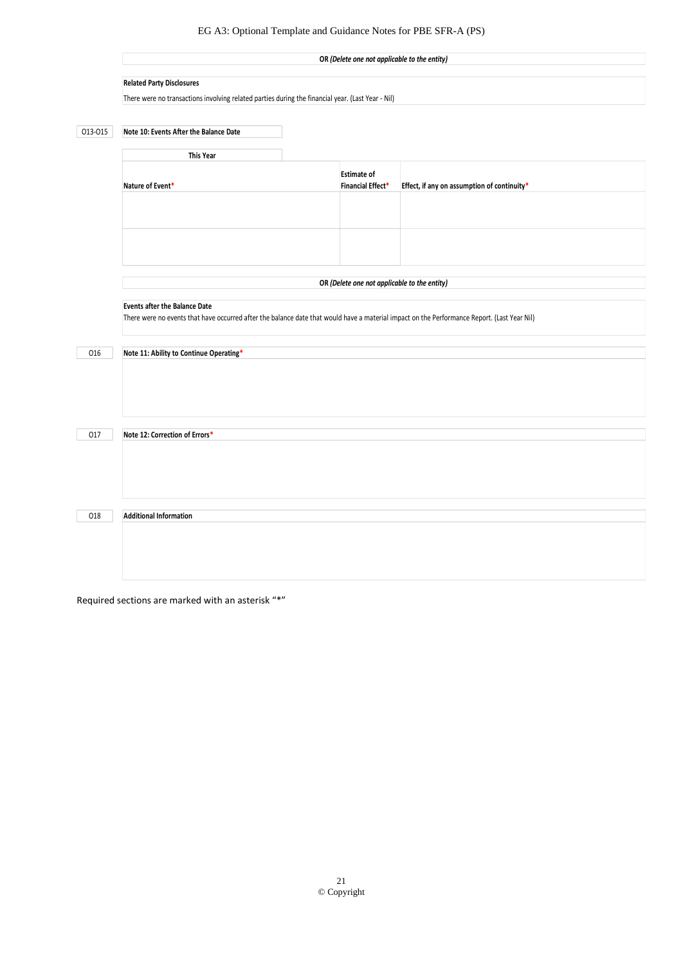|         | OR (Delete one not applicable to the entity)                                                                                                |                    |                                             |  |  |  |
|---------|---------------------------------------------------------------------------------------------------------------------------------------------|--------------------|---------------------------------------------|--|--|--|
|         | <b>Related Party Disclosures</b>                                                                                                            |                    |                                             |  |  |  |
|         | There were no transactions involving related parties during the financial year. (Last Year - Nil)                                           |                    |                                             |  |  |  |
|         |                                                                                                                                             |                    |                                             |  |  |  |
| 013-015 | Note 10: Events After the Balance Date                                                                                                      |                    |                                             |  |  |  |
|         | This Year                                                                                                                                   |                    |                                             |  |  |  |
|         |                                                                                                                                             | <b>Estimate of</b> |                                             |  |  |  |
|         | Nature of Event*                                                                                                                            | Financial Effect*  | Effect, if any on assumption of continuity* |  |  |  |
|         |                                                                                                                                             |                    |                                             |  |  |  |
|         |                                                                                                                                             |                    |                                             |  |  |  |
|         |                                                                                                                                             |                    |                                             |  |  |  |
|         |                                                                                                                                             |                    |                                             |  |  |  |
|         | OR (Delete one not applicable to the entity)                                                                                                |                    |                                             |  |  |  |
|         | <b>Events after the Balance Date</b>                                                                                                        |                    |                                             |  |  |  |
|         | There were no events that have occurred after the balance date that would have a material impact on the Performance Report. (Last Year Nil) |                    |                                             |  |  |  |
| 016     | Note 11: Ability to Continue Operating*                                                                                                     |                    |                                             |  |  |  |
|         |                                                                                                                                             |                    |                                             |  |  |  |
|         |                                                                                                                                             |                    |                                             |  |  |  |
|         |                                                                                                                                             |                    |                                             |  |  |  |
|         |                                                                                                                                             |                    |                                             |  |  |  |
| 017     | Note 12: Correction of Errors*                                                                                                              |                    |                                             |  |  |  |
|         |                                                                                                                                             |                    |                                             |  |  |  |
|         |                                                                                                                                             |                    |                                             |  |  |  |
|         |                                                                                                                                             |                    |                                             |  |  |  |
| 018     | <b>Additional Information</b>                                                                                                               |                    |                                             |  |  |  |
|         |                                                                                                                                             |                    |                                             |  |  |  |
|         |                                                                                                                                             |                    |                                             |  |  |  |
|         |                                                                                                                                             |                    |                                             |  |  |  |
|         |                                                                                                                                             |                    |                                             |  |  |  |

Required sections are marked with an asterisk "\*"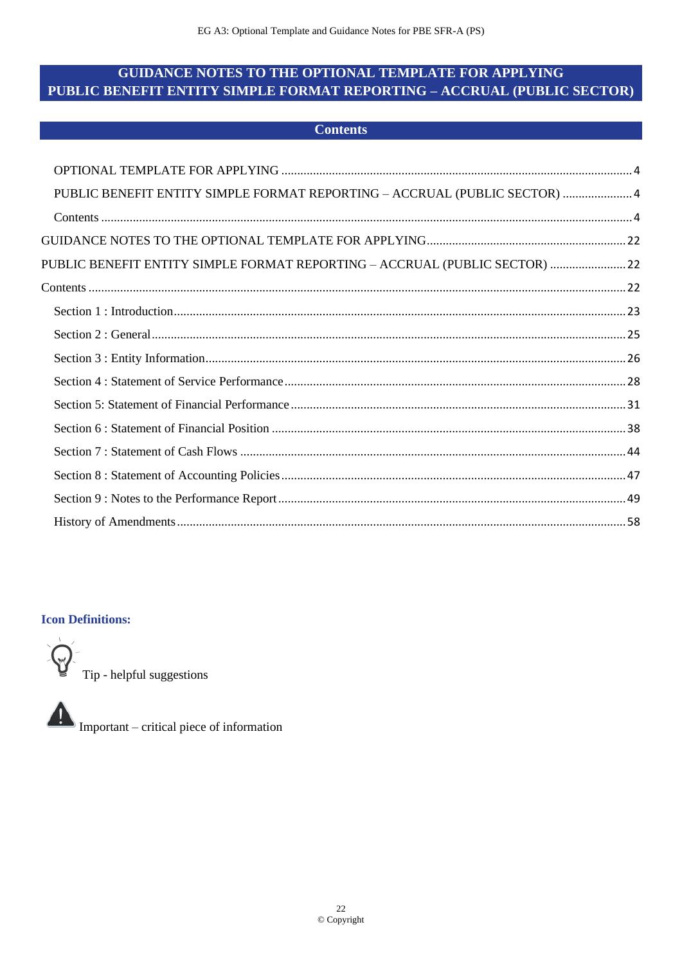# <span id="page-21-2"></span><span id="page-21-1"></span><span id="page-21-0"></span>**GUIDANCE NOTES TO THE OPTIONAL TEMPLATE FOR APPLYING** PUBLIC BENEFIT ENTITY SIMPLE FORMAT REPORTING - ACCRUAL (PUBLIC SECTOR)

|  | <b>Contents</b> |
|--|-----------------|
|  |                 |

| PUBLIC BENEFIT ENTITY SIMPLE FORMAT REPORTING - ACCRUAL (PUBLIC SECTOR)  4 |  |
|----------------------------------------------------------------------------|--|
|                                                                            |  |
|                                                                            |  |
| PUBLIC BENEFIT ENTITY SIMPLE FORMAT REPORTING - ACCRUAL (PUBLIC SECTOR) 22 |  |
|                                                                            |  |
|                                                                            |  |
|                                                                            |  |
|                                                                            |  |
|                                                                            |  |
|                                                                            |  |
|                                                                            |  |
|                                                                            |  |
|                                                                            |  |
|                                                                            |  |
|                                                                            |  |

### **Icon Definitions:**



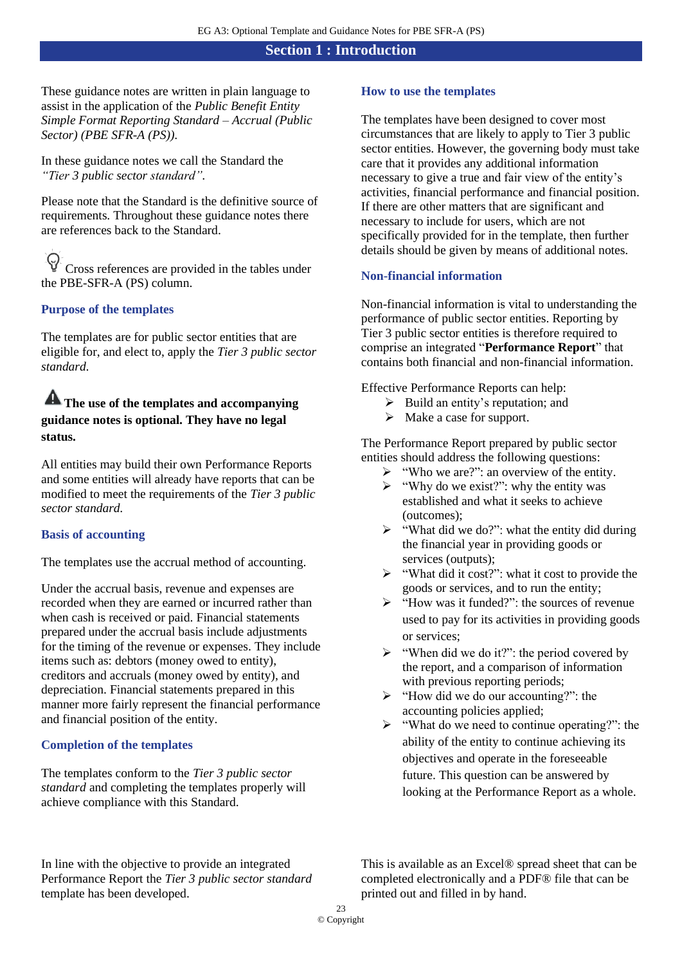### **Section 1 : Introduction**

<span id="page-22-0"></span>These guidance notes are written in plain language to assist in the application of the *Public Benefit Entity Simple Format Reporting Standard – Accrual (Public Sector) (PBE SFR-A (PS)).*

In these guidance notes we call the Standard the *"Tier 3 public sector standard".*

Please note that the Standard is the definitive source of requirements. Throughout these guidance notes there are references back to the Standard.

Cross references are provided in the tables under the PBE-SFR-A (PS) column.

### **Purpose of the templates**

The templates are for public sector entities that are eligible for, and elect to, apply the *Tier 3 public sector standard.*

# **The use of the templates and accompanying guidance notes is optional. They have no legal status.**

All entities may build their own Performance Reports and some entities will already have reports that can be modified to meet the requirements of the *Tier 3 public sector standard.*

### **Basis of accounting**

The templates use the accrual method of accounting.

Under the accrual basis, revenue and expenses are recorded when they are earned or incurred rather than when cash is received or paid. Financial statements prepared under the accrual basis include adjustments for the timing of the revenue or expenses. They include items such as: debtors (money owed to entity), creditors and accruals (money owed by entity), and depreciation. Financial statements prepared in this manner more fairly represent the financial performance and financial position of the entity.

### **Completion of the templates**

The templates conform to the *Tier 3 public sector standard* and completing the templates properly will achieve compliance with this Standard.

### **How to use the templates**

The templates have been designed to cover most circumstances that are likely to apply to Tier 3 public sector entities. However, the governing body must take care that it provides any additional information necessary to give a true and fair view of the entity's activities, financial performance and financial position. If there are other matters that are significant and necessary to include for users, which are not specifically provided for in the template, then further details should be given by means of additional notes.

### **Non-financial information**

Non-financial information is vital to understanding the performance of public sector entities. Reporting by Tier 3 public sector entities is therefore required to comprise an integrated "**Performance Report**" that contains both financial and non-financial information.

Effective Performance Reports can help:

- $\triangleright$  Build an entity's reputation; and
- $\triangleright$  Make a case for support.

The Performance Report prepared by public sector entities should address the following questions:

- $\triangleright$  "Who we are?": an overview of the entity.
- $\triangleright$  "Why do we exist?": why the entity was established and what it seeks to achieve (outcomes);
- $\triangleright$  "What did we do?": what the entity did during the financial year in providing goods or services (outputs):
- ➢ "What did it cost?": what it cost to provide the goods or services, and to run the entity;
- ➢ "How was it funded?": the sources of revenue used to pay for its activities in providing goods or services;
- $\triangleright$  "When did we do it?": the period covered by the report, and a comparison of information with previous reporting periods;
- ➢ "How did we do our accounting?": the accounting policies applied;
- ➢ "What do we need to continue operating?": the ability of the entity to continue achieving its objectives and operate in the foreseeable future. This question can be answered by looking at the Performance Report as a whole.

In line with the objective to provide an integrated Performance Report the *Tier 3 public sector standard* template has been developed.

This is available as an Excel® spread sheet that can be completed electronically and a PDF® file that can be printed out and filled in by hand.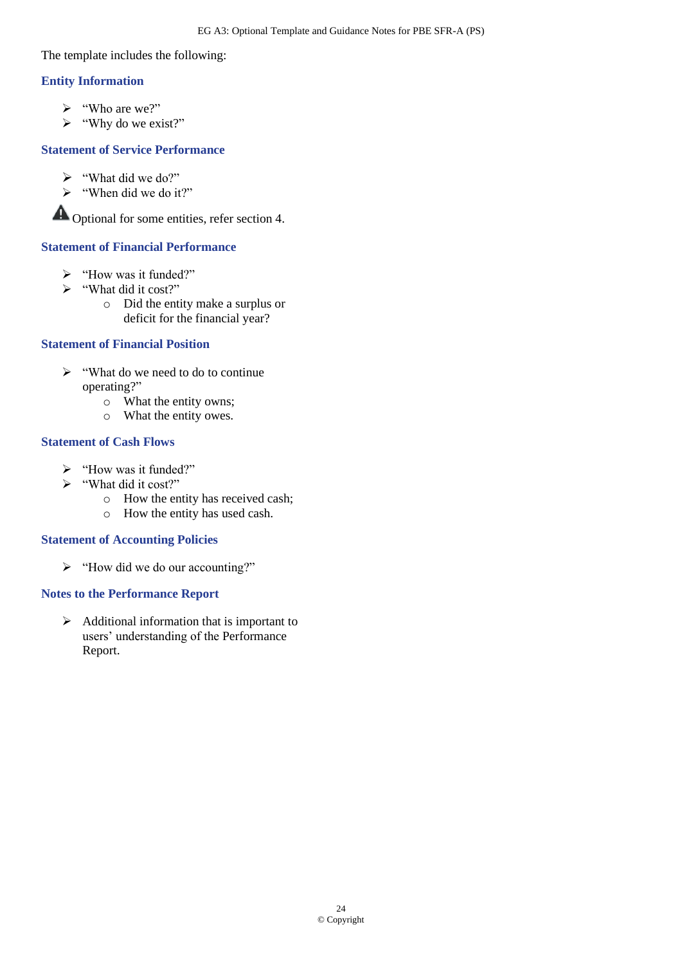The template includes the following:

### **Entity Information**

- $\triangleright$  "Who are we?"
- ➢ "Why do we exist?"

### **Statement of Service Performance**

- $\triangleright$  "What did we do?"
- ➢ "When did we do it?"

Optional for some entities, refer section 4.

### **Statement of Financial Performance**

- ➢ "How was it funded?"
- ➢ "What did it cost?"
	- o Did the entity make a surplus or deficit for the financial year?

### **Statement of Financial Position**

- ➢ "What do we need to do to continue operating?"
	- o What the entity owns;
	- o What the entity owes.

### **Statement of Cash Flows**

- ➢ "How was it funded?"
- ➢ "What did it cost?"
	- o How the entity has received cash;
	- o How the entity has used cash.

### **Statement of Accounting Policies**

➢ "How did we do our accounting?"

### **Notes to the Performance Report**

➢ Additional information that is important to users' understanding of the Performance Report.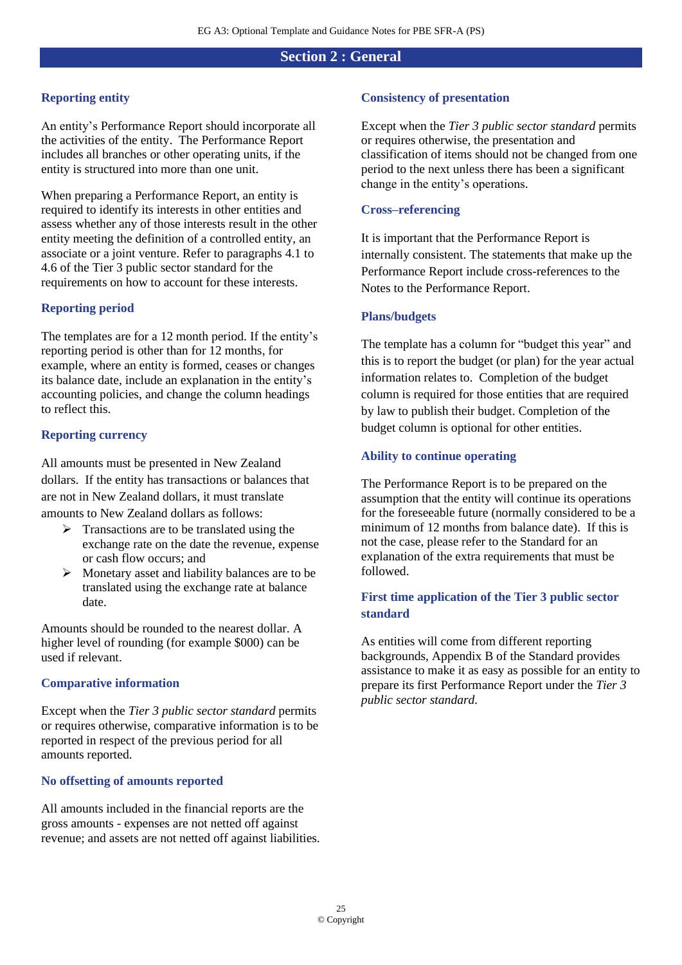## **Section 2 : General**

### <span id="page-24-0"></span>**Reporting entity**

An entity's Performance Report should incorporate all the activities of the entity. The Performance Report includes all branches or other operating units, if the entity is structured into more than one unit.

When preparing a Performance Report, an entity is required to identify its interests in other entities and assess whether any of those interests result in the other entity meeting the definition of a controlled entity, an associate or a joint venture. Refer to paragraphs 4.1 to 4.6 of the Tier 3 public sector standard for the requirements on how to account for these interests.

### **Reporting period**

The templates are for a 12 month period. If the entity's reporting period is other than for 12 months, for example, where an entity is formed, ceases or changes its balance date, include an explanation in the entity's accounting policies, and change the column headings to reflect this.

### **Reporting currency**

All amounts must be presented in New Zealand dollars. If the entity has transactions or balances that are not in New Zealand dollars, it must translate amounts to New Zealand dollars as follows:

- $\triangleright$  Transactions are to be translated using the exchange rate on the date the revenue, expense or cash flow occurs; and
- $\triangleright$  Monetary asset and liability balances are to be translated using the exchange rate at balance date.

Amounts should be rounded to the nearest dollar. A higher level of rounding (for example \$000) can be used if relevant.

### **Comparative information**

Except when the *Tier 3 public sector standard* permits or requires otherwise, comparative information is to be reported in respect of the previous period for all amounts reported.

### **No offsetting of amounts reported**

All amounts included in the financial reports are the gross amounts - expenses are not netted off against revenue; and assets are not netted off against liabilities.

### **Consistency of presentation**

Except when the *Tier 3 public sector standard* permits or requires otherwise, the presentation and classification of items should not be changed from one period to the next unless there has been a significant change in the entity's operations.

### **Cross–referencing**

It is important that the Performance Report is internally consistent. The statements that make up the Performance Report include cross-references to the Notes to the Performance Report.

### **Plans/budgets**

The template has a column for "budget this year" and this is to report the budget (or plan) for the year actual information relates to. Completion of the budget column is required for those entities that are required by law to publish their budget. Completion of the budget column is optional for other entities.

### **Ability to continue operating**

The Performance Report is to be prepared on the assumption that the entity will continue its operations for the foreseeable future (normally considered to be a minimum of 12 months from balance date). If this is not the case, please refer to the Standard for an explanation of the extra requirements that must be followed.

### **First time application of the Tier 3 public sector standard**

As entities will come from different reporting backgrounds, Appendix B of the Standard provides assistance to make it as easy as possible for an entity to prepare its first Performance Report under the *Tier 3 public sector standard.*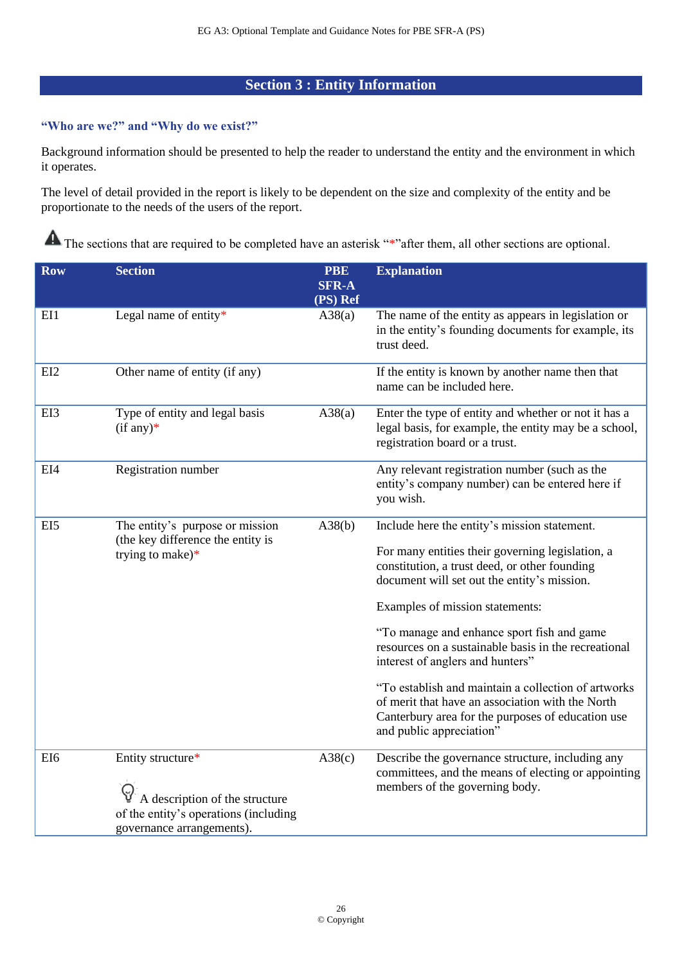# **Section 3 : Entity Information**

### <span id="page-25-0"></span>**"Who are we?" and "Why do we exist?"**

Background information should be presented to help the reader to understand the entity and the environment in which it operates.

The level of detail provided in the report is likely to be dependent on the size and complexity of the entity and be proportionate to the needs of the users of the report.

| <b>Row</b>      | <b>Section</b>                                                                                                            | <b>PBE</b><br><b>SFR-A</b> | <b>Explanation</b>                                                                                                                                                                                                                                                                                                                                                                                                                                                                                                                                                        |
|-----------------|---------------------------------------------------------------------------------------------------------------------------|----------------------------|---------------------------------------------------------------------------------------------------------------------------------------------------------------------------------------------------------------------------------------------------------------------------------------------------------------------------------------------------------------------------------------------------------------------------------------------------------------------------------------------------------------------------------------------------------------------------|
|                 |                                                                                                                           | (PS) Ref                   |                                                                                                                                                                                                                                                                                                                                                                                                                                                                                                                                                                           |
| EI1             | Legal name of entity*                                                                                                     | A38(a)                     | The name of the entity as appears in legislation or<br>in the entity's founding documents for example, its<br>trust deed.                                                                                                                                                                                                                                                                                                                                                                                                                                                 |
| EI2             | Other name of entity (if any)                                                                                             |                            | If the entity is known by another name then that<br>name can be included here.                                                                                                                                                                                                                                                                                                                                                                                                                                                                                            |
| EI3             | Type of entity and legal basis<br>$(if any)*$                                                                             | A38(a)                     | Enter the type of entity and whether or not it has a<br>legal basis, for example, the entity may be a school,<br>registration board or a trust.                                                                                                                                                                                                                                                                                                                                                                                                                           |
| EI4             | Registration number                                                                                                       |                            | Any relevant registration number (such as the<br>entity's company number) can be entered here if<br>you wish.                                                                                                                                                                                                                                                                                                                                                                                                                                                             |
| EI5             | The entity's purpose or mission<br>(the key difference the entity is<br>trying to make) $*$                               | A38(b)                     | Include here the entity's mission statement.<br>For many entities their governing legislation, a<br>constitution, a trust deed, or other founding<br>document will set out the entity's mission.<br>Examples of mission statements:<br>"To manage and enhance sport fish and game<br>resources on a sustainable basis in the recreational<br>interest of anglers and hunters"<br>"To establish and maintain a collection of artworks<br>of merit that have an association with the North<br>Canterbury area for the purposes of education use<br>and public appreciation" |
| EI <sub>6</sub> | Entity structure*<br>A description of the structure<br>of the entity's operations (including<br>governance arrangements). | A38(c)                     | Describe the governance structure, including any<br>committees, and the means of electing or appointing<br>members of the governing body.                                                                                                                                                                                                                                                                                                                                                                                                                                 |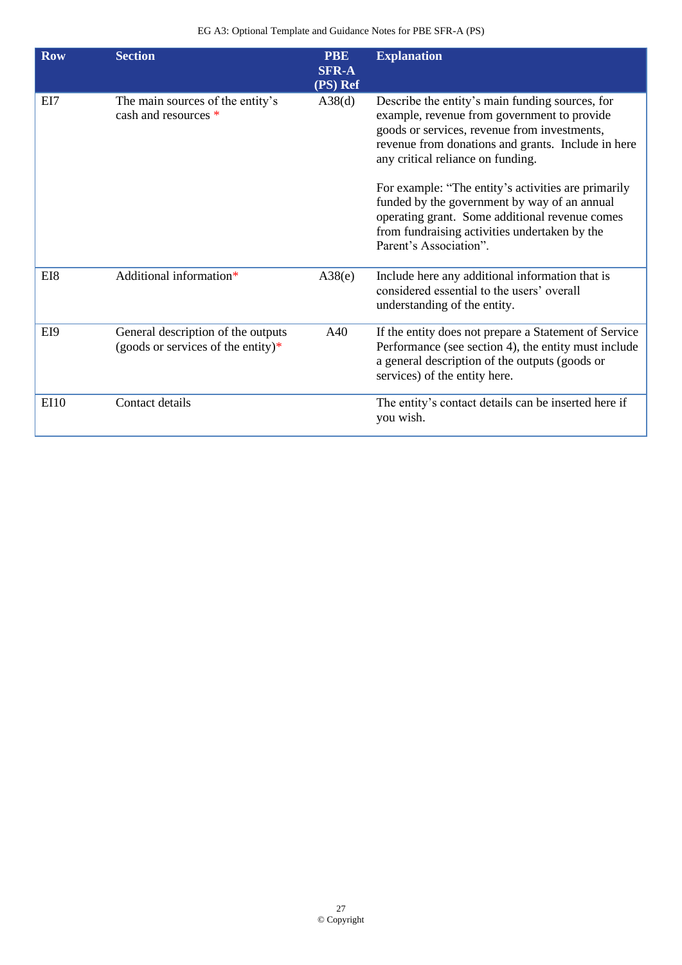| <b>Row</b>  | <b>Section</b>                                                           | <b>PBE</b><br><b>SFR-A</b><br>(PS) Ref | <b>Explanation</b>                                                                                                                                                                                                                        |
|-------------|--------------------------------------------------------------------------|----------------------------------------|-------------------------------------------------------------------------------------------------------------------------------------------------------------------------------------------------------------------------------------------|
| EI7         | The main sources of the entity's<br>cash and resources *                 | A38(d)                                 | Describe the entity's main funding sources, for<br>example, revenue from government to provide<br>goods or services, revenue from investments,<br>revenue from donations and grants. Include in here<br>any critical reliance on funding. |
|             |                                                                          |                                        | For example: "The entity's activities are primarily<br>funded by the government by way of an annual<br>operating grant. Some additional revenue comes<br>from fundraising activities undertaken by the<br>Parent's Association".          |
| EI8         | Additional information*                                                  | A38(e)                                 | Include here any additional information that is<br>considered essential to the users' overall<br>understanding of the entity.                                                                                                             |
| EI9         | General description of the outputs<br>(goods or services of the entity)* | A40                                    | If the entity does not prepare a Statement of Service<br>Performance (see section 4), the entity must include<br>a general description of the outputs (goods or<br>services) of the entity here.                                          |
| <b>EI10</b> | Contact details                                                          |                                        | The entity's contact details can be inserted here if<br>you wish.                                                                                                                                                                         |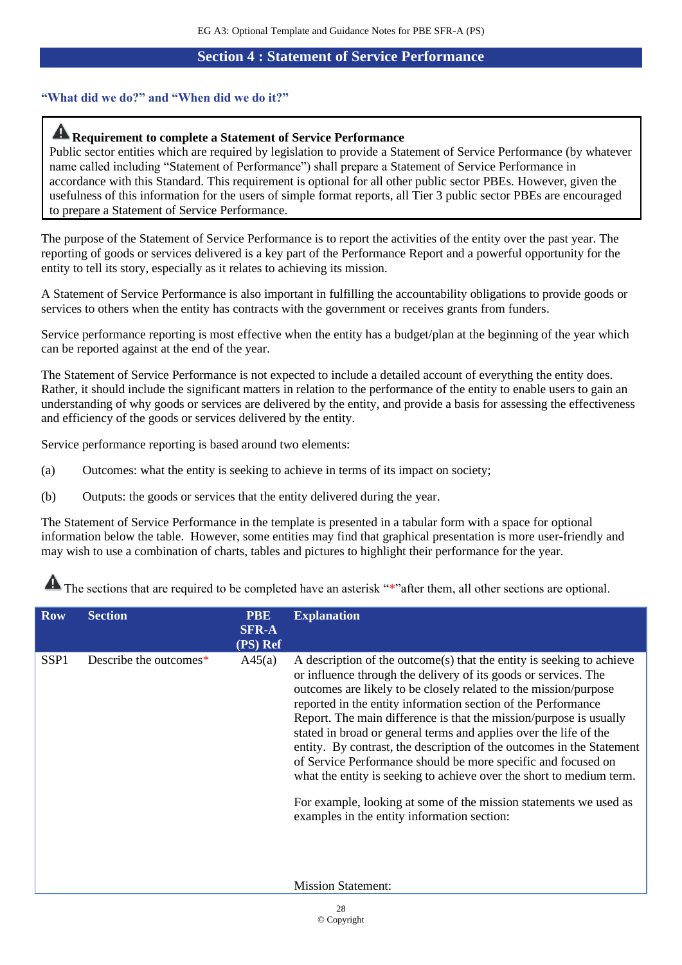### **Section 4 : Statement of Service Performance**

## <span id="page-27-0"></span>**"What did we do?" and "When did we do it?"**

# **Requirement to complete a Statement of Service Performance**

Public sector entities which are required by legislation to provide a Statement of Service Performance (by whatever name called including "Statement of Performance") shall prepare a Statement of Service Performance in accordance with this Standard. This requirement is optional for all other public sector PBEs. However, given the usefulness of this information for the users of simple format reports, all Tier 3 public sector PBEs are encouraged to prepare a Statement of Service Performance.

The purpose of the Statement of Service Performance is to report the activities of the entity over the past year. The reporting of goods or services delivered is a key part of the Performance Report and a powerful opportunity for the entity to tell its story, especially as it relates to achieving its mission.

A Statement of Service Performance is also important in fulfilling the accountability obligations to provide goods or services to others when the entity has contracts with the government or receives grants from funders.

Service performance reporting is most effective when the entity has a budget/plan at the beginning of the year which can be reported against at the end of the year.

The Statement of Service Performance is not expected to include a detailed account of everything the entity does. Rather, it should include the significant matters in relation to the performance of the entity to enable users to gain an understanding of why goods or services are delivered by the entity, and provide a basis for assessing the effectiveness and efficiency of the goods or services delivered by the entity.

Service performance reporting is based around two elements:

- (a) Outcomes: what the entity is seeking to achieve in terms of its impact on society;
- (b) Outputs: the goods or services that the entity delivered during the year.

The Statement of Service Performance in the template is presented in a tabular form with a space for optional information below the table. However, some entities may find that graphical presentation is more user-friendly and may wish to use a combination of charts, tables and pictures to highlight their performance for the year.

| <b>Row</b>       | <b>Section</b>         | <b>PBE</b><br><b>SFR-A</b><br>(PS) Ref | <b>Explanation</b>                                                                                                                                                                                                                                                                                                                                                                                                                                                                                                                                                                                                                                                                                                                                                                          |
|------------------|------------------------|----------------------------------------|---------------------------------------------------------------------------------------------------------------------------------------------------------------------------------------------------------------------------------------------------------------------------------------------------------------------------------------------------------------------------------------------------------------------------------------------------------------------------------------------------------------------------------------------------------------------------------------------------------------------------------------------------------------------------------------------------------------------------------------------------------------------------------------------|
| SSP <sub>1</sub> | Describe the outcomes* | A45(a)                                 | A description of the outcome(s) that the entity is seeking to achieve<br>or influence through the delivery of its goods or services. The<br>outcomes are likely to be closely related to the mission/purpose<br>reported in the entity information section of the Performance<br>Report. The main difference is that the mission/purpose is usually<br>stated in broad or general terms and applies over the life of the<br>entity. By contrast, the description of the outcomes in the Statement<br>of Service Performance should be more specific and focused on<br>what the entity is seeking to achieve over the short to medium term.<br>For example, looking at some of the mission statements we used as<br>examples in the entity information section:<br><b>Mission Statement:</b> |
|                  |                        |                                        |                                                                                                                                                                                                                                                                                                                                                                                                                                                                                                                                                                                                                                                                                                                                                                                             |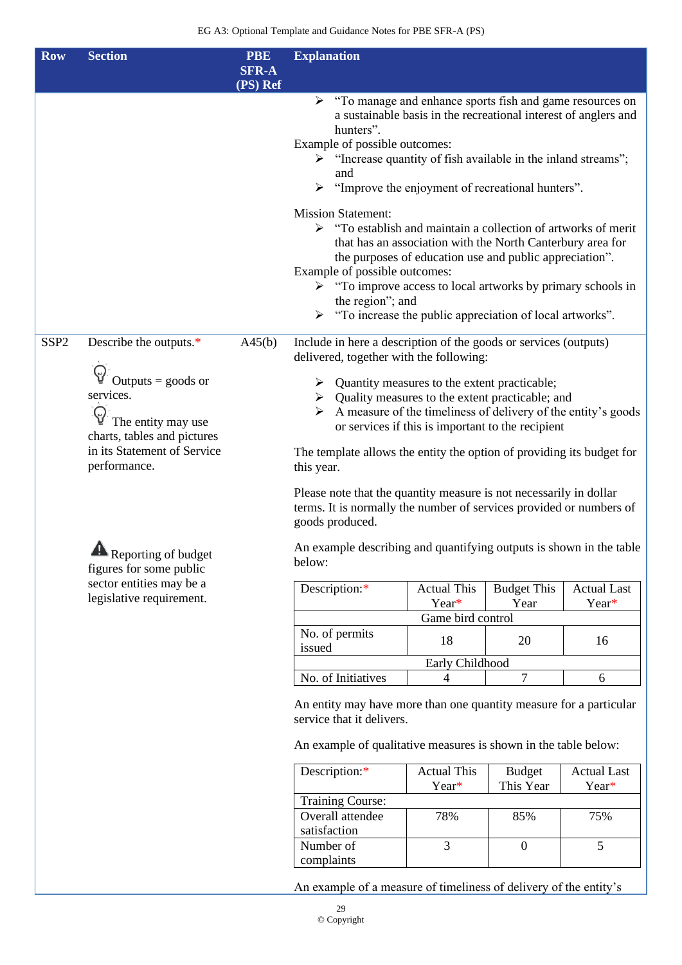| <b>Row</b>       | <b>Section</b>                                                                                                                                                  | <b>PBE</b><br><b>SFR-A</b><br>(PS) Ref | <b>Explanation</b>                                                                                                                                                                                                                                                                                                                                                                                                                                                                                                                                           |                                                   |                            |                                                                                                                                                                    |  |  |  |  |  |  |  |  |  |  |  |  |  |  |  |  |  |  |  |  |  |  |  |  |  |  |  |  |  |  |  |  |  |  |  |  |  |  |  |                          |    |    |
|------------------|-----------------------------------------------------------------------------------------------------------------------------------------------------------------|----------------------------------------|--------------------------------------------------------------------------------------------------------------------------------------------------------------------------------------------------------------------------------------------------------------------------------------------------------------------------------------------------------------------------------------------------------------------------------------------------------------------------------------------------------------------------------------------------------------|---------------------------------------------------|----------------------------|--------------------------------------------------------------------------------------------------------------------------------------------------------------------|--|--|--|--|--|--|--|--|--|--|--|--|--|--|--|--|--|--|--|--|--|--|--|--|--|--|--|--|--|--|--|--|--|--|--|--|--|--|--|--------------------------|----|----|
|                  |                                                                                                                                                                 |                                        | "To manage and enhance sports fish and game resources on<br>a sustainable basis in the recreational interest of anglers and<br>hunters".<br>Example of possible outcomes:<br>$\triangleright$ "Increase quantity of fish available in the inland streams";<br>and<br>> "Improve the enjoyment of recreational hunters".                                                                                                                                                                                                                                      |                                                   |                            |                                                                                                                                                                    |  |  |  |  |  |  |  |  |  |  |  |  |  |  |  |  |  |  |  |  |  |  |  |  |  |  |  |  |  |  |  |  |  |  |  |  |  |  |  |                          |    |    |
|                  |                                                                                                                                                                 |                                        | <b>Mission Statement:</b><br>$\triangleright$ "To establish and maintain a collection of artworks of merit<br>that has an association with the North Canterbury area for<br>the purposes of education use and public appreciation".<br>Example of possible outcomes:<br>> "To improve access to local artworks by primary schools in<br>the region"; and<br>> "To increase the public appreciation of local artworks".                                                                                                                                       |                                                   |                            |                                                                                                                                                                    |  |  |  |  |  |  |  |  |  |  |  |  |  |  |  |  |  |  |  |  |  |  |  |  |  |  |  |  |  |  |  |  |  |  |  |  |  |  |  |                          |    |    |
| SSP <sub>2</sub> | Describe the outputs.*<br>Outputs $=$ goods or<br>services.<br>The entity may use<br>charts, tables and pictures<br>in its Statement of Service<br>performance. | A45(b)                                 | Include in here a description of the goods or services (outputs)<br>delivered, together with the following:<br>Quantity measures to the extent practicable;<br>➤<br>$\triangleright$ Quality measures to the extent practicable; and<br>A measure of the timeliness of delivery of the entity's goods<br>The template allows the entity the option of providing its budget for<br>this year.<br>Please note that the quantity measure is not necessarily in dollar<br>terms. It is normally the number of services provided or numbers of<br>goods produced. | or services if this is important to the recipient |                            |                                                                                                                                                                    |  |  |  |  |  |  |  |  |  |  |  |  |  |  |  |  |  |  |  |  |  |  |  |  |  |  |  |  |  |  |  |  |  |  |  |  |  |  |  |                          |    |    |
|                  | Reporting of budget<br>figures for some public                                                                                                                  |                                        | An example describing and quantifying outputs is shown in the table<br>below:                                                                                                                                                                                                                                                                                                                                                                                                                                                                                |                                                   |                            |                                                                                                                                                                    |  |  |  |  |  |  |  |  |  |  |  |  |  |  |  |  |  |  |  |  |  |  |  |  |  |  |  |  |  |  |  |  |  |  |  |  |  |  |  |                          |    |    |
|                  | sector entities may be a<br>legislative requirement.                                                                                                            |                                        | Description:*                                                                                                                                                                                                                                                                                                                                                                                                                                                                                                                                                | <b>Actual This</b><br>Year*<br>Game bird control  | <b>Budget This</b><br>Year | <b>Actual Last</b><br>Year*                                                                                                                                        |  |  |  |  |  |  |  |  |  |  |  |  |  |  |  |  |  |  |  |  |  |  |  |  |  |  |  |  |  |  |  |  |  |  |  |  |  |  |  |                          |    |    |
|                  |                                                                                                                                                                 |                                        |                                                                                                                                                                                                                                                                                                                                                                                                                                                                                                                                                              |                                                   |                            |                                                                                                                                                                    |  |  |  |  |  |  |  |  |  |  |  |  |  |  |  |  |  |  |  |  |  |  |  |  |  |  |  |  |  |  |  |  |  |  |  |  |  |  |  | No. of permits<br>issued | 18 | 20 |
|                  |                                                                                                                                                                 |                                        | No. of Initiatives                                                                                                                                                                                                                                                                                                                                                                                                                                                                                                                                           | Early Childhood<br>4                              | $\tau$                     | 6                                                                                                                                                                  |  |  |  |  |  |  |  |  |  |  |  |  |  |  |  |  |  |  |  |  |  |  |  |  |  |  |  |  |  |  |  |  |  |  |  |  |  |  |  |                          |    |    |
|                  |                                                                                                                                                                 |                                        |                                                                                                                                                                                                                                                                                                                                                                                                                                                                                                                                                              |                                                   |                            | An entity may have more than one quantity measure for a particular<br>service that it delivers.<br>An example of qualitative measures is shown in the table below: |  |  |  |  |  |  |  |  |  |  |  |  |  |  |  |  |  |  |  |  |  |  |  |  |  |  |  |  |  |  |  |  |  |  |  |  |  |  |  |                          |    |    |
|                  |                                                                                                                                                                 |                                        | Description:*                                                                                                                                                                                                                                                                                                                                                                                                                                                                                                                                                | <b>Actual This</b><br>Year*                       | <b>Budget</b><br>This Year | <b>Actual Last</b><br>Year*                                                                                                                                        |  |  |  |  |  |  |  |  |  |  |  |  |  |  |  |  |  |  |  |  |  |  |  |  |  |  |  |  |  |  |  |  |  |  |  |  |  |  |  |                          |    |    |
|                  |                                                                                                                                                                 |                                        | <b>Training Course:</b><br>Overall attendee<br>satisfaction                                                                                                                                                                                                                                                                                                                                                                                                                                                                                                  | 78%                                               | 85%                        | 75%                                                                                                                                                                |  |  |  |  |  |  |  |  |  |  |  |  |  |  |  |  |  |  |  |  |  |  |  |  |  |  |  |  |  |  |  |  |  |  |  |  |  |  |  |                          |    |    |
|                  |                                                                                                                                                                 |                                        | Number of<br>complaints                                                                                                                                                                                                                                                                                                                                                                                                                                                                                                                                      | $\overline{3}$                                    | $\boldsymbol{0}$           | 5                                                                                                                                                                  |  |  |  |  |  |  |  |  |  |  |  |  |  |  |  |  |  |  |  |  |  |  |  |  |  |  |  |  |  |  |  |  |  |  |  |  |  |  |  |                          |    |    |

An example of a measure of timeliness of delivery of the entity's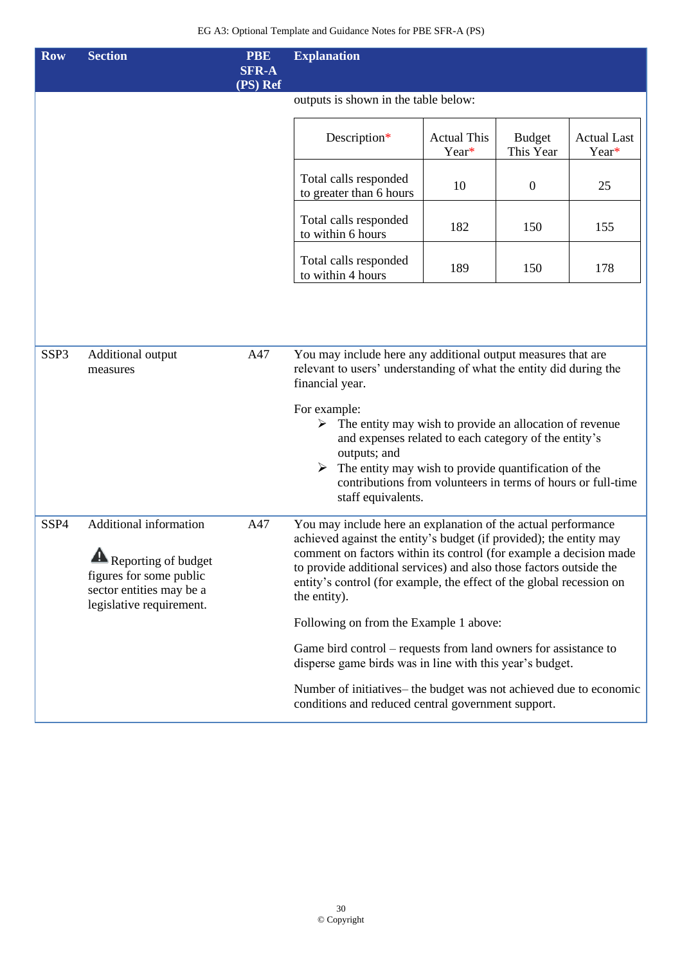| <b>Row</b>       | <b>Section</b>                                                                                                                        | <b>PBE</b><br><b>SFR-A</b><br>(PS) Ref | <b>Explanation</b>                                                                                                                                                                                                                                                                                                                                                      |                             |                            |                             |  |  |  |
|------------------|---------------------------------------------------------------------------------------------------------------------------------------|----------------------------------------|-------------------------------------------------------------------------------------------------------------------------------------------------------------------------------------------------------------------------------------------------------------------------------------------------------------------------------------------------------------------------|-----------------------------|----------------------------|-----------------------------|--|--|--|
|                  |                                                                                                                                       |                                        | outputs is shown in the table below:                                                                                                                                                                                                                                                                                                                                    |                             |                            |                             |  |  |  |
|                  |                                                                                                                                       |                                        | Description*                                                                                                                                                                                                                                                                                                                                                            | <b>Actual This</b><br>Year* | <b>Budget</b><br>This Year | <b>Actual Last</b><br>Year* |  |  |  |
|                  |                                                                                                                                       |                                        | Total calls responded<br>to greater than 6 hours                                                                                                                                                                                                                                                                                                                        | 10                          | $\mathbf{0}$               | 25                          |  |  |  |
|                  |                                                                                                                                       |                                        | Total calls responded<br>to within 6 hours                                                                                                                                                                                                                                                                                                                              | 182                         | 150                        | 155                         |  |  |  |
|                  |                                                                                                                                       |                                        | Total calls responded<br>to within 4 hours                                                                                                                                                                                                                                                                                                                              | 189                         | 150                        | 178                         |  |  |  |
|                  |                                                                                                                                       |                                        |                                                                                                                                                                                                                                                                                                                                                                         |                             |                            |                             |  |  |  |
| SSP <sub>3</sub> | Additional output<br>measures                                                                                                         | A47                                    | You may include here any additional output measures that are<br>relevant to users' understanding of what the entity did during the<br>financial year.                                                                                                                                                                                                                   |                             |                            |                             |  |  |  |
|                  |                                                                                                                                       |                                        | For example:<br>$\triangleright$ The entity may wish to provide an allocation of revenue<br>and expenses related to each category of the entity's<br>outputs; and<br>The entity may wish to provide quantification of the<br>contributions from volunteers in terms of hours or full-time<br>staff equivalents.                                                         |                             |                            |                             |  |  |  |
| SSP4             | Additional information<br>Λ<br>Reporting of budget<br>figures for some public<br>sector entities may be a<br>legislative requirement. | A47                                    | You may include here an explanation of the actual performance<br>achieved against the entity's budget (if provided); the entity may<br>comment on factors within its control (for example a decision made<br>to provide additional services) and also those factors outside the<br>entity's control (for example, the effect of the global recession on<br>the entity). |                             |                            |                             |  |  |  |
|                  |                                                                                                                                       |                                        | Following on from the Example 1 above:                                                                                                                                                                                                                                                                                                                                  |                             |                            |                             |  |  |  |
|                  |                                                                                                                                       |                                        | Game bird control – requests from land owners for assistance to<br>disperse game birds was in line with this year's budget.                                                                                                                                                                                                                                             |                             |                            |                             |  |  |  |
|                  |                                                                                                                                       |                                        | Number of initiatives– the budget was not achieved due to economic<br>conditions and reduced central government support.                                                                                                                                                                                                                                                |                             |                            |                             |  |  |  |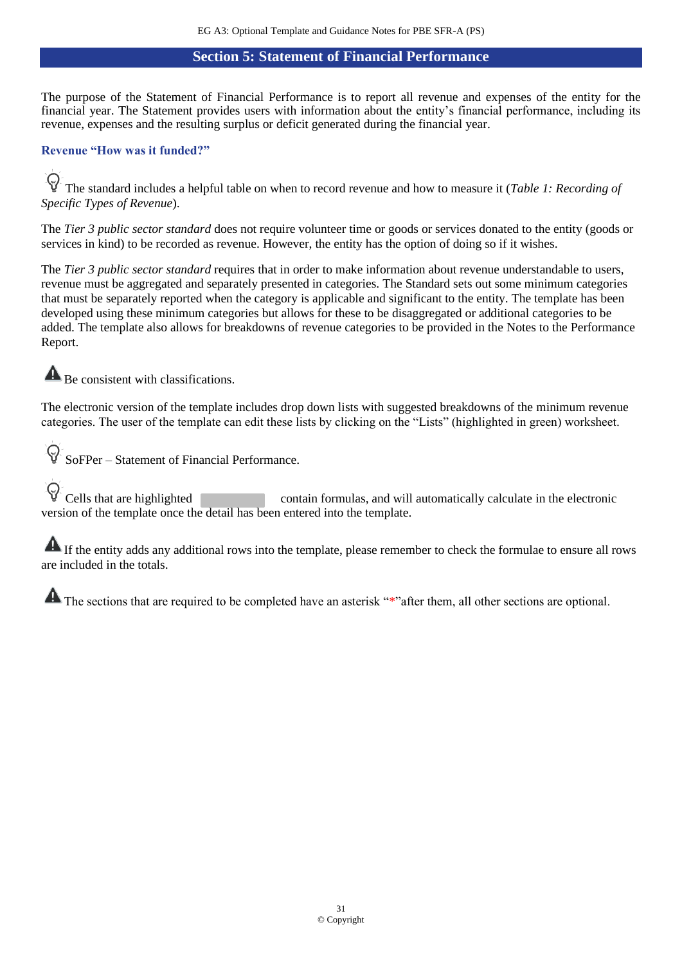## **Section 5: Statement of Financial Performance**

<span id="page-30-0"></span>The purpose of the Statement of Financial Performance is to report all revenue and expenses of the entity for the financial year. The Statement provides users with information about the entity's financial performance, including its revenue, expenses and the resulting surplus or deficit generated during the financial year.

### **Revenue "How was it funded?"**

 $\Theta$ The standard includes a helpful table on when to record revenue and how to measure it (*Table 1: Recording of Specific Types of Revenue*).

The *Tier 3 public sector standard* does not require volunteer time or goods or services donated to the entity (goods or services in kind) to be recorded as revenue. However, the entity has the option of doing so if it wishes.

The *Tier 3 public sector standard* requires that in order to make information about revenue understandable to users, revenue must be aggregated and separately presented in categories. The Standard sets out some minimum categories that must be separately reported when the category is applicable and significant to the entity. The template has been developed using these minimum categories but allows for these to be disaggregated or additional categories to be added. The template also allows for breakdowns of revenue categories to be provided in the Notes to the Performance Report.

**A** Be consistent with classifications.

The electronic version of the template includes drop down lists with suggested breakdowns of the minimum revenue categories. The user of the template can edit these lists by clicking on the "Lists" (highlighted in green) worksheet.

 $\varsigma$ SoFPer – Statement of Financial Performance.

Cells that are highlighted contain formulas, and will automatically calculate in the electronic version of the template once the detail has been entered into the template.

If the entity adds any additional rows into the template, please remember to check the formulae to ensure all rows are included in the totals.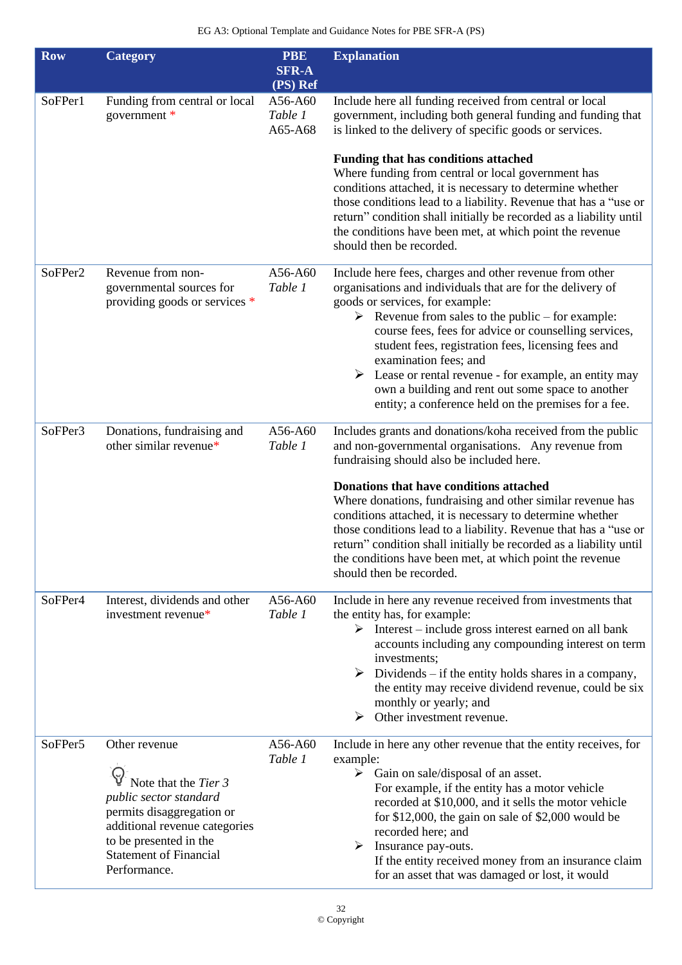| <b>Row</b> | <b>Category</b>                                                                                                                                                                                          | <b>PBE</b><br><b>SFR-A</b><br>(PS) Ref | <b>Explanation</b>                                                                                                                                                                                                                                                                                                                                                                                                                                                                                                                        |
|------------|----------------------------------------------------------------------------------------------------------------------------------------------------------------------------------------------------------|----------------------------------------|-------------------------------------------------------------------------------------------------------------------------------------------------------------------------------------------------------------------------------------------------------------------------------------------------------------------------------------------------------------------------------------------------------------------------------------------------------------------------------------------------------------------------------------------|
| SoFPer1    | Funding from central or local<br>government *                                                                                                                                                            | A56-A60<br>Table 1<br>A65-A68          | Include here all funding received from central or local<br>government, including both general funding and funding that<br>is linked to the delivery of specific goods or services.<br><b>Funding that has conditions attached</b>                                                                                                                                                                                                                                                                                                         |
|            |                                                                                                                                                                                                          |                                        | Where funding from central or local government has<br>conditions attached, it is necessary to determine whether<br>those conditions lead to a liability. Revenue that has a "use or<br>return" condition shall initially be recorded as a liability until<br>the conditions have been met, at which point the revenue<br>should then be recorded.                                                                                                                                                                                         |
| SoFPer2    | Revenue from non-<br>governmental sources for<br>providing goods or services *                                                                                                                           | A56-A60<br>Table 1                     | Include here fees, charges and other revenue from other<br>organisations and individuals that are for the delivery of<br>goods or services, for example:<br>Evenue from sales to the public – for example:<br>course fees, fees for advice or counselling services,<br>student fees, registration fees, licensing fees and<br>examination fees; and<br>$\triangleright$ Lease or rental revenue - for example, an entity may<br>own a building and rent out some space to another<br>entity; a conference held on the premises for a fee. |
| SoFPer3    | Donations, fundraising and<br>other similar revenue*                                                                                                                                                     | A56-A60<br>Table 1                     | Includes grants and donations/koha received from the public<br>and non-governmental organisations. Any revenue from<br>fundraising should also be included here.                                                                                                                                                                                                                                                                                                                                                                          |
|            |                                                                                                                                                                                                          |                                        | Donations that have conditions attached<br>Where donations, fundraising and other similar revenue has<br>conditions attached, it is necessary to determine whether<br>those conditions lead to a liability. Revenue that has a "use or<br>return" condition shall initially be recorded as a liability until<br>the conditions have been met, at which point the revenue<br>should then be recorded.                                                                                                                                      |
| SoFPer4    | Interest, dividends and other<br>investment revenue*                                                                                                                                                     | A56-A60<br>Table 1                     | Include in here any revenue received from investments that<br>the entity has, for example:<br>$\triangleright$ Interest – include gross interest earned on all bank<br>accounts including any compounding interest on term<br>investments;<br>$\triangleright$ Dividends – if the entity holds shares in a company,<br>the entity may receive dividend revenue, could be six<br>monthly or yearly; and<br>Other investment revenue.<br>➤                                                                                                  |
| SoFPer5    | Other revenue<br>Note that the Tier 3<br>public sector standard<br>permits disaggregation or<br>additional revenue categories<br>to be presented in the<br><b>Statement of Financial</b><br>Performance. | A56-A60<br>Table 1                     | Include in here any other revenue that the entity receives, for<br>example:<br>$\triangleright$ Gain on sale/disposal of an asset.<br>For example, if the entity has a motor vehicle<br>recorded at \$10,000, and it sells the motor vehicle<br>for $$12,000$ , the gain on sale of $$2,000$ would be<br>recorded here; and<br>Insurance pay-outs.<br>➤<br>If the entity received money from an insurance claim<br>for an asset that was damaged or lost, it would                                                                        |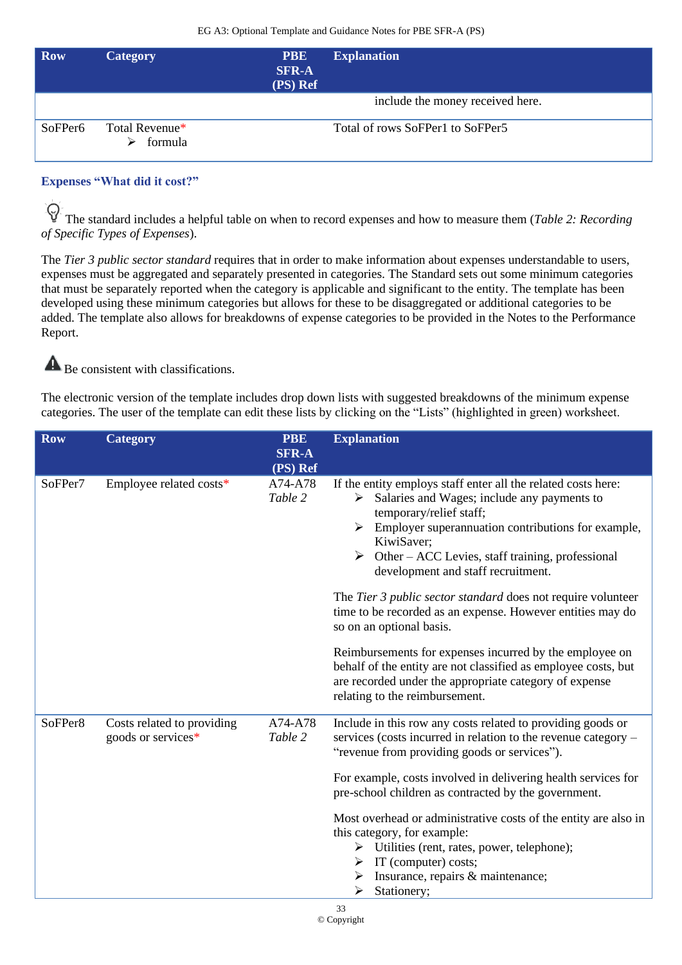| <b>Row</b>          | <b>Category</b>           | <b>PBE</b><br><b>SFR-A</b><br>(PS) Ref | <b>Explanation</b>               |
|---------------------|---------------------------|----------------------------------------|----------------------------------|
|                     |                           |                                        | include the money received here. |
| SoFPer <sub>6</sub> | Total Revenue*<br>formula |                                        | Total of rows SoFPer1 to SoFPer5 |

## **Expenses "What did it cost?"**

The standard includes a helpful table on when to record expenses and how to measure them (*Table 2: Recording*) *of Specific Types of Expenses*).

The *Tier 3 public sector standard* requires that in order to make information about expenses understandable to users, expenses must be aggregated and separately presented in categories. The Standard sets out some minimum categories that must be separately reported when the category is applicable and significant to the entity. The template has been developed using these minimum categories but allows for these to be disaggregated or additional categories to be added. The template also allows for breakdowns of expense categories to be provided in the Notes to the Performance Report.

 $\blacktriangle$ Be consistent with classifications.

The electronic version of the template includes drop down lists with suggested breakdowns of the minimum expense categories. The user of the template can edit these lists by clicking on the "Lists" (highlighted in green) worksheet.

| <b>Row</b> | <b>Category</b>                                  | <b>PBE</b><br><b>SFR-A</b>     | <b>Explanation</b>                                                                                                                                                                                                                                                                                                                                                                                                                                                                                                                                                                                                                                                                                                                          |
|------------|--------------------------------------------------|--------------------------------|---------------------------------------------------------------------------------------------------------------------------------------------------------------------------------------------------------------------------------------------------------------------------------------------------------------------------------------------------------------------------------------------------------------------------------------------------------------------------------------------------------------------------------------------------------------------------------------------------------------------------------------------------------------------------------------------------------------------------------------------|
| SoFPer7    | Employee related costs*                          | (PS) Ref<br>A74-A78<br>Table 2 | If the entity employs staff enter all the related costs here:<br>$\triangleright$ Salaries and Wages; include any payments to<br>temporary/relief staff;<br>$\triangleright$ Employer superannuation contributions for example,<br>KiwiSaver;<br>$\triangleright$ Other – ACC Levies, staff training, professional<br>development and staff recruitment.<br>The Tier 3 public sector standard does not require volunteer<br>time to be recorded as an expense. However entities may do<br>so on an optional basis.<br>Reimbursements for expenses incurred by the employee on<br>behalf of the entity are not classified as employee costs, but<br>are recorded under the appropriate category of expense<br>relating to the reimbursement. |
| SoFPer8    | Costs related to providing<br>goods or services* | A74-A78<br>Table 2             | Include in this row any costs related to providing goods or<br>services (costs incurred in relation to the revenue category –<br>"revenue from providing goods or services").<br>For example, costs involved in delivering health services for<br>pre-school children as contracted by the government.<br>Most overhead or administrative costs of the entity are also in<br>this category, for example:<br>$\triangleright$ Utilities (rent, rates, power, telephone);<br>$\triangleright$ IT (computer) costs;<br>Insurance, repairs & maintenance;<br>➤<br>Stationery;<br>➤<br>33                                                                                                                                                        |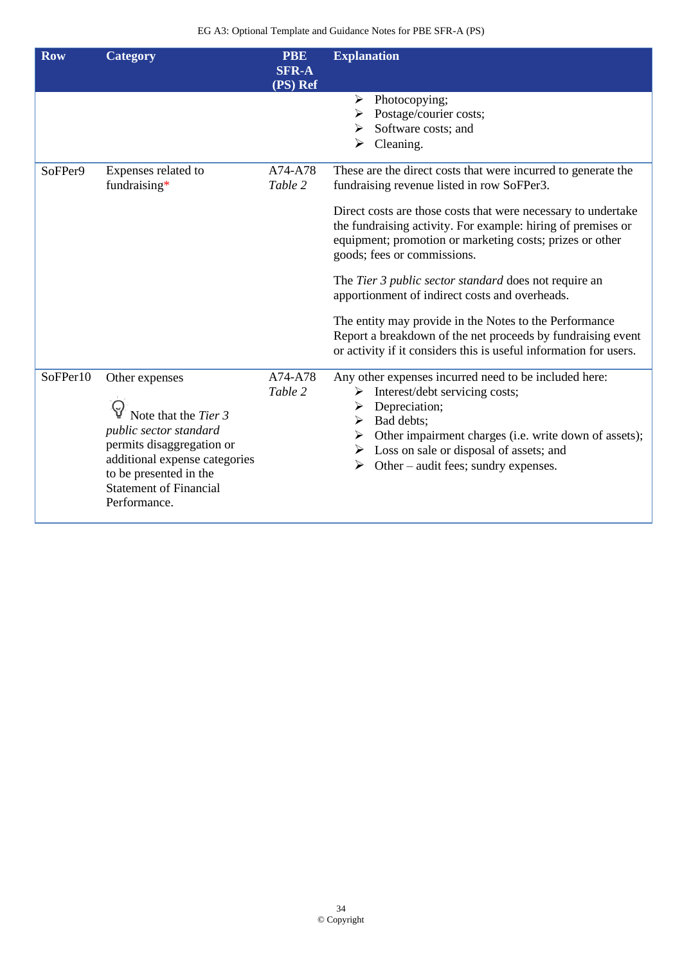| <b>Row</b> | <b>Category</b>                                                                                                                                                                                           | <b>PBE</b><br><b>SFR-A</b><br>(PS) Ref | <b>Explanation</b>                                                                                                                                                                                                                                                                                                         |
|------------|-----------------------------------------------------------------------------------------------------------------------------------------------------------------------------------------------------------|----------------------------------------|----------------------------------------------------------------------------------------------------------------------------------------------------------------------------------------------------------------------------------------------------------------------------------------------------------------------------|
|            |                                                                                                                                                                                                           |                                        | Photocopying;<br>➤<br>Postage/courier costs;<br>Software costs; and<br>Cleaning.                                                                                                                                                                                                                                           |
| SoFPer9    | Expenses related to<br>fundraising*                                                                                                                                                                       | A74-A78<br>Table 2                     | These are the direct costs that were incurred to generate the<br>fundraising revenue listed in row SoFPer3.                                                                                                                                                                                                                |
|            |                                                                                                                                                                                                           |                                        | Direct costs are those costs that were necessary to undertake<br>the fundraising activity. For example: hiring of premises or<br>equipment; promotion or marketing costs; prizes or other<br>goods; fees or commissions.                                                                                                   |
|            |                                                                                                                                                                                                           |                                        | The Tier 3 public sector standard does not require an<br>apportionment of indirect costs and overheads.                                                                                                                                                                                                                    |
|            |                                                                                                                                                                                                           |                                        | The entity may provide in the Notes to the Performance<br>Report a breakdown of the net proceeds by fundraising event<br>or activity if it considers this is useful information for users.                                                                                                                                 |
| SoFPer10   | Other expenses<br>Note that the Tier 3<br>public sector standard<br>permits disaggregation or<br>additional expense categories<br>to be presented in the<br><b>Statement of Financial</b><br>Performance. | A74-A78<br>Table 2                     | Any other expenses incurred need to be included here:<br>Interest/debt servicing costs;<br>➤<br>Depreciation;<br>$\triangleright$ Bad debts;<br>$\triangleright$ Other impairment charges (i.e. write down of assets);<br>$\triangleright$ Loss on sale or disposal of assets; and<br>Other – audit fees; sundry expenses. |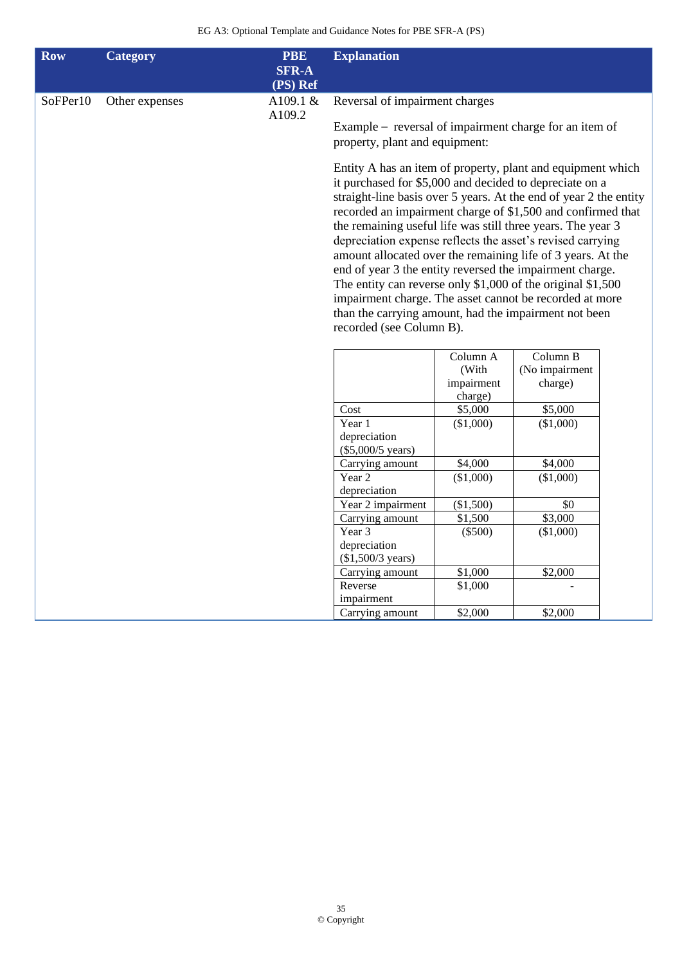| <b>Row</b> | <b>Category</b> | <b>PBE</b><br><b>SFR-A</b><br>(PS) Ref | <b>Explanation</b>                                                                                                                                                                                                                                                                                                                                                                                                                                                                                                                                                                                                                                                                                                                  |                       |                |  |  |
|------------|-----------------|----------------------------------------|-------------------------------------------------------------------------------------------------------------------------------------------------------------------------------------------------------------------------------------------------------------------------------------------------------------------------------------------------------------------------------------------------------------------------------------------------------------------------------------------------------------------------------------------------------------------------------------------------------------------------------------------------------------------------------------------------------------------------------------|-----------------------|----------------|--|--|
| SoFPer10   | Other expenses  | A109.1 $&$                             | Reversal of impairment charges                                                                                                                                                                                                                                                                                                                                                                                                                                                                                                                                                                                                                                                                                                      |                       |                |  |  |
|            |                 |                                        | A109.2<br>Example – reversal of impairment charge for an item of<br>property, plant and equipment:                                                                                                                                                                                                                                                                                                                                                                                                                                                                                                                                                                                                                                  |                       |                |  |  |
|            |                 |                                        | Entity A has an item of property, plant and equipment which<br>it purchased for \$5,000 and decided to depreciate on a<br>straight-line basis over 5 years. At the end of year 2 the entity<br>recorded an impairment charge of \$1,500 and confirmed that<br>the remaining useful life was still three years. The year 3<br>depreciation expense reflects the asset's revised carrying<br>amount allocated over the remaining life of 3 years. At the<br>end of year 3 the entity reversed the impairment charge.<br>The entity can reverse only $$1,000$ of the original $$1,500$<br>impairment charge. The asset cannot be recorded at more<br>than the carrying amount, had the impairment not been<br>recorded (see Column B). |                       |                |  |  |
|            |                 |                                        |                                                                                                                                                                                                                                                                                                                                                                                                                                                                                                                                                                                                                                                                                                                                     | Column A              | Column B       |  |  |
|            |                 |                                        |                                                                                                                                                                                                                                                                                                                                                                                                                                                                                                                                                                                                                                                                                                                                     | (With                 | (No impairment |  |  |
|            |                 |                                        |                                                                                                                                                                                                                                                                                                                                                                                                                                                                                                                                                                                                                                                                                                                                     | impairment<br>charge) | charge)        |  |  |
|            |                 |                                        | Cost                                                                                                                                                                                                                                                                                                                                                                                                                                                                                                                                                                                                                                                                                                                                | \$5,000               | \$5,000        |  |  |
|            |                 |                                        | Year 1                                                                                                                                                                                                                                                                                                                                                                                                                                                                                                                                                                                                                                                                                                                              | (\$1,000)             | (\$1,000)      |  |  |
|            |                 |                                        | depreciation<br>$(\$5,000/5 \text{ years})$                                                                                                                                                                                                                                                                                                                                                                                                                                                                                                                                                                                                                                                                                         |                       |                |  |  |
|            |                 |                                        | Carrying amount                                                                                                                                                                                                                                                                                                                                                                                                                                                                                                                                                                                                                                                                                                                     | \$4,000               | \$4,000        |  |  |
|            |                 |                                        | Year <sub>2</sub>                                                                                                                                                                                                                                                                                                                                                                                                                                                                                                                                                                                                                                                                                                                   | $(*1,000)$            | (\$1,000)      |  |  |
|            |                 |                                        | depreciation                                                                                                                                                                                                                                                                                                                                                                                                                                                                                                                                                                                                                                                                                                                        |                       |                |  |  |
|            |                 |                                        | Year 2 impairment                                                                                                                                                                                                                                                                                                                                                                                                                                                                                                                                                                                                                                                                                                                   | (\$1,500)             | \$0            |  |  |
|            |                 |                                        | Carrying amount                                                                                                                                                                                                                                                                                                                                                                                                                                                                                                                                                                                                                                                                                                                     | \$1,500               | \$3,000        |  |  |
|            |                 |                                        | Year 3                                                                                                                                                                                                                                                                                                                                                                                                                                                                                                                                                                                                                                                                                                                              | $(\$500)$             | (\$1,000)      |  |  |
|            |                 |                                        | depreciation<br>(\$1,500/3\$ years)                                                                                                                                                                                                                                                                                                                                                                                                                                                                                                                                                                                                                                                                                                 |                       |                |  |  |
|            |                 |                                        | Carrying amount                                                                                                                                                                                                                                                                                                                                                                                                                                                                                                                                                                                                                                                                                                                     | \$1,000               | \$2,000        |  |  |
|            |                 |                                        | Reverse                                                                                                                                                                                                                                                                                                                                                                                                                                                                                                                                                                                                                                                                                                                             | \$1,000               |                |  |  |
|            |                 |                                        | impairment                                                                                                                                                                                                                                                                                                                                                                                                                                                                                                                                                                                                                                                                                                                          |                       |                |  |  |
|            |                 |                                        | Carrying amount                                                                                                                                                                                                                                                                                                                                                                                                                                                                                                                                                                                                                                                                                                                     | \$2,000               | \$2,000        |  |  |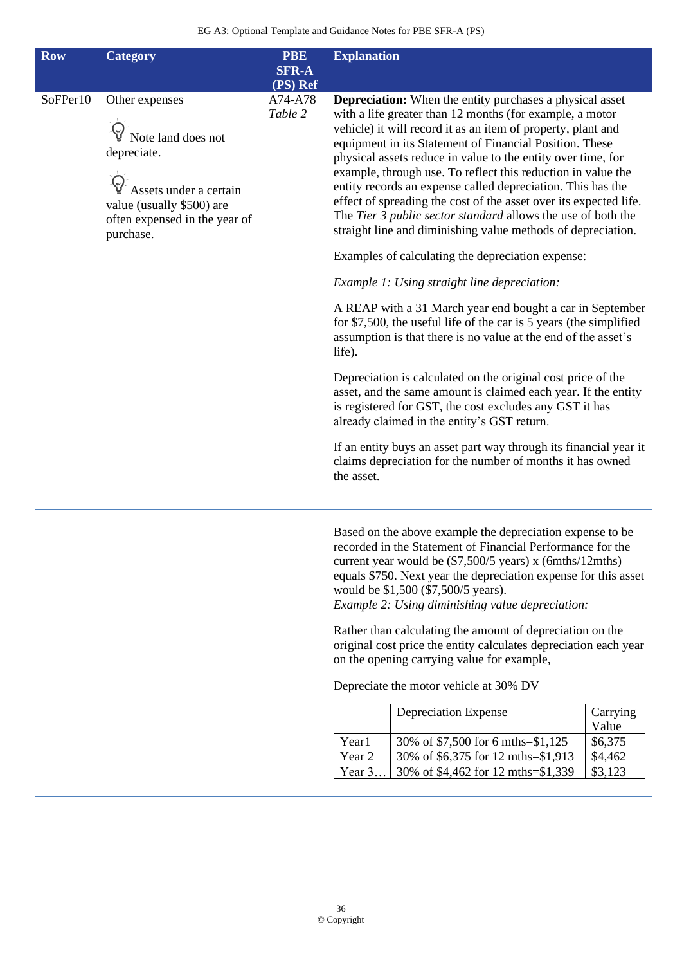| <b>Row</b> | <b>Category</b>                                                                                                                                          | <b>PBE</b>               | <b>Explanation</b>                                                                                                                                                                                                                                                                                                                                                                                                                                                                                                                                                                                                                                                                                                                                                                                                                                                                                                                                                                                                                                                                                                                                                                                                                                                                                                                                                         |
|------------|----------------------------------------------------------------------------------------------------------------------------------------------------------|--------------------------|----------------------------------------------------------------------------------------------------------------------------------------------------------------------------------------------------------------------------------------------------------------------------------------------------------------------------------------------------------------------------------------------------------------------------------------------------------------------------------------------------------------------------------------------------------------------------------------------------------------------------------------------------------------------------------------------------------------------------------------------------------------------------------------------------------------------------------------------------------------------------------------------------------------------------------------------------------------------------------------------------------------------------------------------------------------------------------------------------------------------------------------------------------------------------------------------------------------------------------------------------------------------------------------------------------------------------------------------------------------------------|
|            |                                                                                                                                                          | <b>SFR-A</b><br>(PS) Ref |                                                                                                                                                                                                                                                                                                                                                                                                                                                                                                                                                                                                                                                                                                                                                                                                                                                                                                                                                                                                                                                                                                                                                                                                                                                                                                                                                                            |
| SoFPer10   | Other expenses<br>Note land does not<br>depreciate.<br>Assets under a certain<br>value (usually \$500) are<br>often expensed in the year of<br>purchase. | A74-A78<br>Table 2       | <b>Depreciation:</b> When the entity purchases a physical asset<br>with a life greater than 12 months (for example, a motor<br>vehicle) it will record it as an item of property, plant and<br>equipment in its Statement of Financial Position. These<br>physical assets reduce in value to the entity over time, for<br>example, through use. To reflect this reduction in value the<br>entity records an expense called depreciation. This has the<br>effect of spreading the cost of the asset over its expected life.<br>The Tier 3 public sector standard allows the use of both the<br>straight line and diminishing value methods of depreciation.<br>Examples of calculating the depreciation expense:<br>Example 1: Using straight line depreciation:<br>A REAP with a 31 March year end bought a car in September<br>for \$7,500, the useful life of the car is 5 years (the simplified<br>assumption is that there is no value at the end of the asset's<br>life).<br>Depreciation is calculated on the original cost price of the<br>asset, and the same amount is claimed each year. If the entity<br>is registered for GST, the cost excludes any GST it has<br>already claimed in the entity's GST return.<br>If an entity buys an asset part way through its financial year it<br>claims depreciation for the number of months it has owned<br>the asset. |
|            |                                                                                                                                                          |                          | Based on the above example the depreciation expense to be<br>recorded in the Statement of Financial Performance for the<br>current year would be $(\$7,500/5$ years) x (6mths/12mths)<br>equals \$750. Next year the depreciation expense for this asset<br>would be \$1,500 (\$7,500/5 years).<br>Example 2: Using diminishing value depreciation:<br>Rather than calculating the amount of depreciation on the<br>original cost price the entity calculates depreciation each year<br>on the opening carrying value for example,<br>Depreciate the motor vehicle at 30% DV<br>Depreciation Expense<br>Carrying<br>Value<br>Year1<br>30% of \$7,500 for 6 mths=\$1,125<br>\$6,375                                                                                                                                                                                                                                                                                                                                                                                                                                                                                                                                                                                                                                                                                         |
|            |                                                                                                                                                          |                          | Year 2<br>30% of \$6,375 for 12 mths=\$1,913<br>\$4,462<br>Year 3<br>30% of \$4,462 for 12 mths=\$1,339<br>\$3,123                                                                                                                                                                                                                                                                                                                                                                                                                                                                                                                                                                                                                                                                                                                                                                                                                                                                                                                                                                                                                                                                                                                                                                                                                                                         |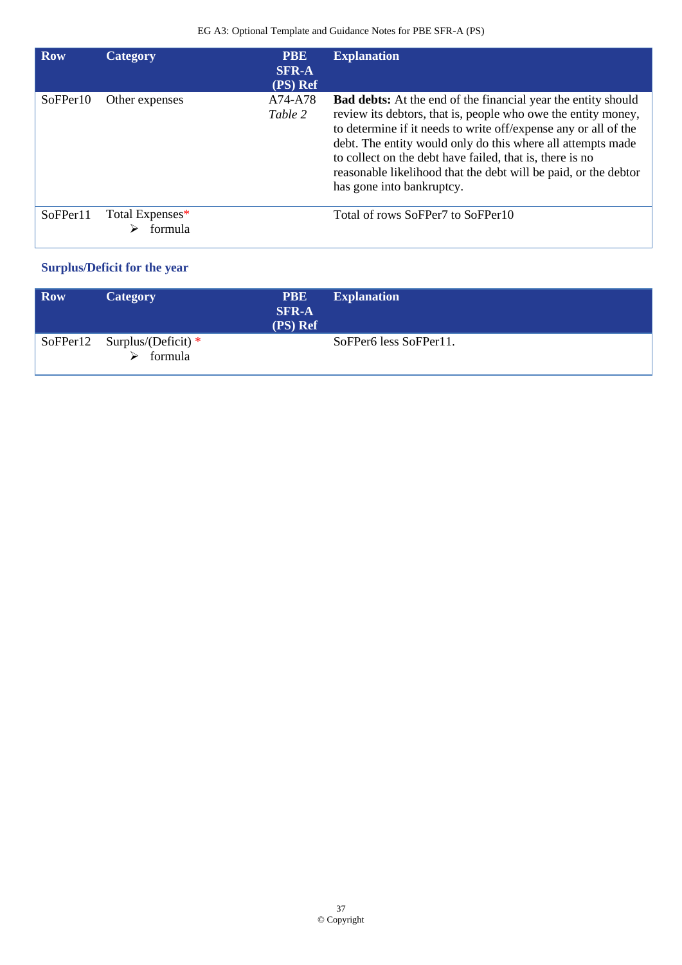| <b>Row</b>           | Category                   | <b>PBE</b><br><b>SFR-A</b><br>(PS) Ref | <b>Explanation</b>                                                                                                                                                                                                                                                                                                                                                                                                                  |
|----------------------|----------------------------|----------------------------------------|-------------------------------------------------------------------------------------------------------------------------------------------------------------------------------------------------------------------------------------------------------------------------------------------------------------------------------------------------------------------------------------------------------------------------------------|
| SoFPer <sub>10</sub> | Other expenses             | A74-A78<br>Table 2                     | <b>Bad debts:</b> At the end of the financial year the entity should<br>review its debtors, that is, people who owe the entity money,<br>to determine if it needs to write off/expense any or all of the<br>debt. The entity would only do this where all attempts made<br>to collect on the debt have failed, that is, there is no<br>reasonable likelihood that the debt will be paid, or the debtor<br>has gone into bankruptcy. |
| SoFPer11             | Total Expenses*<br>formula |                                        | Total of rows SoFPer7 to SoFPer10                                                                                                                                                                                                                                                                                                                                                                                                   |

# **Surplus/Deficit for the year**

| <b>Row</b> | <b>Category</b>                           | <b>PBE</b><br><b>SFR-A</b><br>(PS) Ref | <b>Explanation</b>     |
|------------|-------------------------------------------|----------------------------------------|------------------------|
|            | SoFPer12 Surplus/(Deficit) $*$<br>formula |                                        | SoFPer6 less SoFPer11. |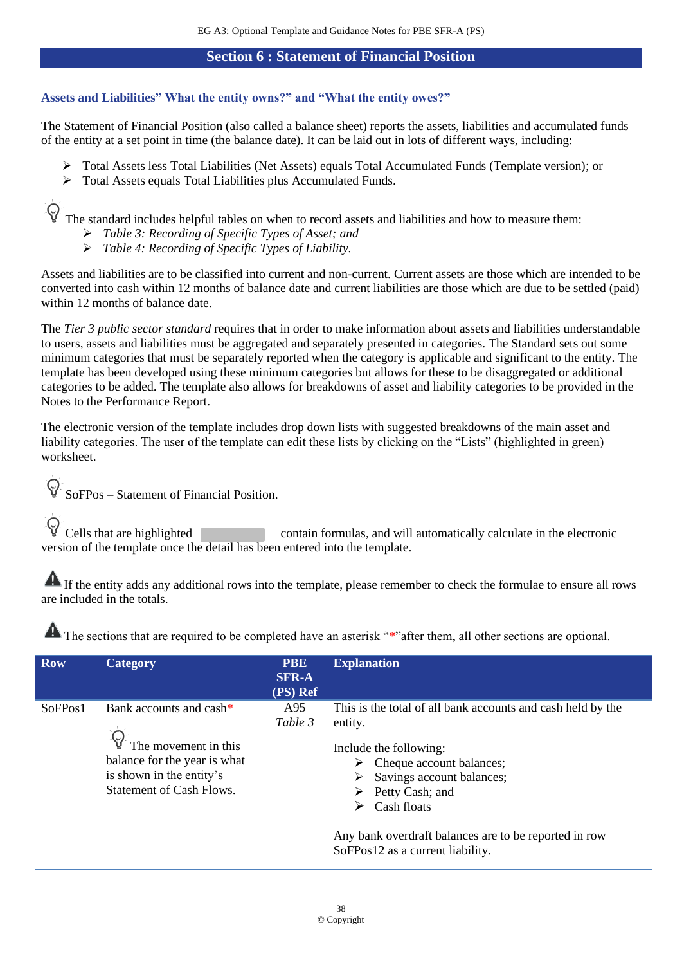### **Section 6 : Statement of Financial Position**

## <span id="page-37-0"></span>**Assets and Liabilities" What the entity owns?" and "What the entity owes?"**

The Statement of Financial Position (also called a balance sheet) reports the assets, liabilities and accumulated funds of the entity at a set point in time (the balance date). It can be laid out in lots of different ways, including:

- ➢ Total Assets less Total Liabilities (Net Assets) equals Total Accumulated Funds (Template version); or
- ➢ Total Assets equals Total Liabilities plus Accumulated Funds.

The standard includes helpful tables on when to record assets and liabilities and how to measure them:

- ➢ *Table 3: Recording of Specific Types of Asset; and*
- ➢ *Table 4: Recording of Specific Types of Liability.*

Assets and liabilities are to be classified into current and non-current. Current assets are those which are intended to be converted into cash within 12 months of balance date and current liabilities are those which are due to be settled (paid) within 12 months of balance date.

The *Tier 3 public sector standard* requires that in order to make information about assets and liabilities understandable to users, assets and liabilities must be aggregated and separately presented in categories. The Standard sets out some minimum categories that must be separately reported when the category is applicable and significant to the entity. The template has been developed using these minimum categories but allows for these to be disaggregated or additional categories to be added. The template also allows for breakdowns of asset and liability categories to be provided in the Notes to the Performance Report.

The electronic version of the template includes drop down lists with suggested breakdowns of the main asset and liability categories. The user of the template can edit these lists by clicking on the "Lists" (highlighted in green) worksheet.

 $\Theta$ SoFPos – Statement of Financial Position.

 $\mathbb{C}$  Cells that are highlighted contain formulas, and will automatically calculate in the electronic version of the template once the detail has been entered into the template.

If the entity adds any additional rows into the template, please remember to check the formulae to ensure all rows are included in the totals.

| <b>Row</b> | Category                                                                                                                                       | <b>PBE</b><br><b>SFR-A</b><br>(PS) Ref | <b>Explanation</b>                                                                                                                                                                                                                                                                                                                   |
|------------|------------------------------------------------------------------------------------------------------------------------------------------------|----------------------------------------|--------------------------------------------------------------------------------------------------------------------------------------------------------------------------------------------------------------------------------------------------------------------------------------------------------------------------------------|
| SoFPos1    | Bank accounts and cash*<br>The movement in this<br>balance for the year is what<br>is shown in the entity's<br><b>Statement of Cash Flows.</b> | A95<br>Table 3                         | This is the total of all bank accounts and cash held by the<br>entity.<br>Include the following:<br>$\triangleright$ Cheque account balances;<br>Savings account balances;<br>➤<br>Petty Cash; and<br>➤<br>Cash floats<br>➤<br>Any bank overdraft balances are to be reported in row<br>SoFPos <sub>12</sub> as a current liability. |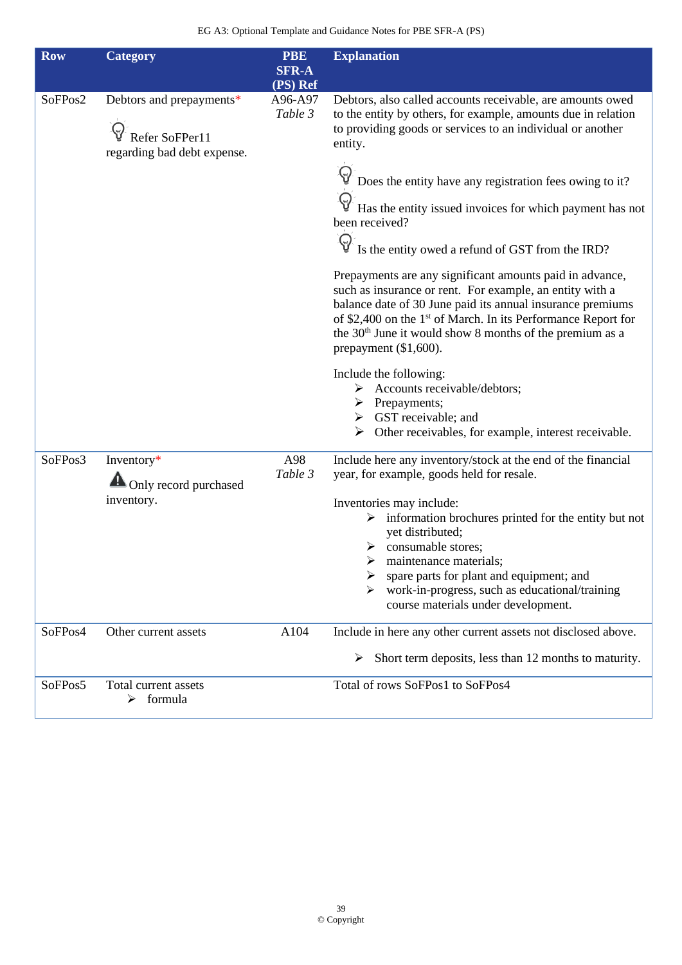| <b>Row</b> | <b>Category</b>                                                           | <b>PBE</b><br><b>SFR-A</b><br>(PS) Ref | <b>Explanation</b>                                                                                                                                                                                                                                                                                                                                                  |
|------------|---------------------------------------------------------------------------|----------------------------------------|---------------------------------------------------------------------------------------------------------------------------------------------------------------------------------------------------------------------------------------------------------------------------------------------------------------------------------------------------------------------|
| SoFPos2    | Debtors and prepayments*<br>Refer SoFPer11<br>regarding bad debt expense. | A96-A97<br>Table 3                     | Debtors, also called accounts receivable, are amounts owed<br>to the entity by others, for example, amounts due in relation<br>to providing goods or services to an individual or another<br>entity.                                                                                                                                                                |
|            |                                                                           |                                        | $\mathbb{Q}^{\mathbb{C}}$ Does the entity have any registration fees owing to it?                                                                                                                                                                                                                                                                                   |
|            |                                                                           |                                        | Has the entity issued invoices for which payment has not<br>been received?                                                                                                                                                                                                                                                                                          |
|            |                                                                           |                                        | Is the entity owed a refund of GST from the IRD?                                                                                                                                                                                                                                                                                                                    |
|            |                                                                           |                                        | Prepayments are any significant amounts paid in advance,<br>such as insurance or rent. For example, an entity with a<br>balance date of 30 June paid its annual insurance premiums<br>of \$2,400 on the 1 <sup>st</sup> of March. In its Performance Report for<br>the 30 <sup>th</sup> June it would show 8 months of the premium as a<br>prepayment $(\$1,600)$ . |
|            |                                                                           |                                        | Include the following:<br>$\triangleright$ Accounts receivable/debtors;<br>$\triangleright$ Prepayments;<br>$\triangleright$ GST receivable; and<br>$\triangleright$ Other receivables, for example, interest receivable.                                                                                                                                           |
| SoFPos3    | Inventory*                                                                | A98<br>Table 3                         | Include here any inventory/stock at the end of the financial<br>year, for example, goods held for resale.                                                                                                                                                                                                                                                           |
|            | Only record purchased<br>inventory.                                       |                                        | Inventories may include:<br>information brochures printed for the entity but not<br>yet distributed;<br>consumable stores;<br>≻<br>maintenance materials;<br>spare parts for plant and equipment; and<br>work-in-progress, such as educational/training<br>⋗<br>course materials under development.                                                                 |
| SoFPos4    | Other current assets                                                      | A104                                   | Include in here any other current assets not disclosed above.                                                                                                                                                                                                                                                                                                       |
|            |                                                                           |                                        | Short term deposits, less than 12 months to maturity.<br>➤                                                                                                                                                                                                                                                                                                          |
| SoFPos5    | Total current assets<br>formula<br>⋗                                      |                                        | Total of rows SoFPos1 to SoFPos4                                                                                                                                                                                                                                                                                                                                    |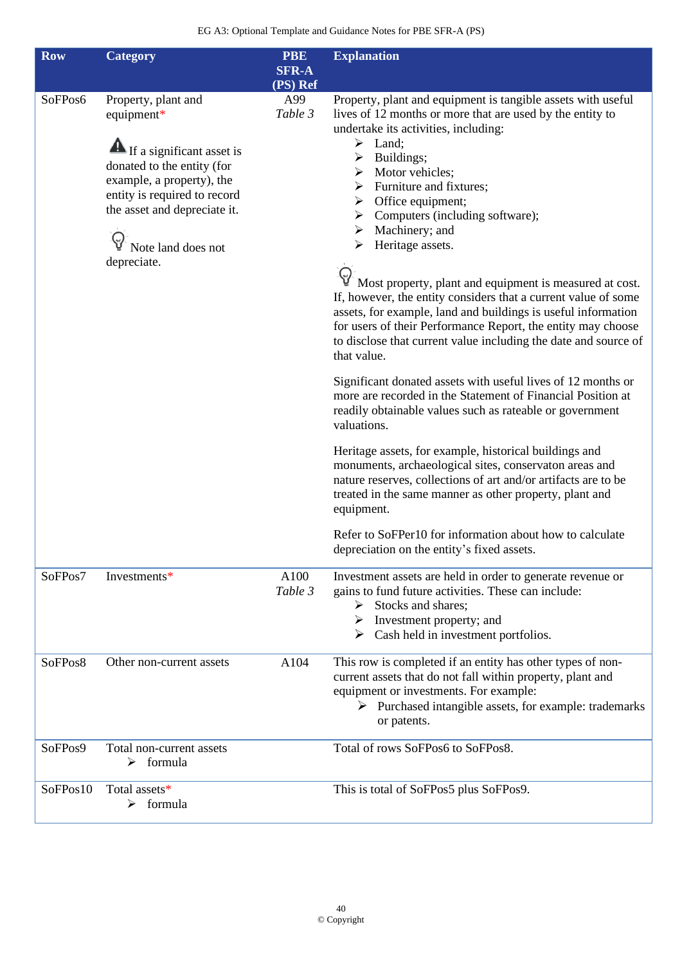| <b>Row</b> | <b>Category</b>                                                                                                                                                                                                                         | <b>PBE</b>                 | <b>Explanation</b>                                                                                                                                                                                                                                                                                                                                                                                                                                                                                                                                                                                                                                                                                                                                                                                                                                                                                                                                                                                                                                                                                                                                                                                                                                                                                                                                                             |
|------------|-----------------------------------------------------------------------------------------------------------------------------------------------------------------------------------------------------------------------------------------|----------------------------|--------------------------------------------------------------------------------------------------------------------------------------------------------------------------------------------------------------------------------------------------------------------------------------------------------------------------------------------------------------------------------------------------------------------------------------------------------------------------------------------------------------------------------------------------------------------------------------------------------------------------------------------------------------------------------------------------------------------------------------------------------------------------------------------------------------------------------------------------------------------------------------------------------------------------------------------------------------------------------------------------------------------------------------------------------------------------------------------------------------------------------------------------------------------------------------------------------------------------------------------------------------------------------------------------------------------------------------------------------------------------------|
|            |                                                                                                                                                                                                                                         | <b>SFR-A</b>               |                                                                                                                                                                                                                                                                                                                                                                                                                                                                                                                                                                                                                                                                                                                                                                                                                                                                                                                                                                                                                                                                                                                                                                                                                                                                                                                                                                                |
| SoFPos6    | Property, plant and<br>equipment*<br><b>A</b> If a significant asset is<br>donated to the entity (for<br>example, a property), the<br>entity is required to record<br>the asset and depreciate it.<br>Note land does not<br>depreciate. | (PS) Ref<br>A99<br>Table 3 | Property, plant and equipment is tangible assets with useful<br>lives of 12 months or more that are used by the entity to<br>undertake its activities, including:<br>$\triangleright$ Land;<br>Buildings;<br>➤<br>$\triangleright$ Motor vehicles;<br>$\triangleright$ Furniture and fixtures:<br>Office equipment;<br>➤<br>Computers (including software);<br>➤<br>$\triangleright$ Machinery; and<br>Heritage assets.<br>➤<br>$\mathbb{Q}^7$ Most property, plant and equipment is measured at cost.<br>If, however, the entity considers that a current value of some<br>assets, for example, land and buildings is useful information<br>for users of their Performance Report, the entity may choose<br>to disclose that current value including the date and source of<br>that value.<br>Significant donated assets with useful lives of 12 months or<br>more are recorded in the Statement of Financial Position at<br>readily obtainable values such as rateable or government<br>valuations.<br>Heritage assets, for example, historical buildings and<br>monuments, archaeological sites, conservaton areas and<br>nature reserves, collections of art and/or artifacts are to be<br>treated in the same manner as other property, plant and<br>equipment.<br>Refer to SoFPer10 for information about how to calculate<br>depreciation on the entity's fixed assets. |
| SoFPos7    | Investments*                                                                                                                                                                                                                            | A100<br>Table 3            | Investment assets are held in order to generate revenue or<br>gains to fund future activities. These can include:<br>$\triangleright$ Stocks and shares;<br>$\triangleright$ Investment property; and<br>$\triangleright$ Cash held in investment portfolios.                                                                                                                                                                                                                                                                                                                                                                                                                                                                                                                                                                                                                                                                                                                                                                                                                                                                                                                                                                                                                                                                                                                  |
| SoFPos8    | Other non-current assets                                                                                                                                                                                                                | A104                       | This row is completed if an entity has other types of non-<br>current assets that do not fall within property, plant and<br>equipment or investments. For example:<br>$\triangleright$ Purchased intangible assets, for example: trademarks<br>or patents.                                                                                                                                                                                                                                                                                                                                                                                                                                                                                                                                                                                                                                                                                                                                                                                                                                                                                                                                                                                                                                                                                                                     |
| SoFPos9    | Total non-current assets<br>formula<br>➤                                                                                                                                                                                                |                            | Total of rows SoFPos6 to SoFPos8.                                                                                                                                                                                                                                                                                                                                                                                                                                                                                                                                                                                                                                                                                                                                                                                                                                                                                                                                                                                                                                                                                                                                                                                                                                                                                                                                              |
| SoFPos10   | Total assets*<br>formula<br>➤                                                                                                                                                                                                           |                            | This is total of SoFPos5 plus SoFPos9.                                                                                                                                                                                                                                                                                                                                                                                                                                                                                                                                                                                                                                                                                                                                                                                                                                                                                                                                                                                                                                                                                                                                                                                                                                                                                                                                         |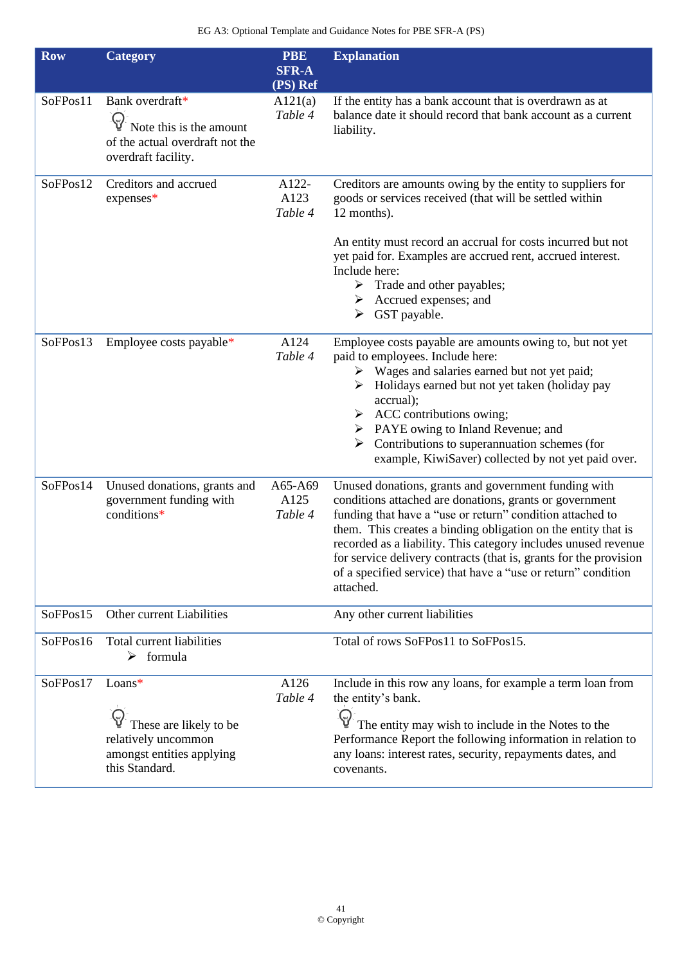| <b>Row</b> | <b>Category</b>                                                                                                     | <b>PBE</b><br><b>SFR-A</b><br>(PS) Ref | <b>Explanation</b>                                                                                                                                                                                                                                                                                                                                                                                                                                                 |
|------------|---------------------------------------------------------------------------------------------------------------------|----------------------------------------|--------------------------------------------------------------------------------------------------------------------------------------------------------------------------------------------------------------------------------------------------------------------------------------------------------------------------------------------------------------------------------------------------------------------------------------------------------------------|
| SoFPos11   | Bank overdraft*<br>$\varsigma$<br>Note this is the amount<br>of the actual overdraft not the<br>overdraft facility. | A121(a)<br>Table 4                     | If the entity has a bank account that is overdrawn as at<br>balance date it should record that bank account as a current<br>liability.                                                                                                                                                                                                                                                                                                                             |
| SoFPos12   | Creditors and accrued<br>expenses*                                                                                  | A122-<br>A123<br>Table 4               | Creditors are amounts owing by the entity to suppliers for<br>goods or services received (that will be settled within<br>12 months).                                                                                                                                                                                                                                                                                                                               |
|            |                                                                                                                     |                                        | An entity must record an accrual for costs incurred but not<br>yet paid for. Examples are accrued rent, accrued interest.<br>Include here:<br>$\triangleright$ Trade and other payables;<br>$\triangleright$ Accrued expenses; and<br>$\triangleright$ GST payable.                                                                                                                                                                                                |
| SoFPos13   | Employee costs payable*                                                                                             | A124<br>Table 4                        | Employee costs payable are amounts owing to, but not yet<br>paid to employees. Include here:<br>$\triangleright$ Wages and salaries earned but not yet paid;<br>$\triangleright$ Holidays earned but not yet taken (holiday pay<br>accrual);<br>$\triangleright$ ACC contributions owing;<br>PAYE owing to Inland Revenue; and<br>Contributions to superannuation schemes (for<br>➤<br>example, KiwiSaver) collected by not yet paid over.                         |
| SoFPos14   | Unused donations, grants and<br>government funding with<br>conditions*                                              | A65-A69<br>A125<br>Table 4             | Unused donations, grants and government funding with<br>conditions attached are donations, grants or government<br>funding that have a "use or return" condition attached to<br>them. This creates a binding obligation on the entity that is<br>recorded as a liability. This category includes unused revenue<br>for service delivery contracts (that is, grants for the provision<br>of a specified service) that have a "use or return" condition<br>attached. |
| SoFPos15   | Other current Liabilities                                                                                           |                                        | Any other current liabilities                                                                                                                                                                                                                                                                                                                                                                                                                                      |
| SoFPos16   | Total current liabilities<br>$\triangleright$ formula                                                               |                                        | Total of rows SoFPos11 to SoFPos15.                                                                                                                                                                                                                                                                                                                                                                                                                                |
| SoFPos17   | Loans*<br>These are likely to be<br>relatively uncommon<br>amongst entities applying<br>this Standard.              | A126<br>Table 4                        | Include in this row any loans, for example a term loan from<br>the entity's bank.<br>$\mathbb{Q}$<br>The entity may wish to include in the Notes to the<br>Performance Report the following information in relation to<br>any loans: interest rates, security, repayments dates, and<br>covenants.                                                                                                                                                                 |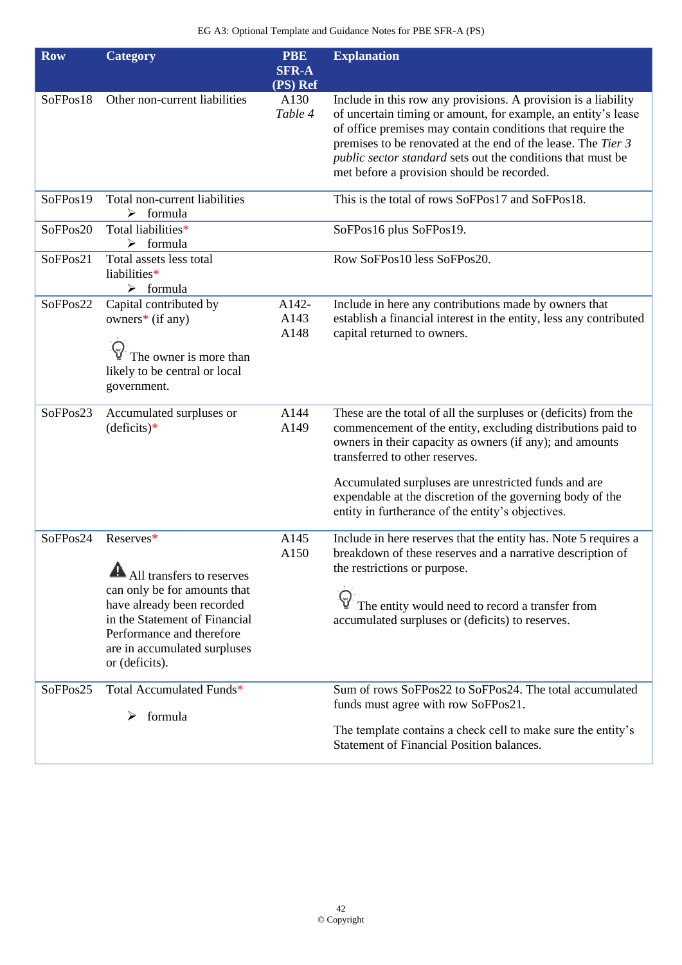| <b>Row</b> | <b>Category</b>                                                                                                                                                                                                      | <b>PBE</b><br><b>SFR-A</b> | <b>Explanation</b>                                                                                                                                                                                                                                                                                                                                                                                     |
|------------|----------------------------------------------------------------------------------------------------------------------------------------------------------------------------------------------------------------------|----------------------------|--------------------------------------------------------------------------------------------------------------------------------------------------------------------------------------------------------------------------------------------------------------------------------------------------------------------------------------------------------------------------------------------------------|
|            |                                                                                                                                                                                                                      | (PS) Ref                   |                                                                                                                                                                                                                                                                                                                                                                                                        |
| SoFPos18   | Other non-current liabilities                                                                                                                                                                                        | A130<br>Table 4            | Include in this row any provisions. A provision is a liability<br>of uncertain timing or amount, for example, an entity's lease<br>of office premises may contain conditions that require the<br>premises to be renovated at the end of the lease. The Tier 3<br>public sector standard sets out the conditions that must be<br>met before a provision should be recorded.                             |
| SoFPos19   | Total non-current liabilities<br>$\triangleright$ formula                                                                                                                                                            |                            | This is the total of rows SoFPos17 and SoFPos18.                                                                                                                                                                                                                                                                                                                                                       |
| SoFPos20   | Total liabilities*<br>formula<br>➤                                                                                                                                                                                   |                            | SoFPos16 plus SoFPos19.                                                                                                                                                                                                                                                                                                                                                                                |
| SoFPos21   | Total assets less total<br>liabilities*<br>$\triangleright$ formula                                                                                                                                                  |                            | Row SoFPos10 less SoFPos20.                                                                                                                                                                                                                                                                                                                                                                            |
| SoFPos22   | Capital contributed by<br>owners* (if any)<br>The owner is more than<br>likely to be central or local<br>government.                                                                                                 | A142-<br>A143<br>A148      | Include in here any contributions made by owners that<br>establish a financial interest in the entity, less any contributed<br>capital returned to owners.                                                                                                                                                                                                                                             |
| SoFPos23   | Accumulated surpluses or<br>$(deficits)*$                                                                                                                                                                            | A144<br>A149               | These are the total of all the surpluses or (deficits) from the<br>commencement of the entity, excluding distributions paid to<br>owners in their capacity as owners (if any); and amounts<br>transferred to other reserves.<br>Accumulated surpluses are unrestricted funds and are<br>expendable at the discretion of the governing body of the<br>entity in furtherance of the entity's objectives. |
| SoFPos24   | Reserves*<br>All transfers to reserves<br>can only be for amounts that<br>have already been recorded<br>in the Statement of Financial<br>Performance and therefore<br>are in accumulated surpluses<br>or (deficits). | A145<br>A150               | Include in here reserves that the entity has. Note 5 requires a<br>breakdown of these reserves and a narrative description of<br>the restrictions or purpose.<br>The entity would need to record a transfer from<br>accumulated surpluses or (deficits) to reserves.                                                                                                                                   |
| SoFPos25   | Total Accumulated Funds*<br>formula<br>➤                                                                                                                                                                             |                            | Sum of rows SoFPos22 to SoFPos24. The total accumulated<br>funds must agree with row SoFPos21.<br>The template contains a check cell to make sure the entity's<br><b>Statement of Financial Position balances.</b>                                                                                                                                                                                     |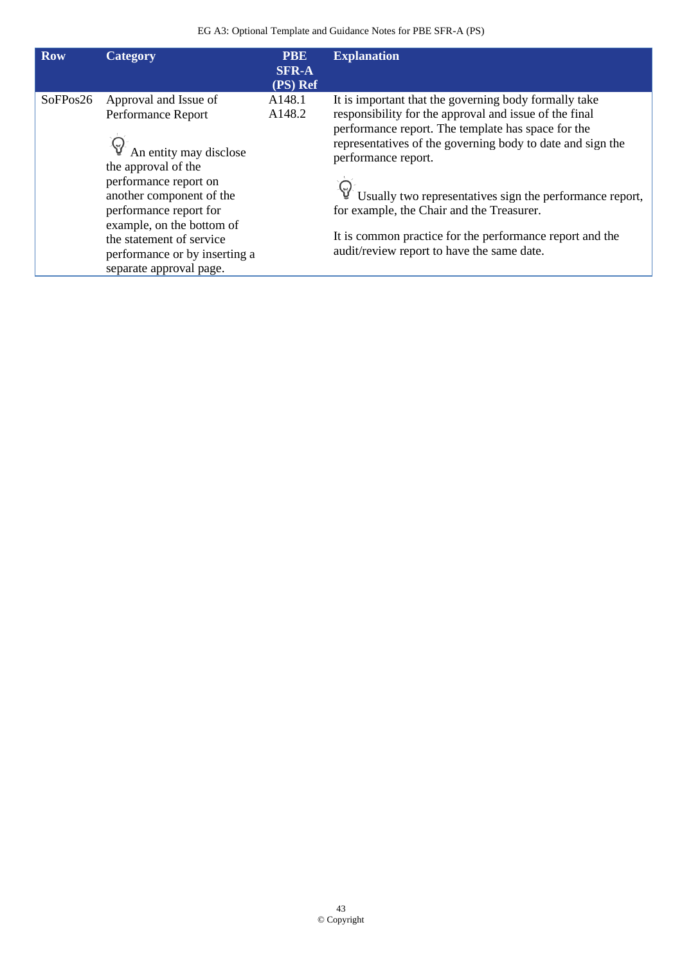| <b>Row</b> | Category                                                                                                                                                                                                                                                                                         | <b>PBE</b><br><b>SFR-A</b><br>(PS) Ref | <b>Explanation</b>                                                                                                                                                                                                                                                                                                                                                                                                                                                            |
|------------|--------------------------------------------------------------------------------------------------------------------------------------------------------------------------------------------------------------------------------------------------------------------------------------------------|----------------------------------------|-------------------------------------------------------------------------------------------------------------------------------------------------------------------------------------------------------------------------------------------------------------------------------------------------------------------------------------------------------------------------------------------------------------------------------------------------------------------------------|
| SoFPos26   | Approval and Issue of<br>Performance Report<br>An entity may disclose<br>the approval of the<br>performance report on<br>another component of the<br>performance report for<br>example, on the bottom of<br>the statement of service<br>performance or by inserting a<br>separate approval page. | A148.1<br>A148.2                       | It is important that the governing body formally take<br>responsibility for the approval and issue of the final<br>performance report. The template has space for the<br>representatives of the governing body to date and sign the<br>performance report.<br>Usually two representatives sign the performance report,<br>for example, the Chair and the Treasurer.<br>It is common practice for the performance report and the<br>audit/review report to have the same date. |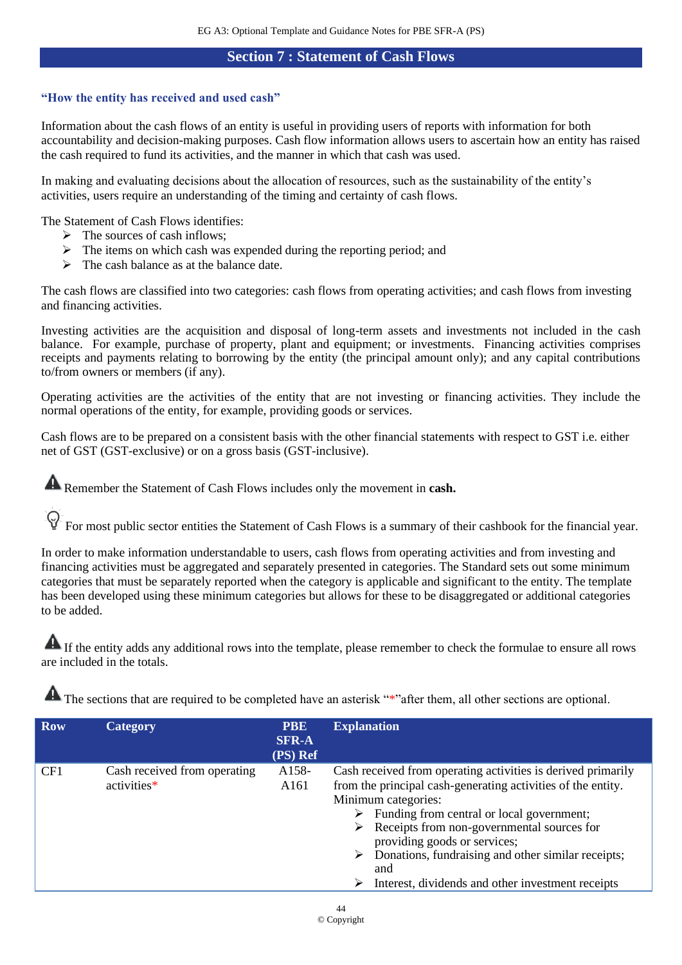## **Section 7 : Statement of Cash Flows**

### <span id="page-43-0"></span>**"How the entity has received and used cash"**

Information about the cash flows of an entity is useful in providing users of reports with information for both accountability and decision-making purposes. Cash flow information allows users to ascertain how an entity has raised the cash required to fund its activities, and the manner in which that cash was used.

In making and evaluating decisions about the allocation of resources, such as the sustainability of the entity's activities, users require an understanding of the timing and certainty of cash flows.

The Statement of Cash Flows identifies:

- $\triangleright$  The sources of cash inflows:
- $\triangleright$  The items on which cash was expended during the reporting period; and
- $\triangleright$  The cash balance as at the balance date.

The cash flows are classified into two categories: cash flows from operating activities; and cash flows from investing and financing activities.

Investing activities are the acquisition and disposal of long-term assets and investments not included in the cash balance. For example, purchase of property, plant and equipment; or investments. Financing activities comprises receipts and payments relating to borrowing by the entity (the principal amount only); and any capital contributions to/from owners or members (if any).

Operating activities are the activities of the entity that are not investing or financing activities. They include the normal operations of the entity, for example, providing goods or services.

Cash flows are to be prepared on a consistent basis with the other financial statements with respect to GST i.e. either net of GST (GST-exclusive) or on a gross basis (GST-inclusive).

**A** Remember the Statement of Cash Flows includes only the movement in **cash.** 

For most public sector entities the Statement of Cash Flows is a summary of their cashbook for the financial year.

In order to make information understandable to users, cash flows from operating activities and from investing and financing activities must be aggregated and separately presented in categories. The Standard sets out some minimum categories that must be separately reported when the category is applicable and significant to the entity. The template has been developed using these minimum categories but allows for these to be disaggregated or additional categories to be added.

If the entity adds any additional rows into the template, please remember to check the formulae to ensure all rows are included in the totals.

| <b>Row</b> | Category                                    | <b>PBE</b><br><b>SFR-A</b><br>(PS) Ref | <b>Explanation</b>                                                                                                                                                                                                                                                                                                                                                                                              |
|------------|---------------------------------------------|----------------------------------------|-----------------------------------------------------------------------------------------------------------------------------------------------------------------------------------------------------------------------------------------------------------------------------------------------------------------------------------------------------------------------------------------------------------------|
| CF1        | Cash received from operating<br>activities* | A <sub>158</sub> -<br>A <sub>161</sub> | Cash received from operating activities is derived primarily<br>from the principal cash-generating activities of the entity.<br>Minimum categories:<br>Funding from central or local government;<br>➤<br>Receipts from non-governmental sources for<br>➤<br>providing goods or services;<br>Donations, fundraising and other similar receipts;<br>➤<br>and<br>Interest, dividends and other investment receipts |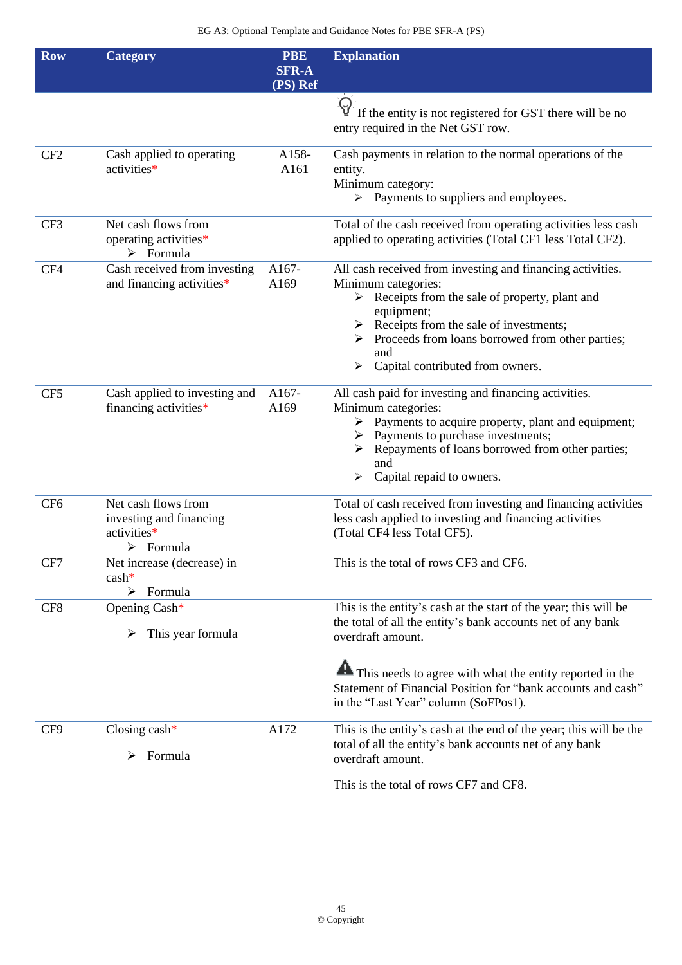| <b>Row</b>      | <b>Category</b>                                                                           | <b>PBE</b><br><b>SFR-A</b><br>(PS) Ref | <b>Explanation</b>                                                                                                                                                                                                                                                                                                            |
|-----------------|-------------------------------------------------------------------------------------------|----------------------------------------|-------------------------------------------------------------------------------------------------------------------------------------------------------------------------------------------------------------------------------------------------------------------------------------------------------------------------------|
|                 |                                                                                           |                                        | $\Theta$<br>If the entity is not registered for GST there will be no<br>entry required in the Net GST row.                                                                                                                                                                                                                    |
| CF <sub>2</sub> | Cash applied to operating<br>activities*                                                  | A158-<br>A161                          | Cash payments in relation to the normal operations of the<br>entity.<br>Minimum category:<br>$\triangleright$ Payments to suppliers and employees.                                                                                                                                                                            |
| CF3             | Net cash flows from<br>operating activities*<br>$\triangleright$ Formula                  |                                        | Total of the cash received from operating activities less cash<br>applied to operating activities (Total CF1 less Total CF2).                                                                                                                                                                                                 |
| CF4             | Cash received from investing<br>and financing activities*                                 | A167-<br>A169                          | All cash received from investing and financing activities.<br>Minimum categories:<br>$\triangleright$ Receipts from the sale of property, plant and<br>equipment;<br>$\triangleright$ Receipts from the sale of investments;<br>> Proceeds from loans borrowed from other parties;<br>and<br>Capital contributed from owners. |
| CF <sub>5</sub> | Cash applied to investing and<br>financing activities*                                    | A167-<br>A169                          | All cash paid for investing and financing activities.<br>Minimum categories:<br>$\triangleright$ Payments to acquire property, plant and equipment;<br>$\triangleright$ Payments to purchase investments;<br>Repayments of loans borrowed from other parties;<br>and<br>Capital repaid to owners.<br>➤                        |
| CF <sub>6</sub> | Net cash flows from<br>investing and financing<br>activities*<br>$\triangleright$ Formula |                                        | Total of cash received from investing and financing activities<br>less cash applied to investing and financing activities<br>(Total CF4 less Total CF5).                                                                                                                                                                      |
| CF7             | Net increase (decrease) in<br>$cash*$<br>Formula<br>➤                                     |                                        | This is the total of rows CF3 and CF6.                                                                                                                                                                                                                                                                                        |
| CF8             | Opening Cash*<br>This year formula                                                        |                                        | This is the entity's cash at the start of the year; this will be<br>the total of all the entity's bank accounts net of any bank<br>overdraft amount.                                                                                                                                                                          |
|                 |                                                                                           |                                        | This needs to agree with what the entity reported in the<br>Statement of Financial Position for "bank accounts and cash"<br>in the "Last Year" column (SoFPos1).                                                                                                                                                              |
| CF9             | Closing $cash^*$<br>Formula<br>➤                                                          | A172                                   | This is the entity's cash at the end of the year; this will be the<br>total of all the entity's bank accounts net of any bank<br>overdraft amount.                                                                                                                                                                            |
|                 |                                                                                           |                                        | This is the total of rows CF7 and CF8.                                                                                                                                                                                                                                                                                        |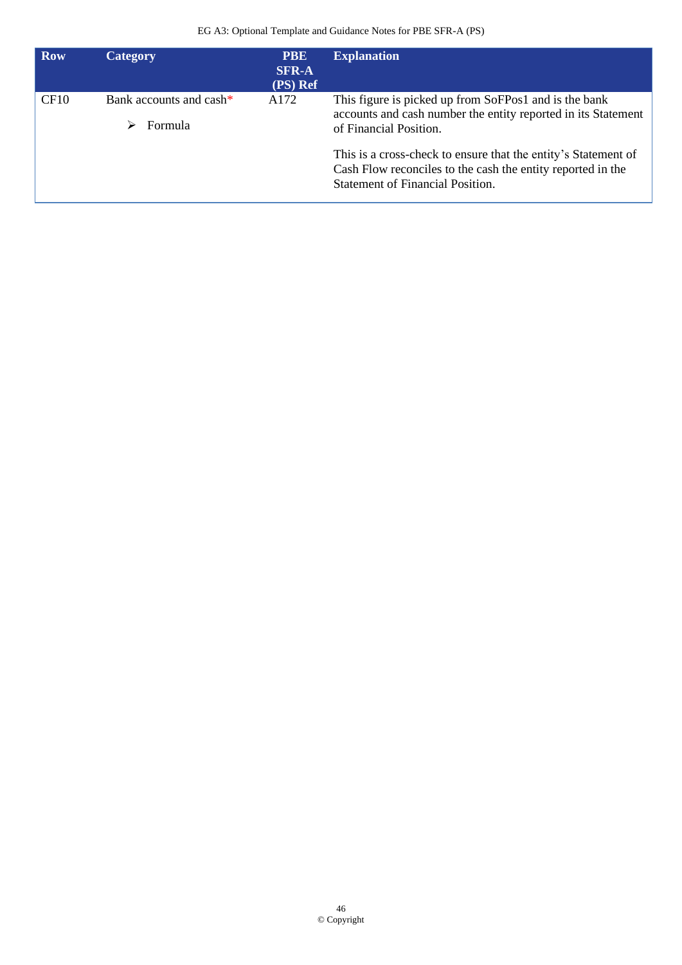| <b>Row</b> | <b>Category</b>                                | <b>PBE</b><br><b>SFR-A</b><br>(PS) Ref | <b>Explanation</b>                                                                                                                                                       |
|------------|------------------------------------------------|----------------------------------------|--------------------------------------------------------------------------------------------------------------------------------------------------------------------------|
| CF10       | Bank accounts and cash*<br><b>Formula</b><br>↘ | A172                                   | This figure is picked up from SoFPos1 and is the bank<br>accounts and cash number the entity reported in its Statement<br>of Financial Position.                         |
|            |                                                |                                        | This is a cross-check to ensure that the entity's Statement of<br>Cash Flow reconciles to the cash the entity reported in the<br><b>Statement of Financial Position.</b> |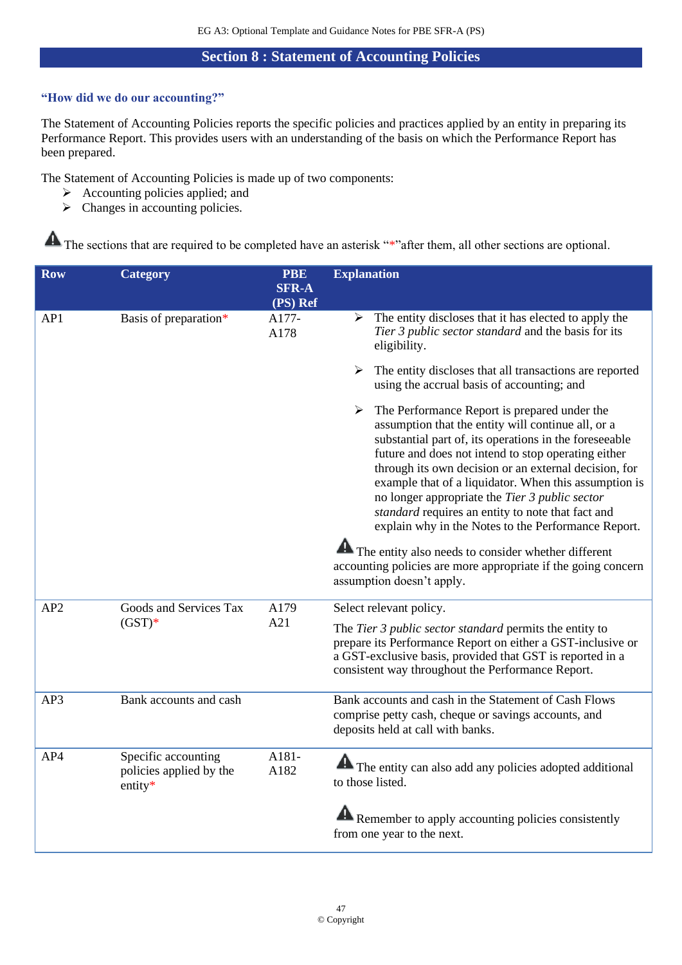## **Section 8 : Statement of Accounting Policies**

### <span id="page-46-0"></span>**"How did we do our accounting?"**

The Statement of Accounting Policies reports the specific policies and practices applied by an entity in preparing its Performance Report. This provides users with an understanding of the basis on which the Performance Report has been prepared.

The Statement of Accounting Policies is made up of two components:

- ➢ Accounting policies applied; and
- $\triangleright$  Changes in accounting policies.

| <b>Row</b>      | <b>Category</b>                                           | <b>PBE</b>               | <b>Explanation</b>                                                                                                                                                                                                                                                                                                                                                                                                                                                                                                                                                                                                               |  |
|-----------------|-----------------------------------------------------------|--------------------------|----------------------------------------------------------------------------------------------------------------------------------------------------------------------------------------------------------------------------------------------------------------------------------------------------------------------------------------------------------------------------------------------------------------------------------------------------------------------------------------------------------------------------------------------------------------------------------------------------------------------------------|--|
|                 |                                                           | <b>SFR-A</b><br>(PS) Ref |                                                                                                                                                                                                                                                                                                                                                                                                                                                                                                                                                                                                                                  |  |
| AP1             | Basis of preparation*                                     | A177-<br>A178            | The entity discloses that it has elected to apply the<br>➤<br>Tier 3 public sector standard and the basis for its<br>eligibility.                                                                                                                                                                                                                                                                                                                                                                                                                                                                                                |  |
|                 |                                                           |                          | The entity discloses that all transactions are reported<br>➤<br>using the accrual basis of accounting; and                                                                                                                                                                                                                                                                                                                                                                                                                                                                                                                       |  |
|                 |                                                           |                          | The Performance Report is prepared under the<br>➤<br>assumption that the entity will continue all, or a<br>substantial part of, its operations in the foreseeable<br>future and does not intend to stop operating either<br>through its own decision or an external decision, for<br>example that of a liquidator. When this assumption is<br>no longer appropriate the Tier 3 public sector<br>standard requires an entity to note that fact and<br>explain why in the Notes to the Performance Report.<br>The entity also needs to consider whether different<br>accounting policies are more appropriate if the going concern |  |
|                 |                                                           |                          | assumption doesn't apply.                                                                                                                                                                                                                                                                                                                                                                                                                                                                                                                                                                                                        |  |
| AP <sub>2</sub> | Goods and Services Tax                                    | A179<br>A21              | Select relevant policy.                                                                                                                                                                                                                                                                                                                                                                                                                                                                                                                                                                                                          |  |
|                 | $(GST)*$                                                  |                          | The Tier 3 public sector standard permits the entity to<br>prepare its Performance Report on either a GST-inclusive or<br>a GST-exclusive basis, provided that GST is reported in a<br>consistent way throughout the Performance Report.                                                                                                                                                                                                                                                                                                                                                                                         |  |
| AP3             | Bank accounts and cash                                    |                          | Bank accounts and cash in the Statement of Cash Flows<br>comprise petty cash, cheque or savings accounts, and<br>deposits held at call with banks.                                                                                                                                                                                                                                                                                                                                                                                                                                                                               |  |
| AP4             | Specific accounting<br>policies applied by the<br>entity* | A181-<br>A182            | The entity can also add any policies adopted additional<br>to those listed.                                                                                                                                                                                                                                                                                                                                                                                                                                                                                                                                                      |  |
|                 |                                                           |                          | <b>Remember to apply accounting policies consistently</b><br>from one year to the next.                                                                                                                                                                                                                                                                                                                                                                                                                                                                                                                                          |  |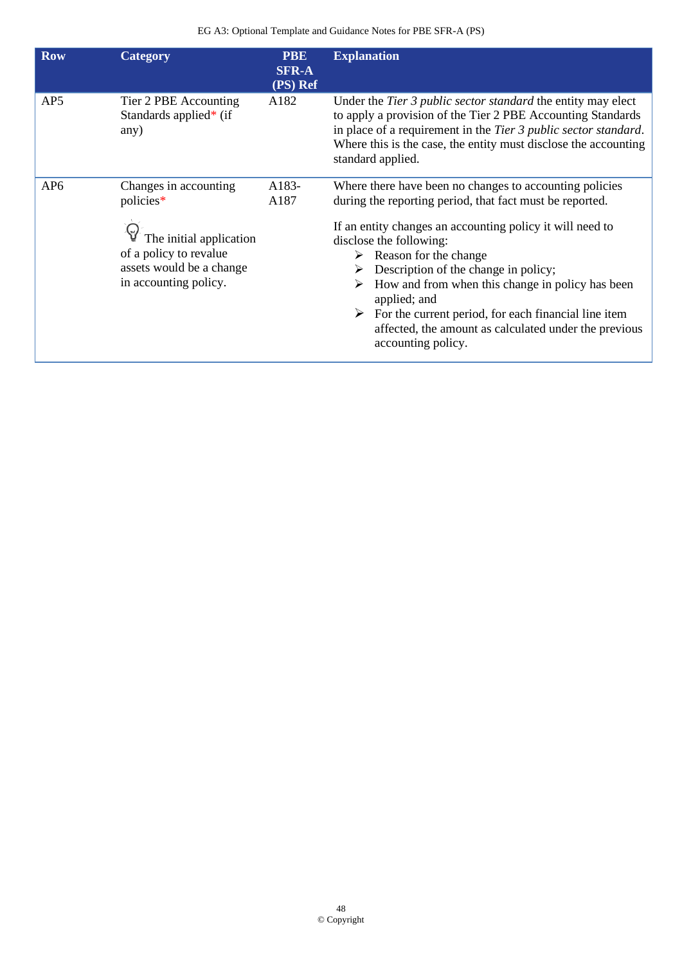| <b>Row</b>      | <b>Category</b>                                                                                                                              | <b>PBE</b><br><b>SFR-A</b><br>(PS) Ref | <b>Explanation</b>                                                                                                                                                                                                                                                                                                                                                                                                                                                                                                        |
|-----------------|----------------------------------------------------------------------------------------------------------------------------------------------|----------------------------------------|---------------------------------------------------------------------------------------------------------------------------------------------------------------------------------------------------------------------------------------------------------------------------------------------------------------------------------------------------------------------------------------------------------------------------------------------------------------------------------------------------------------------------|
| AP <sub>5</sub> | Tier 2 PBE Accounting<br>Standards applied* (if<br>any)                                                                                      | A182                                   | Under the <i>Tier 3 public sector standard</i> the entity may elect<br>to apply a provision of the Tier 2 PBE Accounting Standards<br>in place of a requirement in the Tier 3 public sector standard.<br>Where this is the case, the entity must disclose the accounting<br>standard applied.                                                                                                                                                                                                                             |
| AP <sub>6</sub> | Changes in accounting<br>policies*<br>The initial application<br>of a policy to revalue<br>assets would be a change<br>in accounting policy. | A183-<br>A187                          | Where there have been no changes to accounting policies<br>during the reporting period, that fact must be reported.<br>If an entity changes an accounting policy it will need to<br>disclose the following:<br>$\triangleright$ Reason for the change<br>Description of the change in policy;<br>How and from when this change in policy has been<br>applied; and<br>$\triangleright$ For the current period, for each financial line item<br>affected, the amount as calculated under the previous<br>accounting policy. |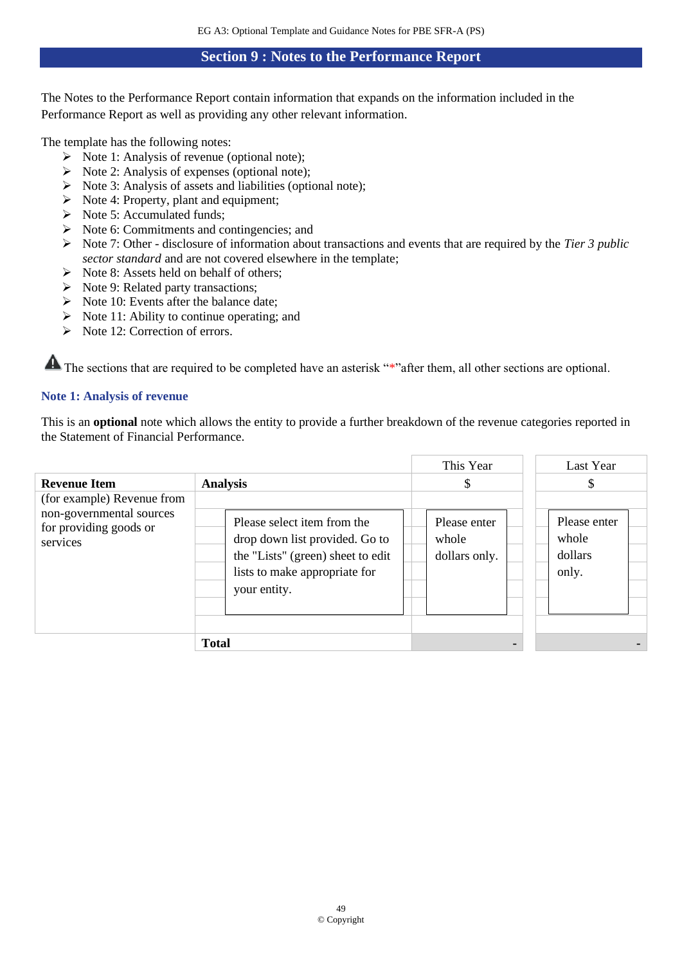### **Section 9 : Notes to the Performance Report**

<span id="page-48-0"></span>The Notes to the Performance Report contain information that expands on the information included in the Performance Report as well as providing any other relevant information.

The template has the following notes:

- $\triangleright$  Note 1: Analysis of revenue (optional note);
- $\triangleright$  Note 2: Analysis of expenses (optional note);
- $\triangleright$  Note 3: Analysis of assets and liabilities (optional note);
- ➢ Note 4: Property, plant and equipment;
- ➢ Note 5: Accumulated funds;
- ➢ Note 6: Commitments and contingencies; and
- ➢ Note 7: Other disclosure of information about transactions and events that are required by the *Tier 3 public sector standard* and are not covered elsewhere in the template;
- $\triangleright$  Note 8: Assets held on behalf of others:
- ➢ Note 9: Related party transactions;
- $\triangleright$  Note 10: Events after the balance date;
- $\triangleright$  Note 11: Ability to continue operating; and
- ➢ Note 12: Correction of errors.

The sections that are required to be completed have an asterisk "\*"after them, all other sections are optional.

### **Note 1: Analysis of revenue**

This is an **optional** note which allows the entity to provide a further breakdown of the revenue categories reported in the Statement of Financial Performance.

| <b>Revenue Item</b><br>(for example) Revenue from              | <b>Analysis</b>                                                                                                                                     | This Year<br>\$                        | Last Year<br>\$                           |  |
|----------------------------------------------------------------|-----------------------------------------------------------------------------------------------------------------------------------------------------|----------------------------------------|-------------------------------------------|--|
| non-governmental sources<br>for providing goods or<br>services | Please select item from the<br>drop down list provided. Go to<br>the "Lists" (green) sheet to edit<br>lists to make appropriate for<br>your entity. | Please enter<br>whole<br>dollars only. | Please enter<br>whole<br>dollars<br>only. |  |
|                                                                | <b>Total</b>                                                                                                                                        |                                        |                                           |  |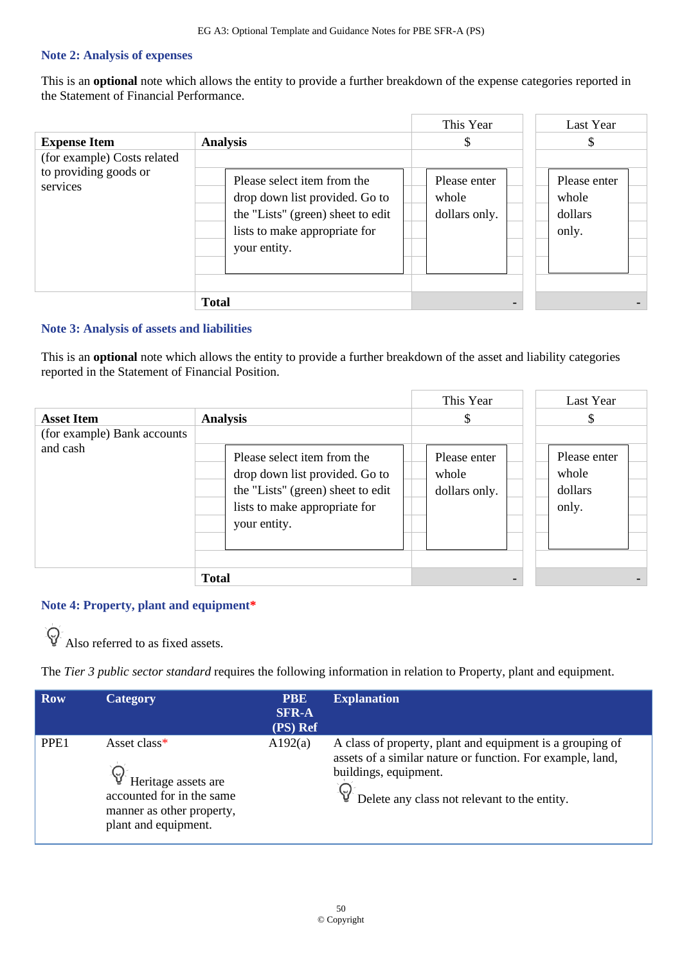#### **Note 2: Analysis of expenses**

This is an **optional** note which allows the entity to provide a further breakdown of the expense categories reported in the Statement of Financial Performance.

|                                                                  |                                                                                                                                                     | This Year                              | Last Year                                 |
|------------------------------------------------------------------|-----------------------------------------------------------------------------------------------------------------------------------------------------|----------------------------------------|-------------------------------------------|
| <b>Expense Item</b>                                              | <b>Analysis</b>                                                                                                                                     | \$                                     |                                           |
| (for example) Costs related<br>to providing goods or<br>services | Please select item from the<br>drop down list provided. Go to<br>the "Lists" (green) sheet to edit<br>lists to make appropriate for<br>your entity. | Please enter<br>whole<br>dollars only. | Please enter<br>whole<br>dollars<br>only. |
|                                                                  | <b>Total</b>                                                                                                                                        | ۰                                      |                                           |

### **Note 3: Analysis of assets and liabilities**

This is an **optional** note which allows the entity to provide a further breakdown of the asset and liability categories reported in the Statement of Financial Position.

|                                                  |                                                                                                                                                     | This Year                              | Last Year                                 |
|--------------------------------------------------|-----------------------------------------------------------------------------------------------------------------------------------------------------|----------------------------------------|-------------------------------------------|
| <b>Asset Item</b><br>(for example) Bank accounts | <b>Analysis</b>                                                                                                                                     | \$                                     | \$                                        |
| and cash                                         | Please select item from the<br>drop down list provided. Go to<br>the "Lists" (green) sheet to edit<br>lists to make appropriate for<br>your entity. | Please enter<br>whole<br>dollars only. | Please enter<br>whole<br>dollars<br>only. |
|                                                  | <b>Total</b>                                                                                                                                        |                                        |                                           |

### **Note 4: Property, plant and equipment\***



Also referred to as fixed assets.

The *Tier 3 public sector standard* requires the following information in relation to Property, plant and equipment.

| <b>Row</b>       | Category                                                                                                              | <b>PBE</b><br><b>SFR-A</b><br>(PS) Ref | <b>Explanation</b>                                                                                                                                                                               |
|------------------|-----------------------------------------------------------------------------------------------------------------------|----------------------------------------|--------------------------------------------------------------------------------------------------------------------------------------------------------------------------------------------------|
| PPE <sub>1</sub> | Asset class*<br>Heritage assets are<br>accounted for in the same<br>manner as other property,<br>plant and equipment. | A192(a)                                | A class of property, plant and equipment is a grouping of<br>assets of a similar nature or function. For example, land,<br>buildings, equipment.<br>Delete any class not relevant to the entity. |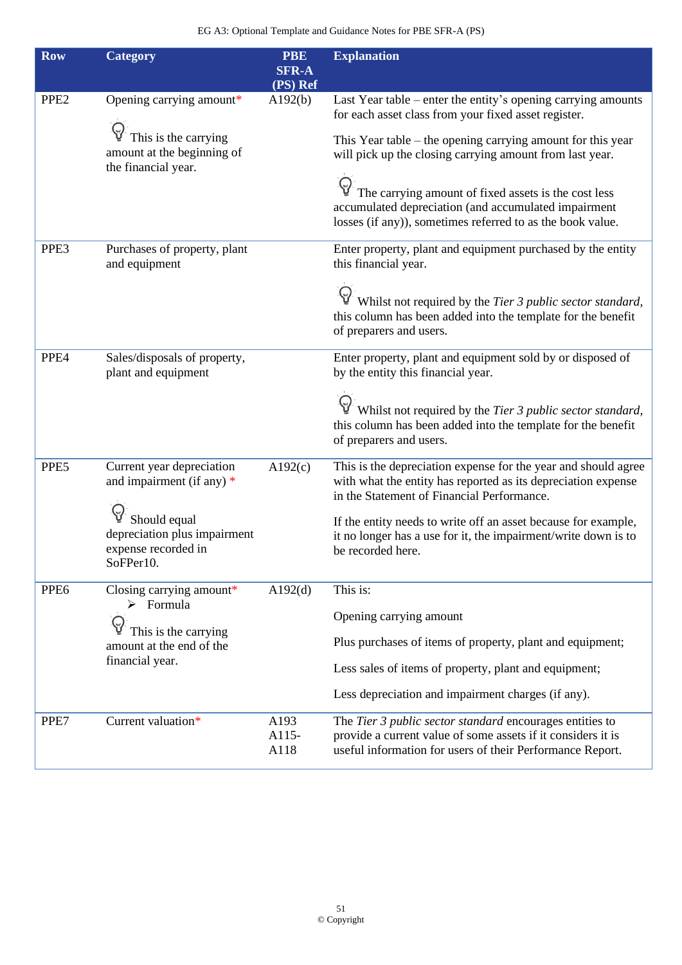| <b>Row</b>       | <b>Category</b>                                                                                                                              | <b>PBE</b><br><b>SFR-A</b><br>(PS) Ref | <b>Explanation</b>                                                                                                                                                                                                                                                                                                                                                                                                               |
|------------------|----------------------------------------------------------------------------------------------------------------------------------------------|----------------------------------------|----------------------------------------------------------------------------------------------------------------------------------------------------------------------------------------------------------------------------------------------------------------------------------------------------------------------------------------------------------------------------------------------------------------------------------|
| PPE <sub>2</sub> | Opening carrying amount*<br>This is the carrying<br>amount at the beginning of<br>the financial year.                                        | A192(b)                                | Last Year table – enter the entity's opening carrying amounts<br>for each asset class from your fixed asset register.<br>This Year table $-$ the opening carrying amount for this year<br>will pick up the closing carrying amount from last year.<br>The carrying amount of fixed assets is the cost less<br>accumulated depreciation (and accumulated impairment<br>losses (if any)), sometimes referred to as the book value. |
| PPE3             | Purchases of property, plant<br>and equipment                                                                                                |                                        | Enter property, plant and equipment purchased by the entity<br>this financial year.<br>Whilst not required by the Tier 3 public sector standard,<br>this column has been added into the template for the benefit<br>of preparers and users.                                                                                                                                                                                      |
| PPE4             | Sales/disposals of property,<br>plant and equipment                                                                                          |                                        | Enter property, plant and equipment sold by or disposed of<br>by the entity this financial year.<br>Whilst not required by the Tier 3 public sector standard,<br>this column has been added into the template for the benefit<br>of preparers and users.                                                                                                                                                                         |
| PPE5             | Current year depreciation<br>and impairment (if any) $*$<br>Should equal<br>depreciation plus impairment<br>expense recorded in<br>SoFPer10. | A192(c)                                | This is the depreciation expense for the year and should agree<br>with what the entity has reported as its depreciation expense<br>in the Statement of Financial Performance.<br>If the entity needs to write off an asset because for example,<br>it no longer has a use for it, the impairment/write down is to<br>be recorded here.                                                                                           |
| PPE <sub>6</sub> | Closing carrying amount*<br>$\triangleright$ Formula<br>This is the carrying<br>amount at the end of the<br>financial year.                  | A192(d)                                | This is:<br>Opening carrying amount<br>Plus purchases of items of property, plant and equipment;<br>Less sales of items of property, plant and equipment;<br>Less depreciation and impairment charges (if any).                                                                                                                                                                                                                  |
| PPE7             | Current valuation*                                                                                                                           | A193<br>A115-<br>A118                  | The Tier 3 public sector standard encourages entities to<br>provide a current value of some assets if it considers it is<br>useful information for users of their Performance Report.                                                                                                                                                                                                                                            |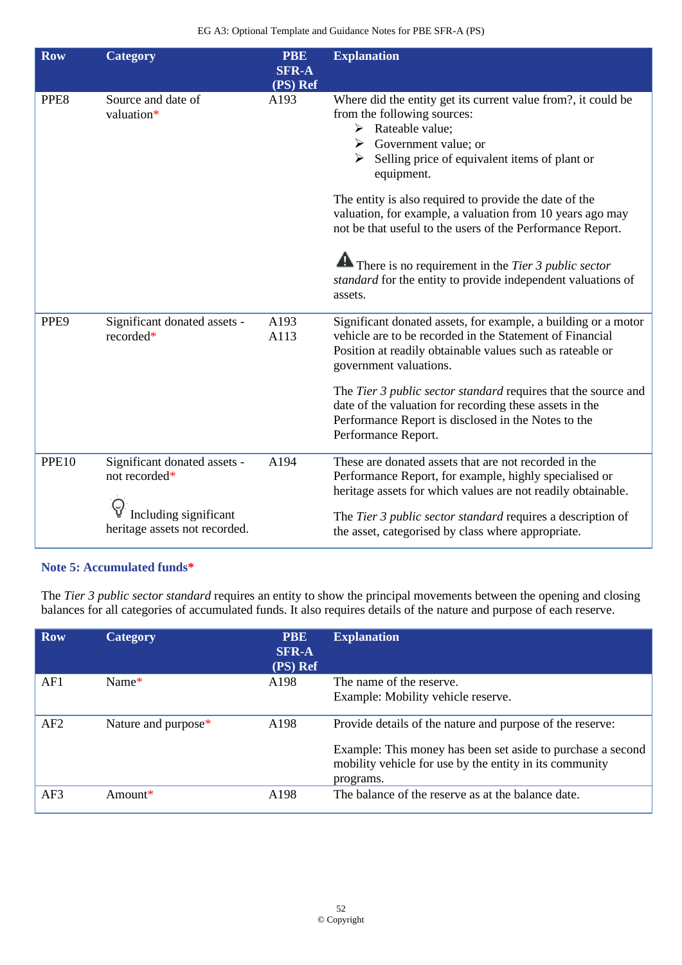| <b>Row</b>       | <b>Category</b>                                                                                         | <b>PBE</b><br><b>SFR-A</b><br>(PS) Ref | <b>Explanation</b>                                                                                                                                                                                                                                                                                                                                                                                                                                                                                                                                                               |
|------------------|---------------------------------------------------------------------------------------------------------|----------------------------------------|----------------------------------------------------------------------------------------------------------------------------------------------------------------------------------------------------------------------------------------------------------------------------------------------------------------------------------------------------------------------------------------------------------------------------------------------------------------------------------------------------------------------------------------------------------------------------------|
| PPE8             | Source and date of<br>valuation*                                                                        | A193                                   | Where did the entity get its current value from?, it could be<br>from the following sources:<br>$\triangleright$ Rateable value;<br>$\triangleright$ Government value; or<br>$\triangleright$ Selling price of equivalent items of plant or<br>equipment.<br>The entity is also required to provide the date of the<br>valuation, for example, a valuation from 10 years ago may<br>not be that useful to the users of the Performance Report.<br>There is no requirement in the Tier 3 public sector<br>standard for the entity to provide independent valuations of<br>assets. |
| PPE <sub>9</sub> | Significant donated assets -<br>recorded*                                                               | A193<br>A113                           | Significant donated assets, for example, a building or a motor<br>vehicle are to be recorded in the Statement of Financial<br>Position at readily obtainable values such as rateable or<br>government valuations.<br>The Tier 3 public sector standard requires that the source and<br>date of the valuation for recording these assets in the<br>Performance Report is disclosed in the Notes to the<br>Performance Report.                                                                                                                                                     |
| PPE10            | Significant donated assets -<br>not recorded*<br>Including significant<br>heritage assets not recorded. | A194                                   | These are donated assets that are not recorded in the<br>Performance Report, for example, highly specialised or<br>heritage assets for which values are not readily obtainable.<br>The Tier 3 public sector standard requires a description of<br>the asset, categorised by class where appropriate.                                                                                                                                                                                                                                                                             |

### **Note 5: Accumulated funds\***

The *Tier 3 public sector standard* requires an entity to show the principal movements between the opening and closing balances for all categories of accumulated funds. It also requires details of the nature and purpose of each reserve.

| <b>Row</b> | <b>Category</b>     | <b>PBE</b><br><b>SFR-A</b><br>(PS) Ref | <b>Explanation</b>                                                                                                                  |
|------------|---------------------|----------------------------------------|-------------------------------------------------------------------------------------------------------------------------------------|
| AF1        | Name $*$            | A <sub>198</sub>                       | The name of the reserve.                                                                                                            |
|            |                     |                                        | Example: Mobility vehicle reserve.                                                                                                  |
| AF2        | Nature and purpose* | A <sub>198</sub>                       | Provide details of the nature and purpose of the reserve:                                                                           |
|            |                     |                                        | Example: This money has been set aside to purchase a second<br>mobility vehicle for use by the entity in its community<br>programs. |
| AF3        | Amount $*$          | A198                                   | The balance of the reserve as at the balance date.                                                                                  |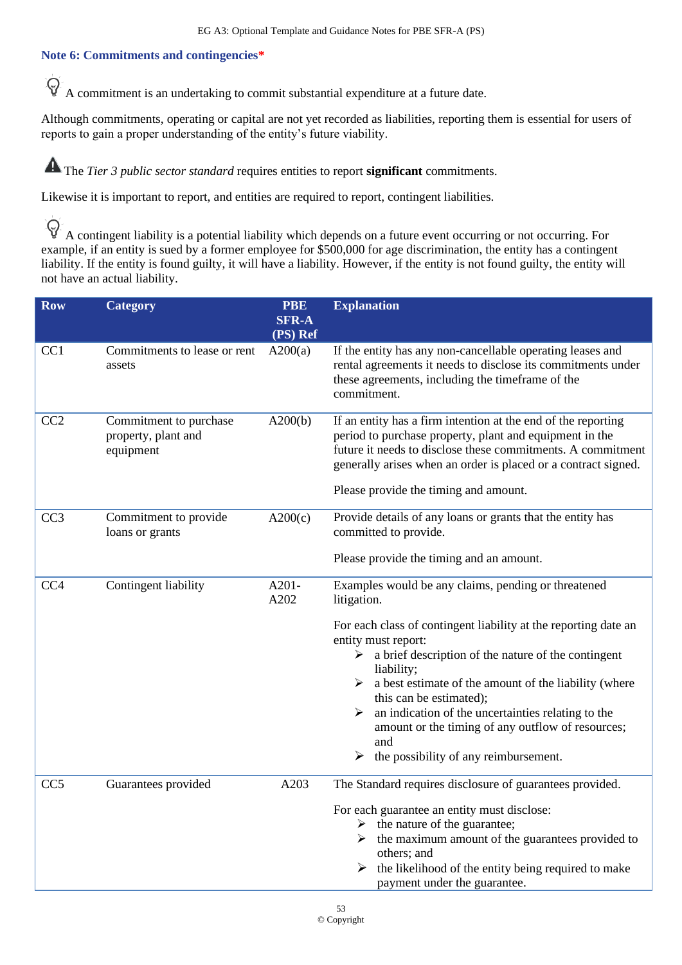### **Note 6: Commitments and contingencies\***

 $\Theta$ A commitment is an undertaking to commit substantial expenditure at a future date.

Although commitments, operating or capital are not yet recorded as liabilities, reporting them is essential for users of reports to gain a proper understanding of the entity's future viability.

The *Tier 3 public sector standard* requires entities to report **significant** commitments.

Likewise it is important to report, and entities are required to report, contingent liabilities.

 $\Theta$ A contingent liability is a potential liability which depends on a future event occurring or not occurring. For example, if an entity is sued by a former employee for \$500,000 for age discrimination, the entity has a contingent liability. If the entity is found guilty, it will have a liability. However, if the entity is not found guilty, the entity will not have an actual liability.

| <b>Row</b>      | <b>Category</b>                                            | <b>PBE</b><br><b>SFR-A</b><br>(PS) Ref | <b>Explanation</b>                                                                                                                                                                                                                                                                                                                                                                                                                                                                                                                                   |
|-----------------|------------------------------------------------------------|----------------------------------------|------------------------------------------------------------------------------------------------------------------------------------------------------------------------------------------------------------------------------------------------------------------------------------------------------------------------------------------------------------------------------------------------------------------------------------------------------------------------------------------------------------------------------------------------------|
| CC1             | Commitments to lease or rent<br>assets                     | A200(a)                                | If the entity has any non-cancellable operating leases and<br>rental agreements it needs to disclose its commitments under<br>these agreements, including the timeframe of the<br>commitment.                                                                                                                                                                                                                                                                                                                                                        |
| CC2             | Commitment to purchase<br>property, plant and<br>equipment | A200(b)                                | If an entity has a firm intention at the end of the reporting<br>period to purchase property, plant and equipment in the<br>future it needs to disclose these commitments. A commitment<br>generally arises when an order is placed or a contract signed.<br>Please provide the timing and amount.                                                                                                                                                                                                                                                   |
| CC <sub>3</sub> | Commitment to provide<br>loans or grants                   | A200(c)                                | Provide details of any loans or grants that the entity has<br>committed to provide.<br>Please provide the timing and an amount.                                                                                                                                                                                                                                                                                                                                                                                                                      |
| CC <sub>4</sub> | Contingent liability                                       | A201-<br>A202                          | Examples would be any claims, pending or threatened<br>litigation.<br>For each class of contingent liability at the reporting date an<br>entity must report:<br>$\triangleright$ a brief description of the nature of the contingent<br>liability;<br>$\triangleright$ a best estimate of the amount of the liability (where<br>this can be estimated);<br>$\triangleright$ an indication of the uncertainties relating to the<br>amount or the timing of any outflow of resources;<br>and<br>$\triangleright$ the possibility of any reimbursement. |
| CC <sub>5</sub> | Guarantees provided                                        | A203                                   | The Standard requires disclosure of guarantees provided.<br>For each guarantee an entity must disclose:<br>$\triangleright$ the nature of the guarantee;<br>$\triangleright$ the maximum amount of the guarantees provided to<br>others; and<br>the likelihood of the entity being required to make<br>➤<br>payment under the guarantee.                                                                                                                                                                                                             |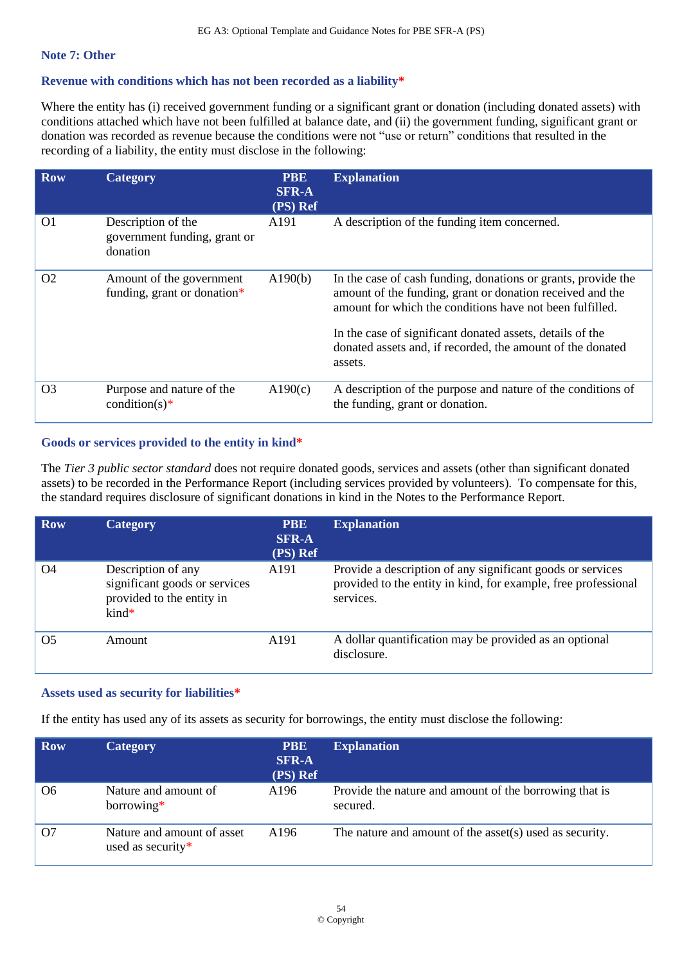#### **Note 7: Other**

### **Revenue with conditions which has not been recorded as a liability\***

Where the entity has (i) received government funding or a significant grant or donation (including donated assets) with conditions attached which have not been fulfilled at balance date, and (ii) the government funding, significant grant or donation was recorded as revenue because the conditions were not "use or return" conditions that resulted in the recording of a liability, the entity must disclose in the following:

| <b>Row</b>     | Category                                                       | <b>PBE</b><br><b>SFR-A</b><br>(PS) Ref | <b>Explanation</b>                                                                                                                                                                                                                                                                                                           |
|----------------|----------------------------------------------------------------|----------------------------------------|------------------------------------------------------------------------------------------------------------------------------------------------------------------------------------------------------------------------------------------------------------------------------------------------------------------------------|
| O <sub>1</sub> | Description of the<br>government funding, grant or<br>donation | A191                                   | A description of the funding item concerned.                                                                                                                                                                                                                                                                                 |
| O <sub>2</sub> | Amount of the government<br>funding, grant or donation*        | A190(b)                                | In the case of cash funding, donations or grants, provide the<br>amount of the funding, grant or donation received and the<br>amount for which the conditions have not been fulfilled.<br>In the case of significant donated assets, details of the<br>donated assets and, if recorded, the amount of the donated<br>assets. |
|                |                                                                |                                        |                                                                                                                                                                                                                                                                                                                              |
| O <sub>3</sub> | Purpose and nature of the<br>condition(s)*                     | A190(c)                                | A description of the purpose and nature of the conditions of<br>the funding, grant or donation.                                                                                                                                                                                                                              |

### **Goods or services provided to the entity in kind\***

The *Tier 3 public sector standard* does not require donated goods, services and assets (other than significant donated assets) to be recorded in the Performance Report (including services provided by volunteers). To compensate for this, the standard requires disclosure of significant donations in kind in the Notes to the Performance Report.

| <b>Row</b> | <b>Category</b>                                                                                    | <b>PBE</b><br><b>SFR-A</b><br>(PS) Ref | <b>Explanation</b>                                                                                                                        |
|------------|----------------------------------------------------------------------------------------------------|----------------------------------------|-------------------------------------------------------------------------------------------------------------------------------------------|
| O4         | Description of any<br>significant goods or services<br>provided to the entity in<br>$\text{kind*}$ | A <sub>191</sub>                       | Provide a description of any significant goods or services<br>provided to the entity in kind, for example, free professional<br>services. |
| Ο5         | Amount                                                                                             | A <sub>191</sub>                       | A dollar quantification may be provided as an optional<br>disclosure.                                                                     |

### **Assets used as security for liabilities\***

If the entity has used any of its assets as security for borrowings, the entity must disclose the following:

| <b>Row</b>     | <b>Category</b>                                 | <b>PBE</b><br><b>SFR-A</b><br>(PS) Ref | <b>Explanation</b>                                                 |
|----------------|-------------------------------------------------|----------------------------------------|--------------------------------------------------------------------|
| O <sub>6</sub> | Nature and amount of<br>$borrowing*$            | A196                                   | Provide the nature and amount of the borrowing that is<br>secured. |
| O <sub>7</sub> | Nature and amount of asset<br>used as security* | A196                                   | The nature and amount of the asset(s) used as security.            |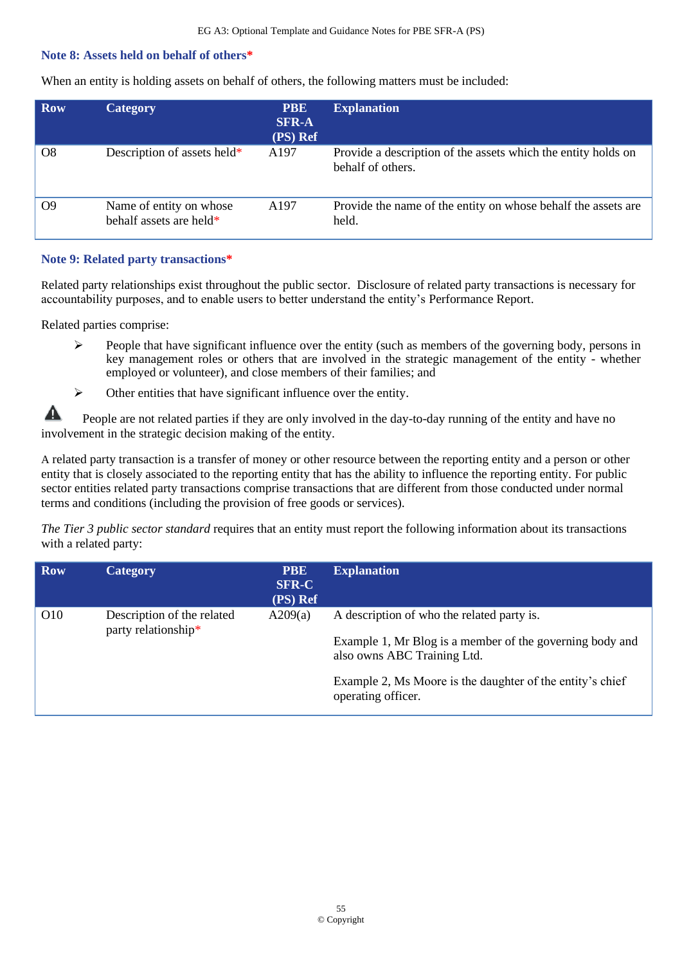### **Note 8: Assets held on behalf of others\***

When an entity is holding assets on behalf of others, the following matters must be included:

| <b>Row</b>     | <b>Category</b>                                    | <b>PBE</b><br><b>SFR-A</b><br>(PS) Ref | <b>Explanation</b>                                                                 |
|----------------|----------------------------------------------------|----------------------------------------|------------------------------------------------------------------------------------|
| O <sub>8</sub> | Description of assets held*                        | A <sub>197</sub>                       | Provide a description of the assets which the entity holds on<br>behalf of others. |
| О9             | Name of entity on whose<br>behalf assets are held* | A197                                   | Provide the name of the entity on whose behalf the assets are<br>held.             |

**Note 9: Related party transactions\***

Related party relationships exist throughout the public sector. Disclosure of related party transactions is necessary for accountability purposes, and to enable users to better understand the entity's Performance Report.

Related parties comprise:

- $\triangleright$  People that have significant influence over the entity (such as members of the governing body, persons in key management roles or others that are involved in the strategic management of the entity - whether employed or volunteer), and close members of their families; and
- ➢ Other entities that have significant influence over the entity.

A People are not related parties if they are only involved in the day-to-day running of the entity and have no involvement in the strategic decision making of the entity.

A related party transaction is a transfer of money or other resource between the reporting entity and a person or other entity that is closely associated to the reporting entity that has the ability to influence the reporting entity. For public sector entities related party transactions comprise transactions that are different from those conducted under normal terms and conditions (including the provision of free goods or services).

*The Tier 3 public sector standard* requires that an entity must report the following information about its transactions with a related party:

| <b>Category</b>                                   | <b>PBE</b><br><b>SFR-C</b><br>(PS) Ref | <b>Explanation</b>                                                                                                                                                                                                       |
|---------------------------------------------------|----------------------------------------|--------------------------------------------------------------------------------------------------------------------------------------------------------------------------------------------------------------------------|
| Description of the related<br>party relationship* | A209(a)                                | A description of who the related party is.<br>Example 1, Mr Blog is a member of the governing body and<br>also owns ABC Training Ltd.<br>Example 2, Ms Moore is the daughter of the entity's chief<br>operating officer. |
|                                                   |                                        |                                                                                                                                                                                                                          |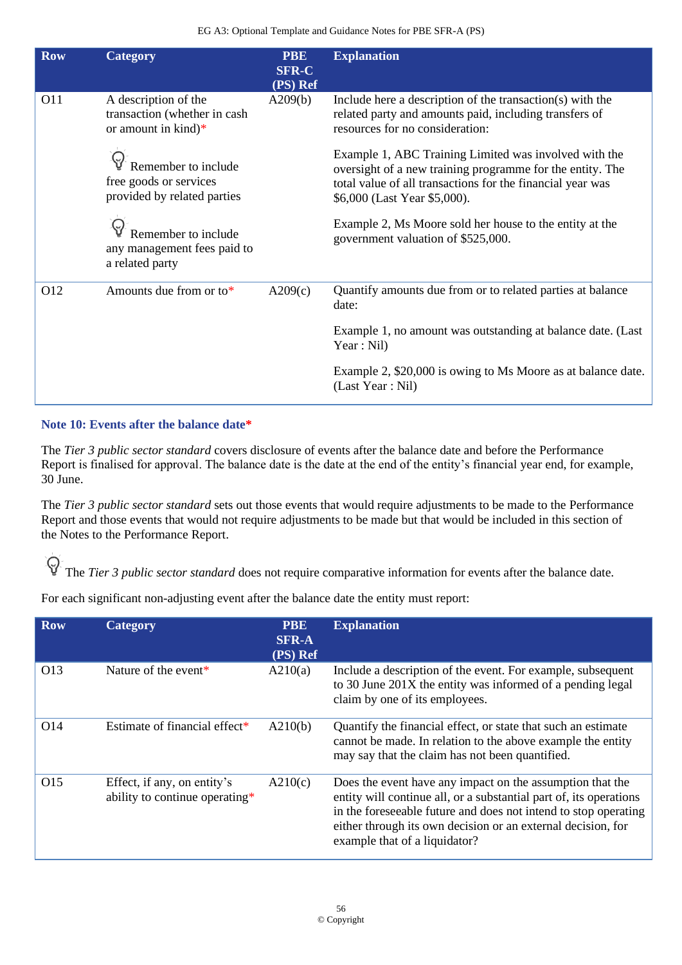| <b>Row</b> | <b>Category</b>                                                                                 | <b>PBE</b><br><b>SFR-C</b><br>(PS) Ref | <b>Explanation</b>                                                                                                                                                                                               |
|------------|-------------------------------------------------------------------------------------------------|----------------------------------------|------------------------------------------------------------------------------------------------------------------------------------------------------------------------------------------------------------------|
| O11        | A description of the<br>transaction (whether in cash<br>or amount in $\text{kind}$ <sup>*</sup> | A209(b)                                | Include here a description of the transaction(s) with the<br>related party and amounts paid, including transfers of<br>resources for no consideration:                                                           |
|            | Remember to include<br>free goods or services<br>provided by related parties                    |                                        | Example 1, ABC Training Limited was involved with the<br>oversight of a new training programme for the entity. The<br>total value of all transactions for the financial year was<br>\$6,000 (Last Year \$5,000). |
|            | Remember to include<br>any management fees paid to<br>a related party                           |                                        | Example 2, Ms Moore sold her house to the entity at the<br>government valuation of \$525,000.                                                                                                                    |
| O12        | Amounts due from or to $*$                                                                      | A209(c)                                | Quantify amounts due from or to related parties at balance<br>date:                                                                                                                                              |
|            |                                                                                                 |                                        | Example 1, no amount was outstanding at balance date. (Last<br>Year : Nil)                                                                                                                                       |
|            |                                                                                                 |                                        | Example 2, \$20,000 is owing to Ms Moore as at balance date.<br>(Last Year: Nil)                                                                                                                                 |

## **Note 10: Events after the balance date\***

The *Tier 3 public sector standard* covers disclosure of events after the balance date and before the Performance Report is finalised for approval. The balance date is the date at the end of the entity's financial year end, for example, 30 June.

The *Tier 3 public sector standard* sets out those events that would require adjustments to be made to the Performance Report and those events that would not require adjustments to be made but that would be included in this section of the Notes to the Performance Report.

The *Tier 3 public sector standard* does not require comparative information for events after the balance date.

For each significant non-adjusting event after the balance date the entity must report:

| <b>Row</b>      | <b>Category</b>                                               | <b>PBE</b><br><b>SFR-A</b><br>(PS) Ref | <b>Explanation</b>                                                                                                                                                                                                                                                                                  |
|-----------------|---------------------------------------------------------------|----------------------------------------|-----------------------------------------------------------------------------------------------------------------------------------------------------------------------------------------------------------------------------------------------------------------------------------------------------|
| O13             | Nature of the event*                                          | A210(a)                                | Include a description of the event. For example, subsequent<br>to 30 June 201X the entity was informed of a pending legal<br>claim by one of its employees.                                                                                                                                         |
| O <sub>14</sub> | Estimate of financial effect <sup>*</sup>                     | A210(b)                                | Quantify the financial effect, or state that such an estimate<br>cannot be made. In relation to the above example the entity<br>may say that the claim has not been quantified.                                                                                                                     |
| O15             | Effect, if any, on entity's<br>ability to continue operating* | A210(c)                                | Does the event have any impact on the assumption that the<br>entity will continue all, or a substantial part of, its operations<br>in the foreseeable future and does not intend to stop operating<br>either through its own decision or an external decision, for<br>example that of a liquidator? |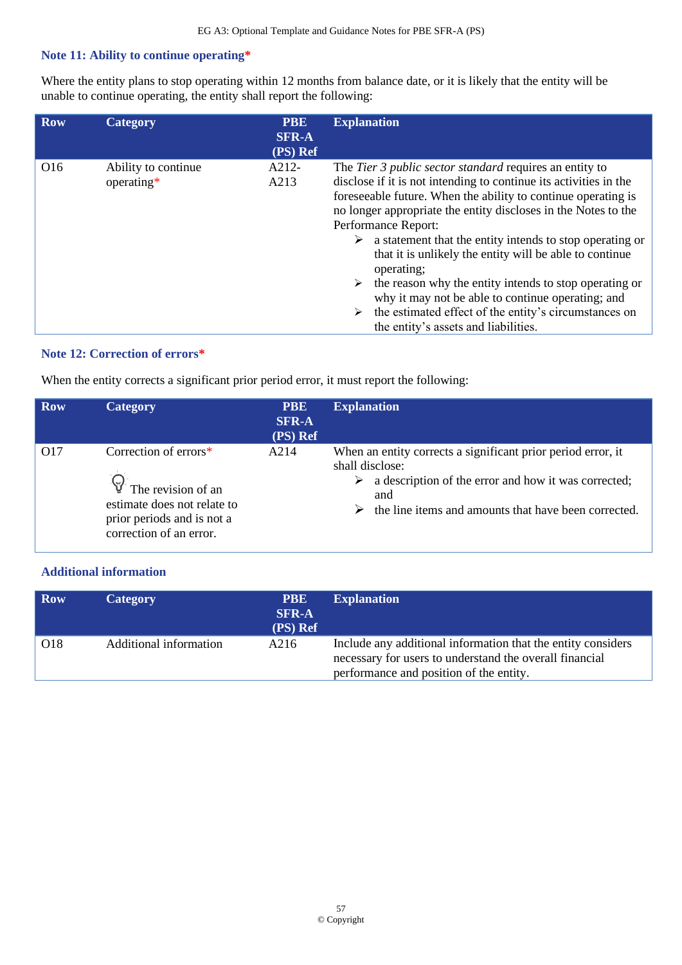### **Note 11: Ability to continue operating\***

Where the entity plans to stop operating within 12 months from balance date, or it is likely that the entity will be unable to continue operating, the entity shall report the following:

| <b>Row</b>      | <b>Category</b>                   | <b>PBE</b><br><b>SFR-A</b><br>(PS) Ref | <b>Explanation</b>                                                                                                                                                                                                                                                                                                                                                                                                                                                                                                                                                                                                                                    |
|-----------------|-----------------------------------|----------------------------------------|-------------------------------------------------------------------------------------------------------------------------------------------------------------------------------------------------------------------------------------------------------------------------------------------------------------------------------------------------------------------------------------------------------------------------------------------------------------------------------------------------------------------------------------------------------------------------------------------------------------------------------------------------------|
| O <sub>16</sub> | Ability to continue<br>operating* | A212-<br>A213                          | The Tier 3 public sector standard requires an entity to<br>disclose if it is not intending to continue its activities in the<br>foreseeable future. When the ability to continue operating is<br>no longer appropriate the entity discloses in the Notes to the<br>Performance Report:<br>a statement that the entity intends to stop operating or<br>➤<br>that it is unlikely the entity will be able to continue<br>operating;<br>the reason why the entity intends to stop operating or<br>why it may not be able to continue operating; and<br>the estimated effect of the entity's circumstances on<br>➤<br>the entity's assets and liabilities. |

### **Note 12: Correction of errors\***

When the entity corrects a significant prior period error, it must report the following:

| <b>Row</b> | <b>Category</b>                                                                                                                                              | <b>PBE</b><br><b>SFR-A</b><br>(PS) Ref | <b>Explanation</b>                                                                                                                                                                                     |
|------------|--------------------------------------------------------------------------------------------------------------------------------------------------------------|----------------------------------------|--------------------------------------------------------------------------------------------------------------------------------------------------------------------------------------------------------|
| O17        | Correction of $\text{errors}^*$<br>$\mathbb{Q}^7$ The revision of an<br>estimate does not relate to<br>prior periods and is not a<br>correction of an error. | A214                                   | When an entity corrects a significant prior period error, it<br>shall disclose:<br>a description of the error and how it was corrected;<br>and<br>the line items and amounts that have been corrected. |

## **Additional information**

| <b>Row</b> | <b>Category</b>        | <b>PBE</b><br><b>SFR-A</b><br>(PS) Ref | <b>Explanation</b>                                                                                                                                                 |
|------------|------------------------|----------------------------------------|--------------------------------------------------------------------------------------------------------------------------------------------------------------------|
| O18        | Additional information | A216                                   | Include any additional information that the entity considers<br>necessary for users to understand the overall financial<br>performance and position of the entity. |